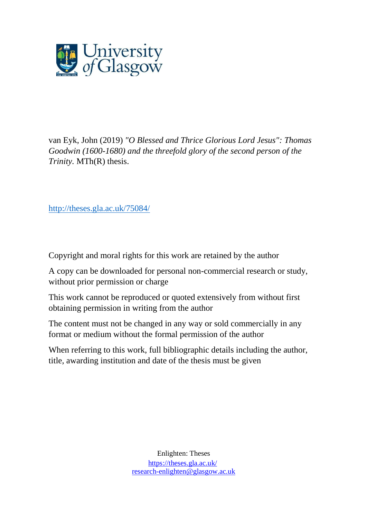

van Eyk, John (2019) *"O Blessed and Thrice Glorious Lord Jesus": Thomas Goodwin (1600-1680) and the threefold glory of the second person of the Trinity.* MTh(R) thesis.

[http://theses.gla.ac.uk/75084/](http://theses.gla.ac.uk/75172/)

Copyright and moral rights for this work are retained by the author

A copy can be downloaded for personal non-commercial research or study, without prior permission or charge

This work cannot be reproduced or quoted extensively from without first obtaining permission in writing from the author

The content must not be changed in any way or sold commercially in any format or medium without the formal permission of the author

When referring to this work, full bibliographic details including the author, title, awarding institution and date of the thesis must be given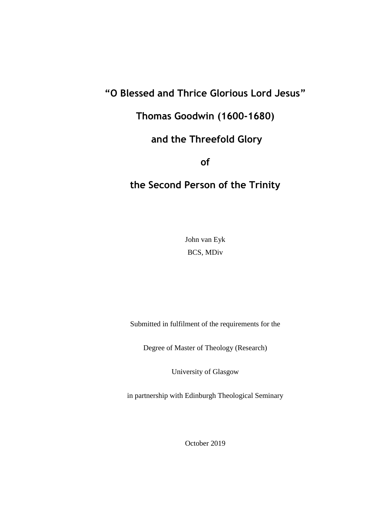# **"O Blessed and Thrice Glorious Lord Jesus"**

**Thomas Goodwin (1600-1680)**

# **and the Threefold Glory**

**of**

# **the Second Person of the Trinity**

John van Eyk BCS, MDiv

Submitted in fulfilment of the requirements for the

Degree of Master of Theology (Research)

University of Glasgow

in partnership with Edinburgh Theological Seminary

October 2019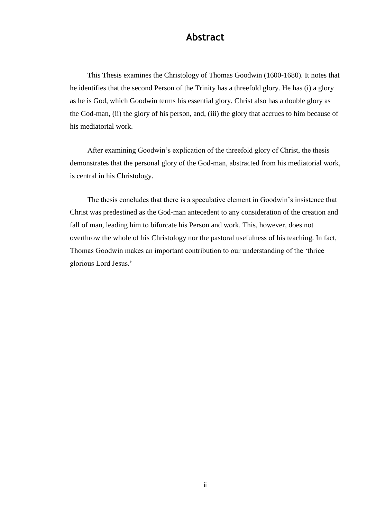## **Abstract**

This Thesis examines the Christology of Thomas Goodwin (1600-1680). It notes that he identifies that the second Person of the Trinity has a threefold glory. He has (i) a glory as he is God, which Goodwin terms his essential glory. Christ also has a double glory as the God-man, (ii) the glory of his person, and, (iii) the glory that accrues to him because of his mediatorial work.

After examining Goodwin's explication of the threefold glory of Christ, the thesis demonstrates that the personal glory of the God-man, abstracted from his mediatorial work, is central in his Christology.

The thesis concludes that there is a speculative element in Goodwin's insistence that Christ was predestined as the God-man antecedent to any consideration of the creation and fall of man, leading him to bifurcate his Person and work. This, however, does not overthrow the whole of his Christology nor the pastoral usefulness of his teaching. In fact, Thomas Goodwin makes an important contribution to our understanding of the 'thrice glorious Lord Jesus.'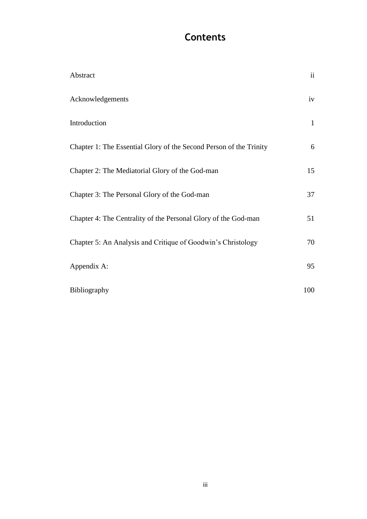# **Contents**

| Abstract                                                           | ii           |
|--------------------------------------------------------------------|--------------|
| Acknowledgements                                                   | iv           |
| Introduction                                                       | $\mathbf{1}$ |
| Chapter 1: The Essential Glory of the Second Person of the Trinity | 6            |
| Chapter 2: The Mediatorial Glory of the God-man                    | 15           |
| Chapter 3: The Personal Glory of the God-man                       | 37           |
| Chapter 4: The Centrality of the Personal Glory of the God-man     | 51           |
| Chapter 5: An Analysis and Critique of Goodwin's Christology       | 70           |
| Appendix A:                                                        | 95           |
| Bibliography                                                       | 100          |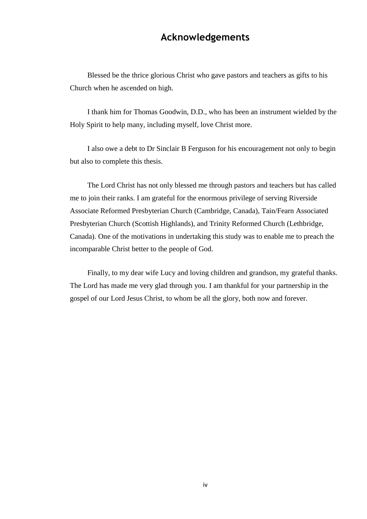# **Acknowledgements**

Blessed be the thrice glorious Christ who gave pastors and teachers as gifts to his Church when he ascended on high.

I thank him for Thomas Goodwin, D.D., who has been an instrument wielded by the Holy Spirit to help many, including myself, love Christ more.

I also owe a debt to Dr Sinclair B Ferguson for his encouragement not only to begin but also to complete this thesis.

The Lord Christ has not only blessed me through pastors and teachers but has called me to join their ranks. I am grateful for the enormous privilege of serving Riverside Associate Reformed Presbyterian Church (Cambridge, Canada), Tain/Fearn Associated Presbyterian Church (Scottish Highlands), and Trinity Reformed Church (Lethbridge, Canada). One of the motivations in undertaking this study was to enable me to preach the incomparable Christ better to the people of God.

Finally, to my dear wife Lucy and loving children and grandson, my grateful thanks. The Lord has made me very glad through you. I am thankful for your partnership in the gospel of our Lord Jesus Christ, to whom be all the glory, both now and forever.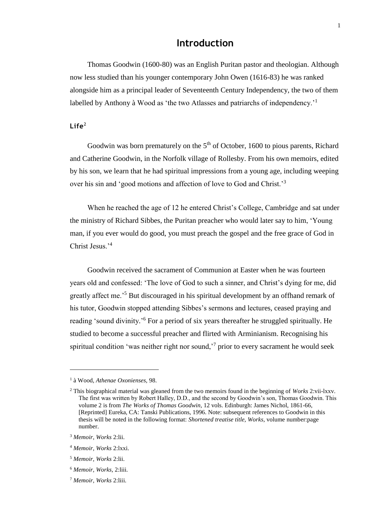# **Introduction**

Thomas Goodwin (1600-80) was an English Puritan pastor and theologian. Although now less studied than his younger contemporary John Owen (1616-83) he was ranked alongside him as a principal leader of Seventeenth Century Independency, the two of them labelled by Anthony à Wood as 'the two Atlasses and patriarchs of independency.<sup>1</sup>

## $L$ ife<sup>2</sup>

Goodwin was born prematurely on the  $5<sup>th</sup>$  of October, 1600 to pious parents, Richard and Catherine Goodwin, in the Norfolk village of Rollesby. From his own memoirs, edited by his son, we learn that he had spiritual impressions from a young age, including weeping over his sin and 'good motions and affection of love to God and Christ.'<sup>3</sup>

When he reached the age of 12 he entered Christ's College, Cambridge and sat under the ministry of Richard Sibbes, the Puritan preacher who would later say to him, 'Young man, if you ever would do good, you must preach the gospel and the free grace of God in Christ Jesus.'<sup>4</sup>

Goodwin received the sacrament of Communion at Easter when he was fourteen years old and confessed: 'The love of God to such a sinner, and Christ's dying for me, did greatly affect me.'<sup>5</sup> But discouraged in his spiritual development by an offhand remark of his tutor, Goodwin stopped attending Sibbes's sermons and lectures, ceased praying and reading 'sound divinity.'<sup>6</sup> For a period of six years thereafter he struggled spiritually. He studied to become a successful preacher and flirted with Arminianism. Recognising his spiritual condition 'was neither right nor sound,<sup> $\frac{7}{7}$ </sup> prior to every sacrament he would seek

l

<sup>1</sup> à Wood, *Athenae Oxonienses,* 98.

<sup>2</sup> This biographical material was gleaned from the two memoirs found in the beginning of *Works* 2:vii-lxxv. The first was written by Robert Halley, D.D., and the second by Goodwin's son, Thomas Goodwin. This volume 2 is from *The Works of Thomas Goodwin*, 12 vols. Edinburgh: James Nichol, 1861-66, [Reprinted] Eureka, CA: Tanski Publications, 1996. Note: subsequent references to Goodwin in this thesis will be noted in the following format: *Shortened treatise title, Works*, volume number:page number.

<sup>3</sup> *Memoir, Works* 2:lii.

<sup>4</sup> *Memoir, Works* 2:lxxi.

<sup>5</sup> *Memoir, Works* 2:lii.

<sup>6</sup> *Memoir, Works,* 2:liii.

<sup>7</sup> *Memoir, Works* 2:liii.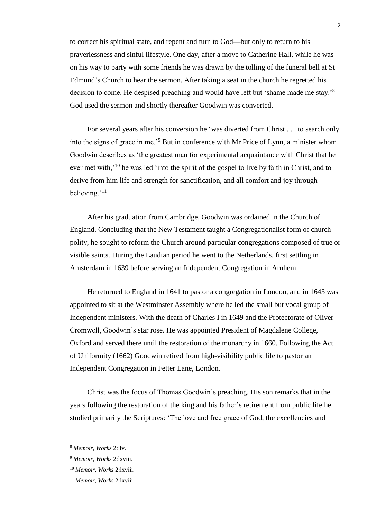to correct his spiritual state, and repent and turn to God—but only to return to his prayerlessness and sinful lifestyle. One day, after a move to Catherine Hall, while he was on his way to party with some friends he was drawn by the tolling of the funeral bell at St Edmund's Church to hear the sermon. After taking a seat in the church he regretted his decision to come. He despised preaching and would have left but 'shame made me stay.'<sup>8</sup> God used the sermon and shortly thereafter Goodwin was converted.

For several years after his conversion he 'was diverted from Christ . . . to search only into the signs of grace in me.'<sup>9</sup> But in conference with Mr Price of Lynn, a minister whom Goodwin describes as 'the greatest man for experimental acquaintance with Christ that he ever met with,<sup>'10</sup> he was led 'into the spirit of the gospel to live by faith in Christ, and to derive from him life and strength for sanctification, and all comfort and joy through believing.'<sup>11</sup>

After his graduation from Cambridge, Goodwin was ordained in the Church of England. Concluding that the New Testament taught a Congregationalist form of church polity, he sought to reform the Church around particular congregations composed of true or visible saints. During the Laudian period he went to the Netherlands, first settling in Amsterdam in 1639 before serving an Independent Congregation in Arnhem.

He returned to England in 1641 to pastor a congregation in London, and in 1643 was appointed to sit at the Westminster Assembly where he led the small but vocal group of Independent ministers. With the death of Charles I in 1649 and the Protectorate of Oliver Cromwell, Goodwin's star rose. He was appointed President of Magdalene College, Oxford and served there until the restoration of the monarchy in 1660. Following the Act of Uniformity (1662) Goodwin retired from high-visibility public life to pastor an Independent Congregation in Fetter Lane, London.

Christ was the focus of Thomas Goodwin's preaching. His son remarks that in the years following the restoration of the king and his father's retirement from public life he studied primarily the Scriptures: 'The love and free grace of God, the excellencies and

<sup>8</sup> *Memoir, Works* 2:liv.

<sup>9</sup> *Memoir, Works* 2:lxviii.

<sup>10</sup> *Memoir, Works* 2:lxviii.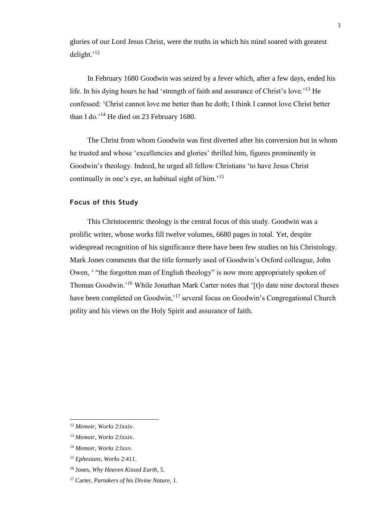glories of our Lord Jesus Christ, were the truths in which his mind soared with greatest delight.'<sup>12</sup>

In February 1680 Goodwin was seized by a fever which, after a few days, ended his life. In his dying hours he had 'strength of faith and assurance of Christ's love.'<sup>13</sup> He confessed: 'Christ cannot love me better than he doth; I think I cannot love Christ better than I do.'<sup>14</sup> He died on 23 February 1680.

The Christ from whom Goodwin was first diverted after his conversion but in whom he trusted and whose 'excellencies and glories' thrilled him, figures prominently in Goodwin's theology. Indeed, he urged all fellow Christians 'to have Jesus Christ continually in one's eye, an habitual sight of him.'<sup>15</sup>

## **Focus of this Study**

This Christocentric theology is the central focus of this study. Goodwin was a prolific writer, whose works fill twelve volumes, 6680 pages in total. Yet, despite widespread recognition of his significance there have been few studies on his Christology. Mark Jones comments that the title formerly used of Goodwin's Oxford colleague, John Owen, ' "the forgotten man of English theology" is now more appropriately spoken of Thomas Goodwin.'<sup>16</sup> While Jonathan Mark Carter notes that '[t]o date nine doctoral theses have been completed on Goodwin,<sup>17</sup> several focus on Goodwin's Congregational Church polity and his views on the Holy Spirit and assurance of faith.

3

 $\overline{a}$ 

<sup>12</sup> *Memoir, Works* 2:lxxiv.

<sup>13</sup> *Memoir, Works* 2:lxxiv.

<sup>14</sup> *Memoir, Works* 2:lxxv.

<sup>15</sup> *Ephesians, Works* 2:411.

<sup>16</sup> Jones, *Why Heaven Kissed Earth*, 5.

<sup>17</sup> Carter, *Partakers of his Divine Nature,* 1.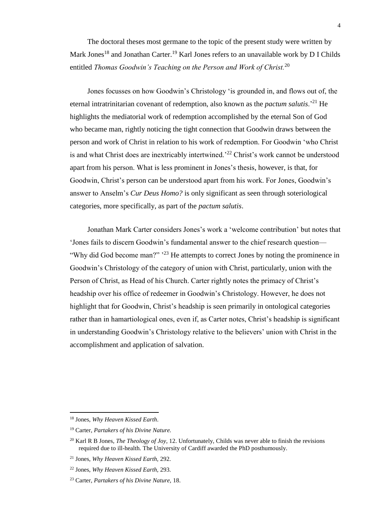The doctoral theses most germane to the topic of the present study were written by Mark Jones<sup>18</sup> and Jonathan Carter.<sup>19</sup> Karl Jones refers to an unavailable work by D I Childs entitled *Thomas Goodwin's Teaching on the Person and Work of Christ.*<sup>20</sup>

Jones focusses on how Goodwin's Christology 'is grounded in, and flows out of, the eternal intratrinitarian covenant of redemption, also known as the *pactum salutis*.'<sup>21</sup> He highlights the mediatorial work of redemption accomplished by the eternal Son of God who became man, rightly noticing the tight connection that Goodwin draws between the person and work of Christ in relation to his work of redemption. For Goodwin 'who Christ is and what Christ does are inextricably intertwined.'<sup>22</sup> Christ's work cannot be understood apart from his person. What is less prominent in Jones's thesis, however, is that, for Goodwin, Christ's person can be understood apart from his work. For Jones, Goodwin's answer to Anselm's *Cur Deus Homo?* is only significant as seen through soteriological categories, more specifically, as part of the *pactum salutis*.

Jonathan Mark Carter considers Jones's work a 'welcome contribution' but notes that 'Jones fails to discern Goodwin's fundamental answer to the chief research question— "Why did God become man?" <sup>23</sup> He attempts to correct Jones by noting the prominence in Goodwin's Christology of the category of union with Christ, particularly, union with the Person of Christ, as Head of his Church. Carter rightly notes the primacy of Christ's headship over his office of redeemer in Goodwin's Christology. However, he does not highlight that for Goodwin, Christ's headship is seen primarily in ontological categories rather than in hamartiological ones, even if, as Carter notes, Christ's headship is significant in understanding Goodwin's Christology relative to the believers' union with Christ in the accomplishment and application of salvation.

<sup>18</sup> Jones, *Why Heaven Kissed Earth*.

<sup>19</sup> Carter, *Partakers of his Divine Nature.*

<sup>20</sup> Karl R B Jones, *The Theology of Joy*, 12. Unfortunately, Childs was never able to finish the revisions required due to ill-health. The University of Cardiff awarded the PhD posthumously.

<sup>21</sup> Jones, *Why Heaven Kissed Earth,* 292.

<sup>22</sup> Jones, *Why Heaven Kissed Earth,* 293.

<sup>23</sup> Carter, *Partakers of his Divine Nature,* 18.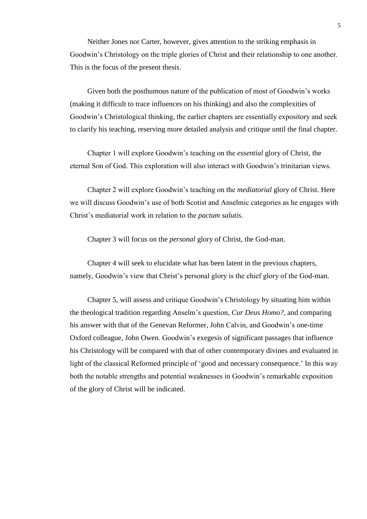Neither Jones nor Carter, however, gives attention to the striking emphasis in Goodwin's Christology on the triple glories of Christ and their relationship to one another. This is the focus of the present thesis.

Given both the posthumous nature of the publication of most of Goodwin's works (making it difficult to trace influences on his thinking) and also the complexities of Goodwin's Christological thinking, the earlier chapters are essentially expository and seek to clarify his teaching, reserving more detailed analysis and critique until the final chapter.

Chapter 1 will explore Goodwin's teaching on the *essential* glory of Christ, the eternal Son of God. This exploration will also interact with Goodwin's trinitarian views.

Chapter 2 will explore Goodwin's teaching on the *mediatorial* glory of Christ. Here we will discuss Goodwin's use of both Scotist and Anselmic categories as he engages with Christ's mediatorial work in relation to the *pactum salutis*.

Chapter 3 will focus on the *personal* glory of Christ, the God-man.

Chapter 4 will seek to elucidate what has been latent in the previous chapters, namely, Goodwin's view that Christ's personal glory is the chief glory of the God-man.

Chapter 5, will assess and critique Goodwin's Christology by situating him within the theological tradition regarding Anselm's question, *Cur Deus Homo?*, and comparing his answer with that of the Genevan Reformer, John Calvin, and Goodwin's one-time Oxford colleague, John Owen. Goodwin's exegesis of significant passages that influence his Christology will be compared with that of other contemporary divines and evaluated in light of the classical Reformed principle of 'good and necessary consequence.' In this way both the notable strengths and potential weaknesses in Goodwin's remarkable exposition of the glory of Christ will be indicated.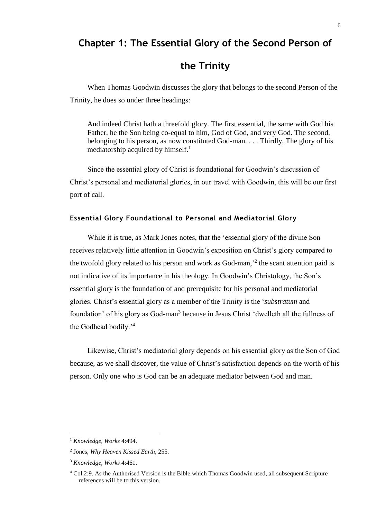# **Chapter 1: The Essential Glory of the Second Person of**

# **the Trinity**

When Thomas Goodwin discusses the glory that belongs to the second Person of the Trinity, he does so under three headings:

And indeed Christ hath a threefold glory. The first essential, the same with God his Father, he the Son being co-equal to him, God of God, and very God. The second, belonging to his person, as now constituted God-man. . . . Thirdly, The glory of his mediatorship acquired by himself.<sup>1</sup>

Since the essential glory of Christ is foundational for Goodwin's discussion of Christ's personal and mediatorial glories, in our travel with Goodwin, this will be our first port of call.

### **Essential Glory Foundational to Personal and Mediatorial Glory**

While it is true, as Mark Jones notes, that the 'essential glory of the divine Son receives relatively little attention in Goodwin's exposition on Christ's glory compared to the twofold glory related to his person and work as God-man,<sup>2</sup> the scant attention paid is not indicative of its importance in his theology. In Goodwin's Christology, the Son's essential glory is the foundation of and prerequisite for his personal and mediatorial glories. Christ's essential glory as a member of the Trinity is the '*substratum* and foundation' of his glory as God-man<sup>3</sup> because in Jesus Christ 'dwelleth all the fullness of the Godhead bodily.'<sup>4</sup>

Likewise, Christ's mediatorial glory depends on his essential glory as the Son of God because, as we shall discover, the value of Christ's satisfaction depends on the worth of his person. Only one who is God can be an adequate mediator between God and man.

<sup>1</sup> *Knowledge, Works* 4:494.

<sup>2</sup> Jones, *Why Heaven Kissed Earth,* 255.

<sup>3</sup> *Knowledge, Works* 4:461.

<sup>4</sup> Col 2:9. As the Authorised Version is the Bible which Thomas Goodwin used, all subsequent Scripture references will be to this version.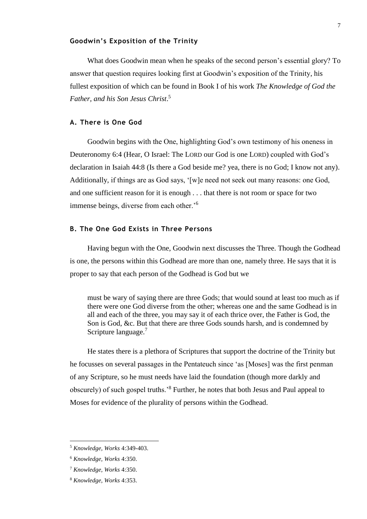### **Goodwin's Exposition of the Trinity**

What does Goodwin mean when he speaks of the second person's essential glory? To answer that question requires looking first at Goodwin's exposition of the Trinity, his fullest exposition of which can be found in Book I of his work *The Knowledge of God the Father, and his Son Jesus Christ*. 5

#### **A. There is One God**

Goodwin begins with the One, highlighting God's own testimony of his oneness in Deuteronomy 6:4 (Hear, O Israel: The LORD our God is one LORD) coupled with God's declaration in Isaiah 44:8 (Is there a God beside me? yea, there is no God; I know not any). Additionally, if things are as God says, '[w]e need not seek out many reasons: one God, and one sufficient reason for it is enough . . . that there is not room or space for two immense beings, diverse from each other.'<sup>6</sup>

## **B. The One God Exists in Three Persons**

Having begun with the One, Goodwin next discusses the Three. Though the Godhead is one, the persons within this Godhead are more than one, namely three. He says that it is proper to say that each person of the Godhead is God but we

must be wary of saying there are three Gods; that would sound at least too much as if there were one God diverse from the other; whereas one and the same Godhead is in all and each of the three, you may say it of each thrice over, the Father is God, the Son is God, &c. But that there are three Gods sounds harsh, and is condemned by Scripture language.<sup>7</sup>

He states there is a plethora of Scriptures that support the doctrine of the Trinity but he focusses on several passages in the Pentateuch since 'as [Moses] was the first penman of any Scripture, so he must needs have laid the foundation (though more darkly and obscurely) of such gospel truths.'<sup>8</sup> Further, he notes that both Jesus and Paul appeal to Moses for evidence of the plurality of persons within the Godhead.

<sup>5</sup> *Knowledge, Works* 4:349-403.

<sup>6</sup> *Knowledge, Works* 4:350.

<sup>7</sup> *Knowledge, Works* 4:350.

<sup>8</sup> *Knowledge, Works* 4:353.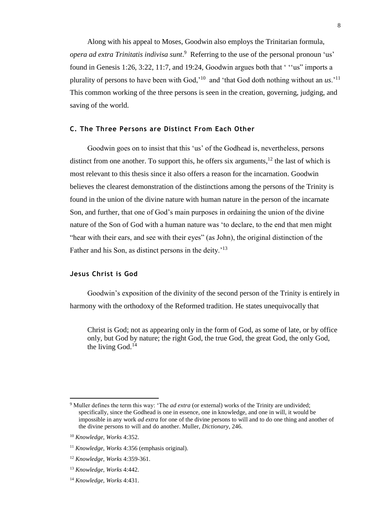Along with his appeal to Moses, Goodwin also employs the Trinitarian formula, *opera ad extra Trinitatis indivisa sunt*. 9 Referring to the use of the personal pronoun 'us' found in Genesis 1:26, 3:22, 11:7, and 19:24, Goodwin argues both that ' ''us" imports a plurality of persons to have been with God,'<sup>10</sup> and 'that God doth nothing without an *us*.'<sup>11</sup> This common working of the three persons is seen in the creation, governing, judging, and saving of the world.

## **C. The Three Persons are Distinct From Each Other**

Goodwin goes on to insist that this 'us' of the Godhead is, nevertheless, persons distinct from one another. To support this, he offers six arguments,  $12$  the last of which is most relevant to this thesis since it also offers a reason for the incarnation. Goodwin believes the clearest demonstration of the distinctions among the persons of the Trinity is found in the union of the divine nature with human nature in the person of the incarnate Son, and further, that one of God's main purposes in ordaining the union of the divine nature of the Son of God with a human nature was 'to declare, to the end that men might "hear with their ears, and see with their eyes" (as John), the original distinction of the Father and his Son, as distinct persons in the deity.<sup>'13</sup>

## **Jesus Christ is God**

Goodwin's exposition of the divinity of the second person of the Trinity is entirely in harmony with the orthodoxy of the Reformed tradition. He states unequivocally that

Christ is God; not as appearing only in the form of God, as some of late, or by office only, but God by nature; the right God, the true God, the great God, the only God, the living God. $14$ 

l

<sup>9</sup> Muller defines the term this way: 'The *ad extra* (or external) works of the Trinity are undivided; specifically, since the Godhead is one in essence, one in knowledge, and one in will, it would be impossible in any work *ad extra* for one of the divine persons to will and to do one thing and another of the divine persons to will and do another. Muller, *Dictionary*, 246.

<sup>10</sup> *Knowledge, Works* 4:352.

<sup>11</sup> *Knowledge, Works* 4:356 (emphasis original).

<sup>12</sup> *Knowledge, Works* 4:359-361.

<sup>13</sup> *Knowledge, Works* 4:442.

<sup>14</sup> *Knowledge, Works* 4:431.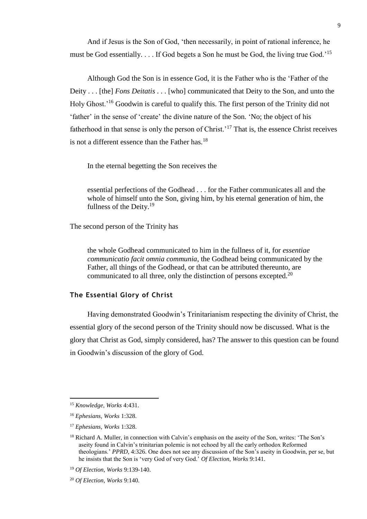And if Jesus is the Son of God, 'then necessarily, in point of rational inference, he must be God essentially. . . . If God begets a Son he must be God, the living true God.'<sup>15</sup>

Although God the Son is in essence God, it is the Father who is the 'Father of the Deity . . . [the] *Fons Deitatis* . . . [who] communicated that Deity to the Son, and unto the Holy Ghost.'<sup>16</sup> Goodwin is careful to qualify this. The first person of the Trinity did not 'father' in the sense of 'create' the divine nature of the Son. 'No; the object of his fatherhood in that sense is only the person of Christ.<sup>17</sup> That is, the essence Christ receives is not a different essence than the Father has. $18$ 

In the eternal begetting the Son receives the

essential perfections of the Godhead . . . for the Father communicates all and the whole of himself unto the Son, giving him, by his eternal generation of him, the fullness of the Deity.<sup>19</sup>

The second person of the Trinity has

the whole Godhead communicated to him in the fullness of it, for *essentiae communicatio facit omnia communia*, the Godhead being communicated by the Father, all things of the Godhead, or that can be attributed thereunto, are communicated to all three, only the distinction of persons excepted.<sup>20</sup>

## **The Essential Glory of Christ**

Having demonstrated Goodwin's Trinitarianism respecting the divinity of Christ, the essential glory of the second person of the Trinity should now be discussed. What is the glory that Christ as God, simply considered, has? The answer to this question can be found in Goodwin's discussion of the glory of God.

l

<sup>15</sup> *Knowledge, Works* 4:431.

<sup>16</sup> *Ephesians, Works* 1:328.

<sup>17</sup> *Ephesians, Works* 1:328.

<sup>18</sup> Richard A. Muller, in connection with Calvin's emphasis on the aseity of the Son, writes: 'The Son's aseity found in Calvin's trinitarian polemic is not echoed by all the early orthodox Reformed theologians.' *PPRD*, 4:326. One does not see any discussion of the Son's aseity in Goodwin, per se, but he insists that the Son is 'very God of very God.' *Of Election, Works* 9:141.

<sup>19</sup> *Of Election, Works* 9:139-140.

<sup>20</sup> *Of Election, Works* 9:140.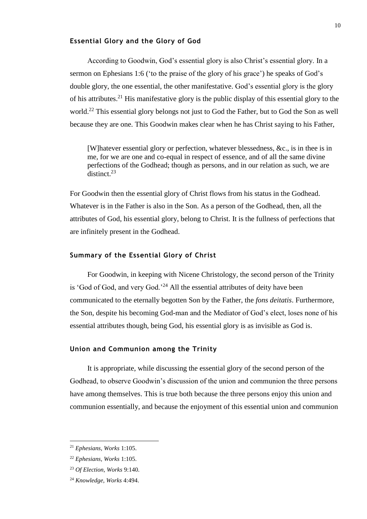#### **Essential Glory and the Glory of God**

According to Goodwin, God's essential glory is also Christ's essential glory. In a sermon on Ephesians 1:6 ('to the praise of the glory of his grace') he speaks of God's double glory, the one essential, the other manifestative. God's essential glory is the glory of his attributes.<sup>21</sup> His manifestative glory is the public display of this essential glory to the world.<sup>22</sup> This essential glory belongs not just to God the Father, but to God the Son as well because they are one. This Goodwin makes clear when he has Christ saying to his Father,

[W]hatever essential glory or perfection, whatever blessedness, &c., is in thee is in me, for we are one and co-equal in respect of essence, and of all the same divine perfections of the Godhead; though as persons, and in our relation as such, we are  $\frac{1}{\text{distinct}}$  23

For Goodwin then the essential glory of Christ flows from his status in the Godhead. Whatever is in the Father is also in the Son. As a person of the Godhead, then, all the attributes of God, his essential glory, belong to Christ. It is the fullness of perfections that are infinitely present in the Godhead.

#### **Summary of the Essential Glory of Christ**

For Goodwin, in keeping with Nicene Christology, the second person of the Trinity is 'God of God, and very God.<sup>24</sup> All the essential attributes of deity have been communicated to the eternally begotten Son by the Father, the *fons deitatis*. Furthermore, the Son, despite his becoming God-man and the Mediator of God's elect, loses none of his essential attributes though, being God, his essential glory is as invisible as God is.

#### **Union and Communion among the Trinity**

It is appropriate, while discussing the essential glory of the second person of the Godhead, to observe Goodwin's discussion of the union and communion the three persons have among themselves. This is true both because the three persons enjoy this union and communion essentially, and because the enjoyment of this essential union and communion

<sup>21</sup> *Ephesians, Works* 1:105.

<sup>22</sup> *Ephesians, Works* 1:105.

<sup>23</sup> *Of Election, Works* 9:140.

<sup>24</sup> *Knowledge, Works* 4:494.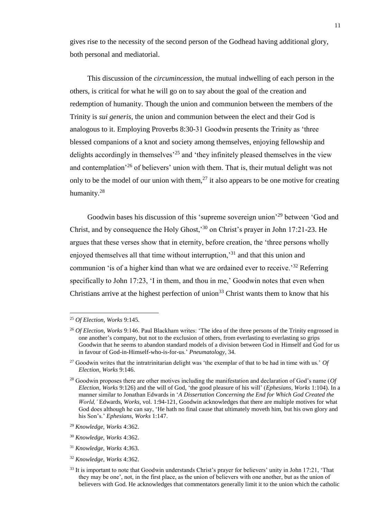gives rise to the necessity of the second person of the Godhead having additional glory, both personal and mediatorial.

This discussion of the *circumincession*, the mutual indwelling of each person in the others, is critical for what he will go on to say about the goal of the creation and redemption of humanity. Though the union and communion between the members of the Trinity is *sui generis*, the union and communion between the elect and their God is analogous to it. Employing Proverbs 8:30-31 Goodwin presents the Trinity as 'three blessed companions of a knot and society among themselves, enjoying fellowship and delights accordingly in themselves<sup>25</sup> and 'they infinitely pleased themselves in the view and contemplation'<sup>26</sup> of believers' union with them. That is, their mutual delight was not only to be the model of our union with them,<sup>27</sup> it also appears to be one motive for creating humanity.<sup>28</sup>

Goodwin bases his discussion of this 'supreme sovereign union'<sup>29</sup> between 'God and Christ, and by consequence the Holy Ghost,'<sup>30</sup> on Christ's prayer in John 17:21-23. He argues that these verses show that in eternity, before creation, the 'three persons wholly enjoyed themselves all that time without interruption,'<sup>31</sup> and that this union and communion 'is of a higher kind than what we are ordained ever to receive.<sup>32</sup> Referring specifically to John 17:23, 'I in them, and thou in me,' Goodwin notes that even when Christians arrive at the highest perfection of union<sup>33</sup> Christ wants them to know that his

<sup>25</sup> *Of Election, Works* 9:145.

<sup>26</sup> *Of Election, Works* 9:146. Paul Blackham writes: 'The idea of the three persons of the Trinity engrossed in one another's company, but not to the exclusion of others, from everlasting to everlasting so grips Goodwin that he seems to abandon standard models of a division between God in Himself and God for us in favour of God-in-Himself-who-is-for-us.' *Pneumatology*, 34.

<sup>27</sup> Goodwin writes that the intratrinitarian delight was 'the exemplar of that to be had in time with us.' *Of Election, Works* 9:146.

<sup>28</sup> Goodwin proposes there are other motives including the manifestation and declaration of God's name (*Of Election, Works* 9:126) and the will of God, 'the good pleasure of his will' (*Ephesians, Works* 1:104). In a manner similar to Jonathan Edwards in '*A Dissertation Concerning the End for Which God Created the World,'* Edwards, *Works,* vol. 1:94-121, Goodwin acknowledges that there are multiple motives for what God does although he can say, 'He hath no final cause that ultimately moveth him, but his own glory and his Son's.' *Ephesians, Works* 1:147.

<sup>29</sup> *Knowledge, Works* 4:362.

<sup>30</sup> *Knowledge, Works* 4:362.

<sup>31</sup> *Knowledge, Works* 4:*3*63.

<sup>32</sup> *Knowledge, Works* 4:362.

<sup>&</sup>lt;sup>33</sup> It is important to note that Goodwin understands Christ's prayer for believers' unity in John 17:21, 'That they may be one', not, in the first place, as the union of believers with one another, but as the union of believers with God. He acknowledges that commentators generally limit it to the union which the catholic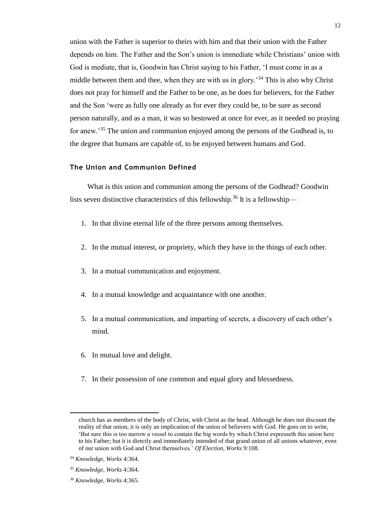union with the Father is superior to theirs with him and that their union with the Father depends on him. The Father and the Son's union is immediate while Christians' union with God is mediate, that is, Goodwin has Christ saying to his Father, 'I must come in as a middle between them and thee, when they are with us in glory.<sup>34</sup> This is also why Christ does not pray for himself and the Father to be one, as he does for believers, for the Father and the Son 'were as fully one already as for ever they could be, to be sure as second person naturally, and as a man, it was so bestowed at once for ever, as it needed no praying for anew.'<sup>35</sup> The union and communion enjoyed among the persons of the Godhead is, to the degree that humans are capable of, to be enjoyed between humans and God.

### **The Union and Communion Defined**

What is this union and communion among the persons of the Godhead? Goodwin lists seven distinctive characteristics of this fellowship.<sup>36</sup> It is a fellowship—

- 1. In that divine eternal life of the three persons among themselves.
- 2. In the mutual interest, or propriety, which they have in the things of each other.
- 3. In a mutual communication and enjoyment.
- 4. In a mutual knowledge and acquaintance with one another.
- 5. In a mutual communication, and imparting of secrets, a discovery of each other's mind.
- 6. In mutual love and delight.
- 7. In their possession of one common and equal glory and blessedness.

 $\overline{a}$ 

church has as members of the body of Christ, with Christ as the head. Although he does not discount the reality of that union, it is only an implication of the union of believers with God. He goes on to write, 'But sure this is too narrow a vessel to contain the big words by which Christ expresseth this union here to his Father; but it is directly and immediately intended of that grand union of all unions whatever, even of our union with God and Christ themselves.' *Of Election, Works* 9:108.

<sup>34</sup> *Knowledge, Works* 4:364.

<sup>35</sup> *Knowledge, Works* 4:364.

<sup>36</sup> *Knowledge, Works* 4:365.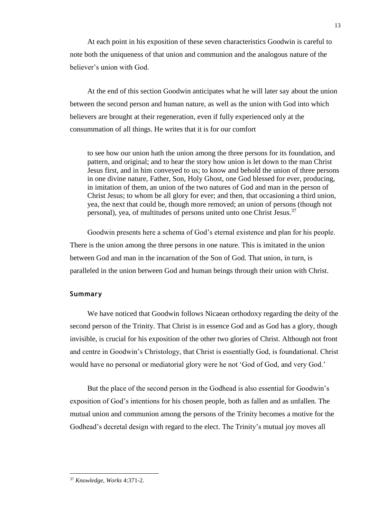At each point in his exposition of these seven characteristics Goodwin is careful to note both the uniqueness of that union and communion and the analogous nature of the believer's union with God.

At the end of this section Goodwin anticipates what he will later say about the union between the second person and human nature, as well as the union with God into which believers are brought at their regeneration, even if fully experienced only at the consummation of all things. He writes that it is for our comfort

to see how our union hath the union among the three persons for its foundation, and pattern, and original; and to hear the story how union is let down to the man Christ Jesus first, and in him conveyed to us; to know and behold the union of three persons in one divine nature, Father, Son, Holy Ghost, one God blessed for ever, producing, in imitation of them, an union of the two natures of God and man in the person of Christ Jesus; to whom be all glory for ever; and then, that occasioning a third union, yea, the next that could be, though more removed; an union of persons (though not personal), yea, of multitudes of persons united unto one Christ Jesus.<sup>37</sup>

Goodwin presents here a schema of God's eternal existence and plan for his people. There is the union among the three persons in one nature. This is imitated in the union between God and man in the incarnation of the Son of God. That union, in turn, is paralleled in the union between God and human beings through their union with Christ.

### **Summary**

We have noticed that Goodwin follows Nicaean orthodoxy regarding the deity of the second person of the Trinity. That Christ is in essence God and as God has a glory, though invisible, is crucial for his exposition of the other two glories of Christ. Although not front and centre in Goodwin's Christology, that Christ is essentially God, is foundational. Christ would have no personal or mediatorial glory were he not 'God of God, and very God.'

But the place of the second person in the Godhead is also essential for Goodwin's exposition of God's intentions for his chosen people, both as fallen and as unfallen. The mutual union and communion among the persons of the Trinity becomes a motive for the Godhead's decretal design with regard to the elect. The Trinity's mutual joy moves all

<sup>37</sup> *Knowledge, Works* 4:371-2.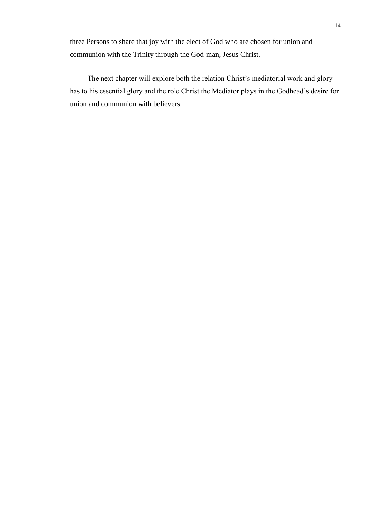three Persons to share that joy with the elect of God who are chosen for union and communion with the Trinity through the God-man, Jesus Christ.

The next chapter will explore both the relation Christ's mediatorial work and glory has to his essential glory and the role Christ the Mediator plays in the Godhead's desire for union and communion with believers.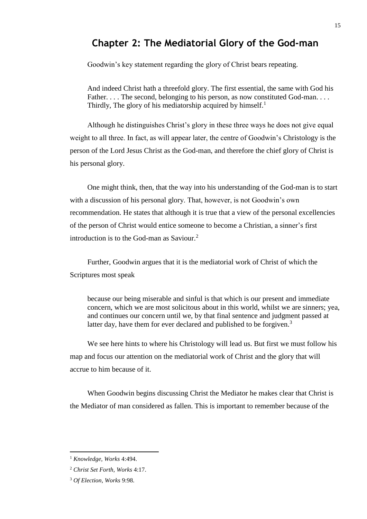# **Chapter 2: The Mediatorial Glory of the God-man**

Goodwin's key statement regarding the glory of Christ bears repeating.

And indeed Christ hath a threefold glory. The first essential, the same with God his Father. . . . The second, belonging to his person, as now constituted God-man. . . . Thirdly. The glory of his mediatorship acquired by himself.<sup>1</sup>

Although he distinguishes Christ's glory in these three ways he does not give equal weight to all three. In fact, as will appear later, the centre of Goodwin's Christology is the person of the Lord Jesus Christ as the God-man, and therefore the chief glory of Christ is his personal glory.

One might think, then, that the way into his understanding of the God-man is to start with a discussion of his personal glory. That, however, is not Goodwin's own recommendation. He states that although it is true that a view of the personal excellencies of the person of Christ would entice someone to become a Christian, a sinner's first introduction is to the God-man as Saviour.<sup>2</sup>

Further, Goodwin argues that it is the mediatorial work of Christ of which the Scriptures most speak

because our being miserable and sinful is that which is our present and immediate concern, which we are most solicitous about in this world, whilst we are sinners; yea, and continues our concern until we, by that final sentence and judgment passed at latter day, have them for ever declared and published to be forgiven.<sup>3</sup>

We see here hints to where his Christology will lead us. But first we must follow his map and focus our attention on the mediatorial work of Christ and the glory that will accrue to him because of it.

When Goodwin begins discussing Christ the Mediator he makes clear that Christ is the Mediator of man considered as fallen. This is important to remember because of the

l

<sup>1</sup> *Knowledge, Works* 4:494.

<sup>2</sup> *Christ Set Forth, Works* 4:17.

<sup>3</sup> *Of Election, Works* 9:98.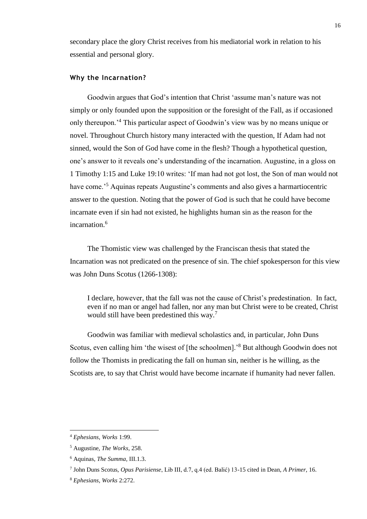secondary place the glory Christ receives from his mediatorial work in relation to his essential and personal glory.

#### **Why the Incarnation?**

Goodwin argues that God's intention that Christ 'assume man's nature was not simply or only founded upon the supposition or the foresight of the Fall, as if occasioned only thereupon.'<sup>4</sup> This particular aspect of Goodwin's view was by no means unique or novel. Throughout Church history many interacted with the question, If Adam had not sinned, would the Son of God have come in the flesh? Though a hypothetical question, one's answer to it reveals one's understanding of the incarnation. Augustine, in a gloss on 1 Timothy 1:15 and Luke 19:10 writes: 'If man had not got lost, the Son of man would not have come.<sup>5</sup> Aquinas repeats Augustine's comments and also gives a harmartiocentric answer to the question. Noting that the power of God is such that he could have become incarnate even if sin had not existed, he highlights human sin as the reason for the incarnation.<sup>6</sup>

The Thomistic view was challenged by the Franciscan thesis that stated the Incarnation was not predicated on the presence of sin. The chief spokesperson for this view was John Duns Scotus (1266-1308):

I declare, however, that the fall was not the cause of Christ's predestination. In fact, even if no man or angel had fallen, nor any man but Christ were to be created, Christ would still have been predestined this way.<sup>7</sup>

Goodwin was familiar with medieval scholastics and, in particular, John Duns Scotus, even calling him 'the wisest of [the schoolmen].'<sup>8</sup> But although Goodwin does not follow the Thomists in predicating the fall on human sin, neither is he willing, as the Scotists are, to say that Christ would have become incarnate if humanity had never fallen.

<sup>4</sup> *Ephesians, Works* 1:99.

<sup>5</sup> Augustine, *The Works,* 258.

<sup>6</sup> Aquinas, *The Summa,* III.1.3.

<sup>7</sup> John Duns Scotus, *Opus Parisiense*, Lib III, d.7, q.4 (ed. Balić) 13-15 cited in Dean, *A Primer*, 16.

<sup>8</sup> *Ephesians, Works* 2:272.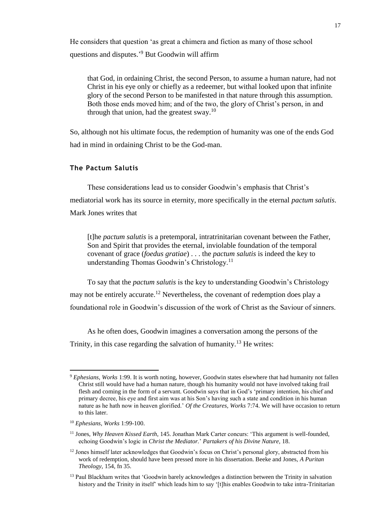He considers that question 'as great a chimera and fiction as many of those school questions and disputes.'<sup>9</sup> But Goodwin will affirm

that God, in ordaining Christ, the second Person, to assume a human nature, had not Christ in his eye only or chiefly as a redeemer, but withal looked upon that infinite glory of the second Person to be manifested in that nature through this assumption. Both those ends moved him; and of the two, the glory of Christ's person, in and through that union, had the greatest sway.<sup>10</sup>

So, although not his ultimate focus, the redemption of humanity was one of the ends God had in mind in ordaining Christ to be the God-man.

### **The Pactum Salutis**

These considerations lead us to consider Goodwin's emphasis that Christ's mediatorial work has its source in eternity, more specifically in the eternal *pactum salutis*. Mark Jones writes that

[t]he *pactum salutis* is a pretemporal, intratrinitarian covenant between the Father, Son and Spirit that provides the eternal, inviolable foundation of the temporal covenant of grace (*foedus gratiae*) . . . the *pactum salutis* is indeed the key to understanding Thomas Goodwin's Christology.<sup>11</sup>

To say that the *pactum salutis* is the key to understanding Goodwin's Christology may not be entirely accurate.<sup>12</sup> Nevertheless, the covenant of redemption does play a foundational role in Goodwin's discussion of the work of Christ as the Saviour of sinners.

As he often does, Goodwin imagines a conversation among the persons of the Trinity, in this case regarding the salvation of humanity.<sup>13</sup> He writes:

<sup>9</sup> *Ephesians, Works* 1:99. It is worth noting, however, Goodwin states elsewhere that had humanity not fallen Christ still would have had a human nature, though his humanity would not have involved taking frail flesh and coming in the form of a servant. Goodwin says that in God's 'primary intention, his chief and primary decree, his eye and first aim was at his Son's having such a state and condition in his human nature as he hath now in heaven glorified.' *Of the Creatures, Works* 7:74. We will have occasion to return to this later.

<sup>10</sup> *Ephesians, Works* 1:99-100.

<sup>11</sup> Jones, *Why Heaven Kissed Earth*, 145. Jonathan Mark Carter concurs: 'This argument is well-founded, echoing Goodwin's logic in *Christ the Mediator.*' *Partakers of his Divine Nature,* 18.

<sup>&</sup>lt;sup>12</sup> Jones himself later acknowledges that Goodwin's focus on Christ's personal glory, abstracted from his work of redemption, should have been pressed more in his dissertation. Beeke and Jones, *A Puritan Theology,* 154, fn 35.

<sup>&</sup>lt;sup>13</sup> Paul Blackham writes that 'Goodwin barely acknowledges a distinction between the Trinity in salvation history and the Trinity in itself' which leads him to say '[t]his enables Goodwin to take intra-Trinitarian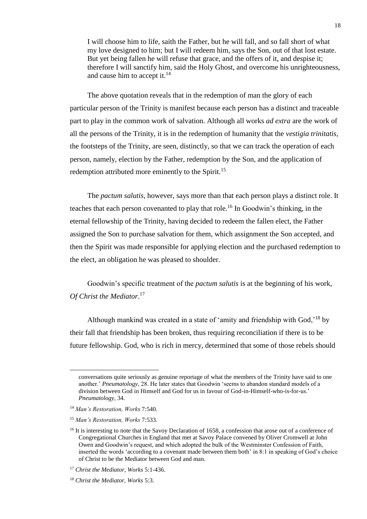I will choose him to life, saith the Father, but he will fall, and so fall short of what my love designed to him; but I will redeem him, says the Son, out of that lost estate. But yet being fallen he will refuse that grace, and the offers of it, and despise it; therefore I will sanctify him, said the Holy Ghost, and overcome his unrighteousness, and cause him to accept it.<sup>14</sup>

The above quotation reveals that in the redemption of man the glory of each particular person of the Trinity is manifest because each person has a distinct and traceable part to play in the common work of salvation. Although all works *ad extra* are the work of all the persons of the Trinity, it is in the redemption of humanity that the *vestigia trinitatis*, the footsteps of the Trinity, are seen, distinctly, so that we can track the operation of each person, namely, election by the Father, redemption by the Son, and the application of redemption attributed more eminently to the Spirit.<sup>15</sup>

The *pactum salutis*, however, says more than that each person plays a distinct role. It teaches that each person covenanted to play that role.<sup>16</sup> In Goodwin's thinking, in the eternal fellowship of the Trinity, having decided to redeem the fallen elect, the Father assigned the Son to purchase salvation for them, which assignment the Son accepted, and then the Spirit was made responsible for applying election and the purchased redemption to the elect, an obligation he was pleased to shoulder.

Goodwin's specific treatment of the *pactum salutis* is at the beginning of his work, *Of Christ the Mediator*. 17

Although mankind was created in a state of 'amity and friendship with God,'<sup>18</sup> by their fall that friendship has been broken, thus requiring reconciliation if there is to be future fellowship. God, who is rich in mercy, determined that some of those rebels should

conversations quite seriously as genuine reportage of what the members of the Trinity have said to one another.' *Pneumatology*, 28. He later states that Goodwin 'seems to abandon standard models of a division between God in Himself and God for us in favour of God-in-Himself-who-is-for-us.' *Pneumatology,* 34.

<sup>14</sup> *Man's Restoration, Works* 7:540.

<sup>15</sup> *Man's Restoration, Works* 7:533.

<sup>&</sup>lt;sup>16</sup> It is interesting to note that the Savoy Declaration of 1658, a confession that arose out of a conference of Congregational Churches in England that met at Savoy Palace convened by Oliver Cromwell at John Owen and Goodwin's request, and which adopted the bulk of the Westminster Confession of Faith, inserted the words 'according to a covenant made between them both' in 8:1 in speaking of God's choice of Christ to be the Mediator between God and man.

<sup>17</sup> *Christ the Mediator, Works* 5:1-436.

<sup>18</sup> *Christ the Mediator, Works* 5:3.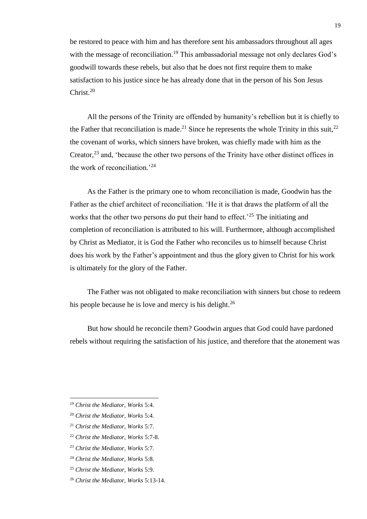be restored to peace with him and has therefore sent his ambassadors throughout all ages with the message of reconciliation.<sup>19</sup> This ambassadorial message not only declares God's goodwill towards these rebels, but also that he does not first require them to make satisfaction to his justice since he has already done that in the person of his Son Jesus Christ.<sup>20</sup>

All the persons of the Trinity are offended by humanity's rebellion but it is chiefly to the Father that reconciliation is made.<sup>21</sup> Since he represents the whole Trinity in this suit,<sup>22</sup> the covenant of works, which sinners have broken, was chiefly made with him as the Creator,  $^{23}$  and, 'because the other two persons of the Trinity have other distinct offices in the work of reconciliation.'<sup>24</sup>

As the Father is the primary one to whom reconciliation is made, Goodwin has the Father as the chief architect of reconciliation. 'He it is that draws the platform of all the works that the other two persons do put their hand to effect.<sup> $25$ </sup> The initiating and completion of reconciliation is attributed to his will. Furthermore, although accomplished by Christ as Mediator, it is God the Father who reconciles us to himself because Christ does his work by the Father's appointment and thus the glory given to Christ for his work is ultimately for the glory of the Father.

The Father was not obligated to make reconciliation with sinners but chose to redeem his people because he is love and mercy is his delight.<sup>26</sup>

But how should he reconcile them? Goodwin argues that God could have pardoned rebels without requiring the satisfaction of his justice, and therefore that the atonement was

 $\overline{a}$ 

- <sup>22</sup> *Christ the Mediator, Works* 5:7-8.
- <sup>23</sup> *Christ the Mediator, Works* 5:7.
- <sup>24</sup> *Christ the Mediator, Works* 5:8.
- <sup>25</sup> *Christ the Mediator, Works* 5:9.
- <sup>26</sup> *Christ the Mediator, Works* 5:13-14.

<sup>19</sup> *Christ the Mediator, Works* 5:4.

<sup>20</sup> *Christ the Mediator, Works* 5:4.

<sup>21</sup> *Christ the Mediator, Works* 5:7.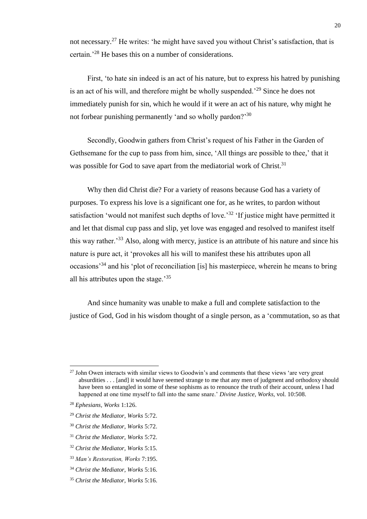not necessary.<sup>27</sup> He writes: 'he might have saved you without Christ's satisfaction, that is certain.'<sup>28</sup> He bases this on a number of considerations.

First, 'to hate sin indeed is an act of his nature, but to express his hatred by punishing is an act of his will, and therefore might be wholly suspended.'<sup>29</sup> Since he does not immediately punish for sin, which he would if it were an act of his nature, why might he not forbear punishing permanently 'and so wholly pardon?'<sup>30</sup>

Secondly, Goodwin gathers from Christ's request of his Father in the Garden of Gethsemane for the cup to pass from him, since, 'All things are possible to thee,' that it was possible for God to save apart from the mediatorial work of Christ.<sup>31</sup>

Why then did Christ die? For a variety of reasons because God has a variety of purposes. To express his love is a significant one for, as he writes, to pardon without satisfaction 'would not manifest such depths of love.<sup>32</sup> 'If justice might have permitted it and let that dismal cup pass and slip, yet love was engaged and resolved to manifest itself this way rather.<sup>33</sup> Also, along with mercy, justice is an attribute of his nature and since his nature is pure act, it 'provokes all his will to manifest these his attributes upon all occasions'<sup>34</sup> and his 'plot of reconciliation [is] his masterpiece, wherein he means to bring all his attributes upon the stage.<sup>35</sup>

And since humanity was unable to make a full and complete satisfaction to the justice of God, God in his wisdom thought of a single person, as a 'commutation, so as that

l

 $27$  John Owen interacts with similar views to Goodwin's and comments that these views 'are very great absurdities . . . [and] it would have seemed strange to me that any men of judgment and orthodoxy should have been so entangled in some of these sophisms as to renounce the truth of their account, unless I had happened at one time myself to fall into the same snare.' *Divine Justice, Works,* vol. 10:508.

<sup>28</sup> *Ephesians, Works* 1:126.

<sup>29</sup> *Christ the Mediator, Works* 5:72.

<sup>30</sup> *Christ the Mediator, Works* 5:72.

<sup>31</sup> *Christ the Mediator, Works* 5:72.

<sup>32</sup> *Christ the Mediator, Works* 5:15.

<sup>33</sup> *Man's Restoration, Works* 7:195.

<sup>34</sup> *Christ the Mediator, Works* 5:16.

<sup>35</sup> *Christ the Mediator, Works* 5:16.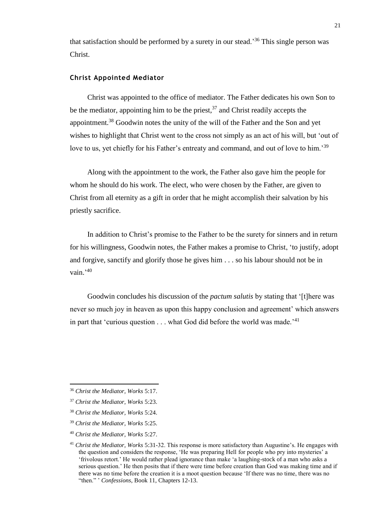that satisfaction should be performed by a surety in our stead.'<sup>36</sup> This single person was Christ.

#### **Christ Appointed Mediator**

Christ was appointed to the office of mediator. The Father dedicates his own Son to be the mediator, appointing him to be the priest,  $37$  and Christ readily accepts the appointment.<sup>38</sup> Goodwin notes the unity of the will of the Father and the Son and yet wishes to highlight that Christ went to the cross not simply as an act of his will, but 'out of love to us, yet chiefly for his Father's entreaty and command, and out of love to him.'<sup>39</sup>

Along with the appointment to the work, the Father also gave him the people for whom he should do his work. The elect, who were chosen by the Father, are given to Christ from all eternity as a gift in order that he might accomplish their salvation by his priestly sacrifice.

In addition to Christ's promise to the Father to be the surety for sinners and in return for his willingness, Goodwin notes, the Father makes a promise to Christ, 'to justify, adopt and forgive, sanctify and glorify those he gives him . . . so his labour should not be in vain.'<sup>40</sup>

Goodwin concludes his discussion of the *pactum salutis* by stating that '[t]here was never so much joy in heaven as upon this happy conclusion and agreement' which answers in part that 'curious question  $\ldots$  what God did before the world was made.<sup>'41</sup>

 $\overline{\phantom{a}}$ 

<sup>40</sup> *Christ the Mediator, Works* 5:27.

<sup>36</sup> *Christ the Mediator, Works* 5:17.

<sup>37</sup> *Christ the Mediator, Works* 5:23.

<sup>38</sup> *Christ the Mediator, Works* 5:24.

<sup>39</sup> *Christ the Mediator, Works* 5:25.

<sup>41</sup> *Christ the Mediator, Works* 5:31-32. This response is more satisfactory than Augustine's. He engages with the question and considers the response, 'He was preparing Hell for people who pry into mysteries' a 'frivolous retort.' He would rather plead ignorance than make 'a laughing-stock of a man who asks a serious question.' He then posits that if there were time before creation than God was making time and if there was no time before the creation it is a moot question because 'If there was no time, there was no "then." ' *Confessions*, Book 11, Chapters 12-13.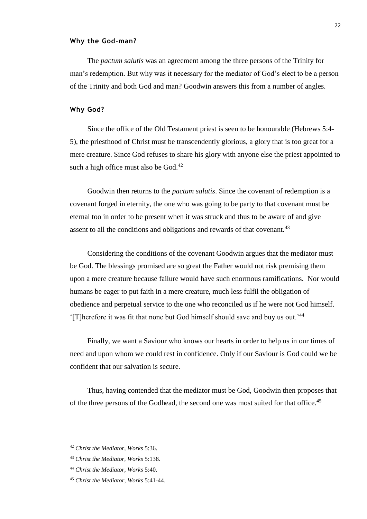#### **Why the God-man?**

The *pactum salutis* was an agreement among the three persons of the Trinity for man's redemption. But why was it necessary for the mediator of God's elect to be a person of the Trinity and both God and man? Goodwin answers this from a number of angles.

#### **Why God?**

Since the office of the Old Testament priest is seen to be honourable (Hebrews 5:4- 5), the priesthood of Christ must be transcendently glorious, a glory that is too great for a mere creature. Since God refuses to share his glory with anyone else the priest appointed to such a high office must also be  $God.<sup>42</sup>$ 

Goodwin then returns to the *pactum salutis*. Since the covenant of redemption is a covenant forged in eternity, the one who was going to be party to that covenant must be eternal too in order to be present when it was struck and thus to be aware of and give assent to all the conditions and obligations and rewards of that covenant.<sup>43</sup>

Considering the conditions of the covenant Goodwin argues that the mediator must be God. The blessings promised are so great the Father would not risk premising them upon a mere creature because failure would have such enormous ramifications. Nor would humans be eager to put faith in a mere creature, much less fulfil the obligation of obedience and perpetual service to the one who reconciled us if he were not God himself. '[T]herefore it was fit that none but God himself should save and buy us out.'<sup>44</sup>

Finally, we want a Saviour who knows our hearts in order to help us in our times of need and upon whom we could rest in confidence. Only if our Saviour is God could we be confident that our salvation is secure.

Thus, having contended that the mediator must be God, Goodwin then proposes that of the three persons of the Godhead, the second one was most suited for that office.<sup>45</sup>

<sup>42</sup> *Christ the Mediator, Works* 5:36.

<sup>43</sup> *Christ the Mediator, Works* 5:138.

<sup>44</sup> *Christ the Mediator, Works* 5:40.

<sup>45</sup> *Christ the Mediator, Works* 5:41-44.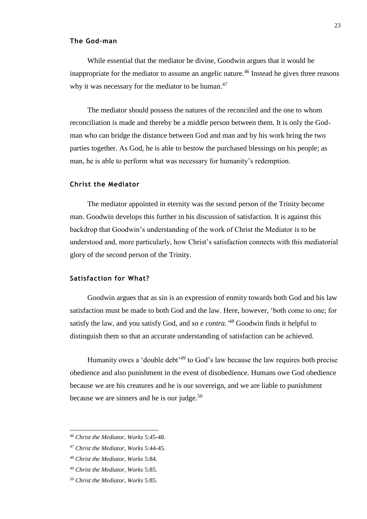#### **The God-man**

While essential that the mediator be divine, Goodwin argues that it would be inappropriate for the mediator to assume an angelic nature.<sup>46</sup> Instead he gives three reasons why it was necessary for the mediator to be human. $47$ 

The mediator should possess the natures of the reconciled and the one to whom reconciliation is made and thereby be a middle person between them. It is only the Godman who can bridge the distance between God and man and by his work bring the two parties together. As God, he is able to bestow the purchased blessings on his people; as man, he is able to perform what was necessary for humanity's redemption.

#### **Christ the Mediator**

The mediator appointed in eternity was the second person of the Trinity become man. Goodwin develops this further in his discussion of satisfaction. It is against this backdrop that Goodwin's understanding of the work of Christ the Mediator is to be understood and, more particularly, how Christ's satisfaction connects with this mediatorial glory of the second person of the Trinity.

#### **Satisfaction for What?**

Goodwin argues that as sin is an expression of enmity towards both God and his law satisfaction must be made to both God and the law. Here, however, 'both come to one; for satisfy the law, and you satisfy God, and so *e contra*.<sup>48</sup> Goodwin finds it helpful to distinguish them so that an accurate understanding of satisfaction can be achieved.

Humanity owes a 'double debt'<sup>49</sup> to God's law because the law requires both precise obedience and also punishment in the event of disobedience. Humans owe God obedience because we are his creatures and he is our sovereign, and we are liable to punishment because we are sinners and he is our judge. $50$ 

<sup>46</sup> *Christ the Mediator, Works* 5:45-48.

<sup>47</sup> *Christ the Mediator, Works* 5:44-45.

<sup>48</sup> *Christ the Mediator, Works* 5:84.

<sup>49</sup> *Christ the Mediator, Works* 5:85.

<sup>50</sup> *Christ the Mediator, Works* 5:85.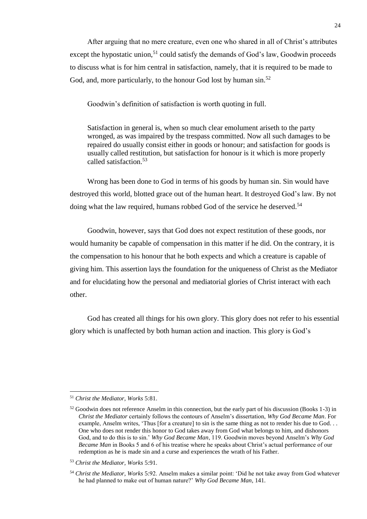After arguing that no mere creature, even one who shared in all of Christ's attributes except the hypostatic union,<sup>51</sup> could satisfy the demands of God's law, Goodwin proceeds to discuss what is for him central in satisfaction, namely, that it is required to be made to God, and, more particularly, to the honour God lost by human sin.<sup>52</sup>

Goodwin's definition of satisfaction is worth quoting in full.

Satisfaction in general is, when so much clear emolument ariseth to the party wronged, as was impaired by the trespass committed. Now all such damages to be repaired do usually consist either in goods or honour; and satisfaction for goods is usually called restitution, but satisfaction for honour is it which is more properly called satisfaction.<sup>53</sup>

Wrong has been done to God in terms of his goods by human sin. Sin would have destroyed this world, blotted grace out of the human heart. It destroyed God's law. By not doing what the law required, humans robbed God of the service he deserved.<sup>54</sup>

Goodwin, however, says that God does not expect restitution of these goods, nor would humanity be capable of compensation in this matter if he did. On the contrary, it is the compensation to his honour that he both expects and which a creature is capable of giving him. This assertion lays the foundation for the uniqueness of Christ as the Mediator and for elucidating how the personal and mediatorial glories of Christ interact with each other.

God has created all things for his own glory. This glory does not refer to his essential glory which is unaffected by both human action and inaction. This glory is God's

<sup>51</sup> *Christ the Mediator, Works* 5:81.

<sup>52</sup> Goodwin does not reference Anselm in this connection, but the early part of his discussion (Books 1-3) in *Christ the Mediator* certainly follows the contours of Anselm's dissertation, *Why God Became Man*. For example, Anselm writes, 'Thus [for a creature] to sin is the same thing as not to render his due to God. . . One who does not render this honor to God takes away from God what belongs to him, and dishonors God, and to do this is to sin.' *Why God Became Man*, 119. Goodwin moves beyond Anselm's *Why God Became Man* in Books 5 and 6 of his treatise where he speaks about Christ's actual performance of our redemption as he is made sin and a curse and experiences the wrath of his Father.

<sup>53</sup> *Christ the Mediator, Works* 5:91.

<sup>54</sup> *Christ the Mediator, Works* 5:92. Anselm makes a similar point: 'Did he not take away from God whatever he had planned to make out of human nature?' *Why God Became Man*, 141.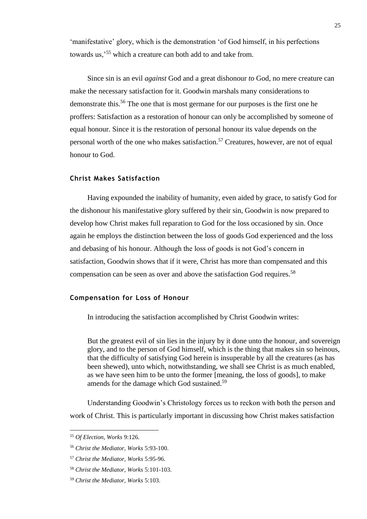'manifestative' glory, which is the demonstration 'of God himself, in his perfections towards us,'<sup>55</sup> which a creature can both add to and take from.

Since sin is an evil *against* God and a great dishonour *to* God, no mere creature can make the necessary satisfaction for it. Goodwin marshals many considerations to demonstrate this.<sup>56</sup> The one that is most germane for our purposes is the first one he proffers: Satisfaction as a restoration of honour can only be accomplished by someone of equal honour. Since it is the restoration of personal honour its value depends on the personal worth of the one who makes satisfaction.<sup>57</sup> Creatures, however, are not of equal honour to God.

#### **Christ Makes Satisfaction**

Having expounded the inability of humanity, even aided by grace, to satisfy God for the dishonour his manifestative glory suffered by their sin, Goodwin is now prepared to develop how Christ makes full reparation to God for the loss occasioned by sin. Once again he employs the distinction between the loss of goods God experienced and the loss and debasing of his honour. Although the loss of goods is not God's concern in satisfaction, Goodwin shows that if it were, Christ has more than compensated and this compensation can be seen as over and above the satisfaction God requires. 58

#### **Compensation for Loss of Honour**

In introducing the satisfaction accomplished by Christ Goodwin writes:

But the greatest evil of sin lies in the injury by it done unto the honour, and sovereign glory, and to the person of God himself, which is the thing that makes sin so heinous, that the difficulty of satisfying God herein is insuperable by all the creatures (as has been shewed), unto which, notwithstanding, we shall see Christ is as much enabled, as we have seen him to be unto the former [meaning, the loss of goods], to make amends for the damage which God sustained.<sup>59</sup>

Understanding Goodwin's Christology forces us to reckon with both the person and work of Christ. This is particularly important in discussing how Christ makes satisfaction

<sup>55</sup> *Of Election, Works* 9:126.

<sup>56</sup> *Christ the Mediator, Works* 5:93-100.

<sup>57</sup> *Christ the Mediator, Works* 5:95-96.

<sup>58</sup> *Christ the Mediator, Works* 5:101-103.

<sup>59</sup> *Christ the Mediator, Works* 5:103.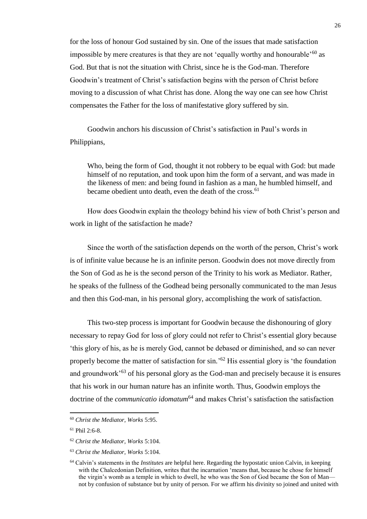for the loss of honour God sustained by sin. One of the issues that made satisfaction impossible by mere creatures is that they are not 'equally worthy and honourable'<sup>60</sup> as God. But that is not the situation with Christ, since he is the God-man. Therefore Goodwin's treatment of Christ's satisfaction begins with the person of Christ before moving to a discussion of what Christ has done. Along the way one can see how Christ compensates the Father for the loss of manifestative glory suffered by sin.

Goodwin anchors his discussion of Christ's satisfaction in Paul's words in Philippians,

Who, being the form of God, thought it not robbery to be equal with God: but made himself of no reputation, and took upon him the form of a servant, and was made in the likeness of men: and being found in fashion as a man, he humbled himself, and became obedient unto death, even the death of the cross.<sup>61</sup>

How does Goodwin explain the theology behind his view of both Christ's person and work in light of the satisfaction he made?

Since the worth of the satisfaction depends on the worth of the person, Christ's work is of infinite value because he is an infinite person. Goodwin does not move directly from the Son of God as he is the second person of the Trinity to his work as Mediator. Rather, he speaks of the fullness of the Godhead being personally communicated to the man Jesus and then this God-man, in his personal glory, accomplishing the work of satisfaction.

This two-step process is important for Goodwin because the dishonouring of glory necessary to repay God for loss of glory could not refer to Christ's essential glory because 'this glory of his, as he is merely God, cannot be debased or diminished, and so can never properly become the matter of satisfaction for sin.<sup>'62</sup> His essential glory is 'the foundation and groundwork'<sup>63</sup> of his personal glory as the God-man and precisely because it is ensures that his work in our human nature has an infinite worth. Thus, Goodwin employs the doctrine of the *communicatio idomatum*<sup>64</sup> and makes Christ's satisfaction the satisfaction

 $\overline{a}$ 

<sup>60</sup> *Christ the Mediator, Works* 5:95.

<sup>61</sup> Phil 2:6-8.

<sup>62</sup> *Christ the Mediator, Works* 5:104.

<sup>63</sup> *Christ the Mediator, Works* 5:104.

<sup>64</sup> Calvin's statements in the *Institutes* are helpful here. Regarding the hypostatic union Calvin, in keeping with the Chalcedonian Definition, writes that the incarnation 'means that, because he chose for himself the virgin's womb as a temple in which to dwell, he who was the Son of God became the Son of Man not by confusion of substance but by unity of person. For we affirm his divinity so joined and united with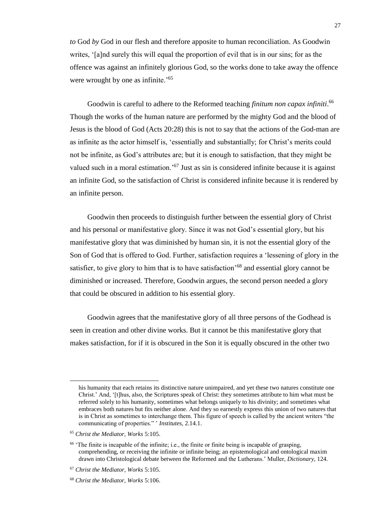*to* God *by* God in our flesh and therefore apposite to human reconciliation. As Goodwin writes, '[a]nd surely this will equal the proportion of evil that is in our sins; for as the offence was against an infinitely glorious God, so the works done to take away the offence were wrought by one as infinite.<sup>'65</sup>

Goodwin is careful to adhere to the Reformed teaching *finitum non capax infiniti*. 66 Though the works of the human nature are performed by the mighty God and the blood of Jesus is the blood of God (Acts 20:28) this is not to say that the actions of the God-man are as infinite as the actor himself is, 'essentially and substantially; for Christ's merits could not be infinite, as God's attributes are; but it is enough to satisfaction, that they might be valued such in a moral estimation.<sup>'67</sup> Just as sin is considered infinite because it is against an infinite God, so the satisfaction of Christ is considered infinite because it is rendered by an infinite person.

Goodwin then proceeds to distinguish further between the essential glory of Christ and his personal or manifestative glory. Since it was not God's essential glory, but his manifestative glory that was diminished by human sin, it is not the essential glory of the Son of God that is offered to God. Further, satisfaction requires a 'lessening of glory in the satisfier, to give glory to him that is to have satisfaction<sup>'68</sup> and essential glory cannot be diminished or increased. Therefore, Goodwin argues, the second person needed a glory that could be obscured in addition to his essential glory.

Goodwin agrees that the manifestative glory of all three persons of the Godhead is seen in creation and other divine works. But it cannot be this manifestative glory that makes satisfaction, for if it is obscured in the Son it is equally obscured in the other two

his humanity that each retains its distinctive nature unimpaired, and yet these two natures constitute one Christ.' And, '[t]hus, also, the Scriptures speak of Christ: they sometimes attribute to him what must be referred solely to his humanity, sometimes what belongs uniquely to his divinity; and sometimes what embraces both natures but fits neither alone. And they so earnestly express this union of two natures that is in Christ as sometimes to interchange them. This figure of speech is called by the ancient writers "the communicating of properties." ' *Institutes*, 2.14.1.

<sup>65</sup> *Christ the Mediator, Works* 5:105.

 $<sup>66</sup>$  The finite is incapable of the infinite; i.e., the finite or finite being is incapable of grasping,</sup> comprehending, or receiving the infinite or infinite being; an epistemological and ontological maxim drawn into Christological debate between the Reformed and the Lutherans.' Muller, *Dictionary,* 124.

<sup>67</sup> *Christ the Mediator, Works* 5:105.

<sup>68</sup> *Christ the Mediator, Works* 5:106.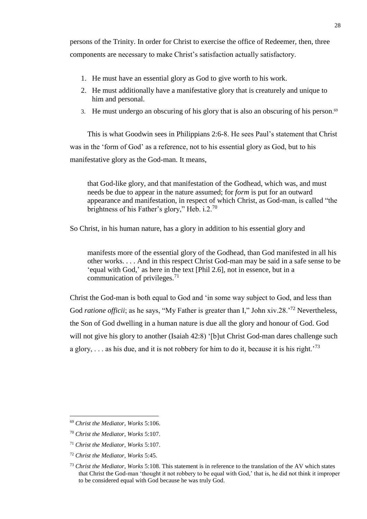persons of the Trinity. In order for Christ to exercise the office of Redeemer, then, three components are necessary to make Christ's satisfaction actually satisfactory.

- 1. He must have an essential glory as God to give worth to his work.
- 2. He must additionally have a manifestative glory that is creaturely and unique to him and personal.
- 3. He must undergo an obscuring of his glory that is also an obscuring of his person. $69$

This is what Goodwin sees in Philippians 2:6-8. He sees Paul's statement that Christ was in the 'form of God' as a reference, not to his essential glory as God, but to his manifestative glory as the God-man. It means,

that God-like glory, and that manifestation of the Godhead, which was, and must needs be due to appear in the nature assumed; for *form* is put for an outward appearance and manifestation, in respect of which Christ, as God-man, is called "the brightness of his Father's glory," Heb. i.2.<sup>70</sup>

So Christ, in his human nature, has a glory in addition to his essential glory and

manifests more of the essential glory of the Godhead, than God manifested in all his other works. . . . And in this respect Christ God-man may be said in a safe sense to be 'equal with God,' as here in the text [Phil 2.6], not in essence, but in a communication of privileges. $71$ 

Christ the God-man is both equal to God and 'in some way subject to God, and less than God *ratione officii*; as he says, "My Father is greater than I," John xiv.28.<sup>'72</sup> Nevertheless, the Son of God dwelling in a human nature is due all the glory and honour of God. God will not give his glory to another (Isaiah 42:8) '[b]ut Christ God-man dares challenge such a glory,  $\ldots$  as his due, and it is not robbery for him to do it, because it is his right.<sup>73</sup>

<sup>69</sup> *Christ the Mediator, Works* 5:106.

<sup>70</sup> *Christ the Mediator, Works* 5:107.

<sup>71</sup> *Christ the Mediator, Works* 5:107.

<sup>72</sup> *Christ the Mediator, Works* 5:45.

<sup>73</sup> *Christ the Mediator, Works* 5:108. This statement is in reference to the translation of the AV which states that Christ the God-man 'thought it not robbery to be equal with God,' that is, he did not think it improper to be considered equal with God because he was truly God.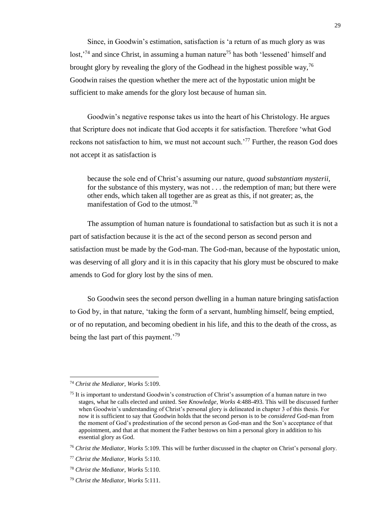Since, in Goodwin's estimation, satisfaction is 'a return of as much glory as was lost,<sup>'74</sup> and since Christ, in assuming a human nature<sup>75</sup> has both 'lessened' himself and brought glory by revealing the glory of the Godhead in the highest possible way,  $^{76}$ Goodwin raises the question whether the mere act of the hypostatic union might be sufficient to make amends for the glory lost because of human sin.

Goodwin's negative response takes us into the heart of his Christology. He argues that Scripture does not indicate that God accepts it for satisfaction. Therefore 'what God reckons not satisfaction to him, we must not account such.<sup> $77$ </sup> Further, the reason God does not accept it as satisfaction is

because the sole end of Christ's assuming our nature, *quoad substantiam mysterii,*  for the substance of this mystery, was not . . . the redemption of man; but there were other ends, which taken all together are as great as this, if not greater; as, the manifestation of God to the utmost.<sup>78</sup>

The assumption of human nature is foundational to satisfaction but as such it is not a part of satisfaction because it is the act of the second person as second person and satisfaction must be made by the God-man. The God-man, because of the hypostatic union, was deserving of all glory and it is in this capacity that his glory must be obscured to make amends to God for glory lost by the sins of men.

So Goodwin sees the second person dwelling in a human nature bringing satisfaction to God by, in that nature, 'taking the form of a servant, humbling himself, being emptied, or of no reputation, and becoming obedient in his life, and this to the death of the cross, as being the last part of this payment.<sup>'79</sup>

l

<sup>74</sup> *Christ the Mediator, Works* 5:109.

<sup>75</sup> It is important to understand Goodwin's construction of Christ's assumption of a human nature in two stages, what he calls elected and united. See *Knowledge, Works* 4:488-493. This will be discussed further when Goodwin's understanding of Christ's personal glory is delineated in chapter 3 of this thesis. For now it is sufficient to say that Goodwin holds that the second person is to be *considered* God-man from the moment of God's predestination of the second person as God-man and the Son's acceptance of that appointment, and that at that moment the Father bestows on him a personal glory in addition to his essential glory as God.

<sup>76</sup> *Christ the Mediator, Works* 5:109. This will be further discussed in the chapter on Christ's personal glory.

<sup>77</sup> *Christ the Mediator, Works* 5:110.

<sup>78</sup> *Christ the Mediator, Works* 5:110.

<sup>79</sup> *Christ the Mediator, Works* 5:111.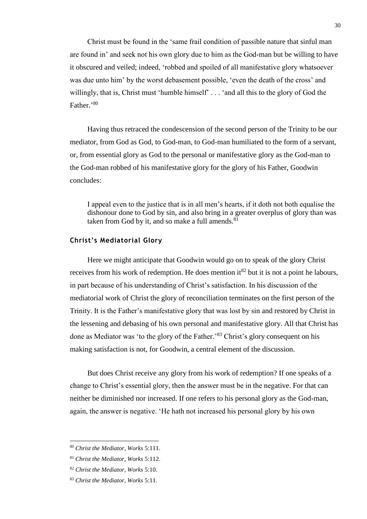Christ must be found in the 'same frail condition of passible nature that sinful man are found in' and seek not his own glory due to him as the God-man but be willing to have it obscured and veiled; indeed, 'robbed and spoiled of all manifestative glory whatsoever was due unto him' by the worst debasement possible, 'even the death of the cross' and willingly, that is, Christ must 'humble himself' . . . 'and all this to the glory of God the Father.'<sup>80</sup>

Having thus retraced the condescension of the second person of the Trinity to be our mediator, from God as God, to God-man, to God-man humiliated to the form of a servant, or, from essential glory as God to the personal or manifestative glory as the God-man to the God-man robbed of his manifestative glory for the glory of his Father, Goodwin concludes:

I appeal even to the justice that is in all men's hearts, if it doth not both equalise the dishonour done to God by sin, and also bring in a greater overplus of glory than was taken from God by it, and so make a full amends. $81$ 

#### **Christ's Mediatorial Glory**

Here we might anticipate that Goodwin would go on to speak of the glory Christ receives from his work of redemption. He does mention it  $82$  but it is not a point he labours, in part because of his understanding of Christ's satisfaction. In his discussion of the mediatorial work of Christ the glory of reconciliation terminates on the first person of the Trinity. It is the Father's manifestative glory that was lost by sin and restored by Christ in the lessening and debasing of his own personal and manifestative glory. All that Christ has done as Mediator was 'to the glory of the Father.'<sup>83</sup> Christ's glory consequent on his making satisfaction is not, for Goodwin, a central element of the discussion.

But does Christ receive any glory from his work of redemption? If one speaks of a change to Christ's essential glory, then the answer must be in the negative. For that can neither be diminished nor increased. If one refers to his personal glory as the God-man, again, the answer is negative. 'He hath not increased his personal glory by his own

<sup>80</sup> *Christ the Mediator, Works* 5:111.

<sup>81</sup> *Christ the Mediator, Works* 5:112.

<sup>82</sup> *Christ the Mediator, Works* 5:10.

<sup>83</sup> *Christ the Mediator, Works* 5:11.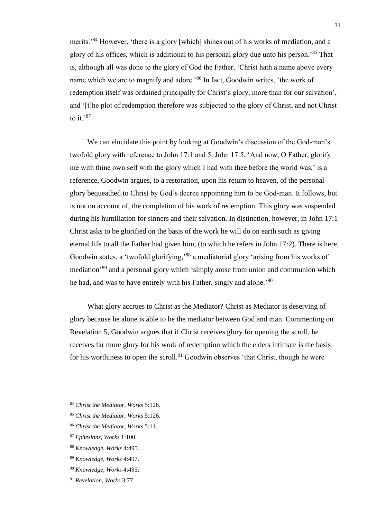merits.'<sup>84</sup> However, 'there is a glory [which] shines out of his works of mediation, and a glory of his offices, which is additional to his personal glory due unto his person.'<sup>85</sup> That is, although all was done to the glory of God the Father, 'Christ hath a name above every name which we are to magnify and adore.<sup>86</sup> In fact, Goodwin writes, 'the work of redemption itself was ordained principally for Christ's glory, more than for our salvation', and '[t]he plot of redemption therefore was subjected to the glory of Christ, and not Christ to it.'87

We can elucidate this point by looking at Goodwin's discussion of the God-man's twofold glory with reference to John 17:1 and 5. John 17:5, 'And now, O Father, glorify me with thine own self with the glory which I had with thee before the world was,' is a reference, Goodwin argues, to a restoration, upon his return to heaven, of the personal glory bequeathed to Christ by God's decree appointing him to be God-man. It follows, but is not on account of, the completion of his work of redemption. This glory was suspended during his humiliation for sinners and their salvation. In distinction, however, in John 17:1 Christ asks to be glorified on the basis of the work he will do on earth such as giving eternal life to all the Father had given him, (to which he refers in John 17:2). There is here, Goodwin states, a 'twofold glorifying,'<sup>88</sup> a mediatorial glory 'arising from his works of mediation<sup>,89</sup> and a personal glory which 'simply arose from union and communion which he had, and was to have entirely with his Father, singly and alone.<sup>90</sup>

What glory accrues to Christ as the Mediator? Christ as Mediator is deserving of glory because he alone is able to be the mediator between God and man. Commenting on Revelation 5, Goodwin argues that if Christ receives glory for opening the scroll, he receives far more glory for his work of redemption which the elders intimate is the basis for his worthiness to open the scroll.<sup>91</sup> Goodwin observes 'that Christ, though he were

 $\overline{a}$ 

<sup>84</sup> *Christ the Mediator, Works* 5:126.

<sup>85</sup> *Christ the Mediator, Works* 5:126.

<sup>86</sup> *Christ the Mediator, Works* 5:11.

<sup>87</sup> *Ephesians, Works* 1:100.

<sup>88</sup> *Knowledge, Works* 4:495.

<sup>89</sup> *Knowledge, Works* 4:497.

<sup>90</sup> *Knowledge, Works* 4:495.

<sup>91</sup> *Revelation, Works* 3:77.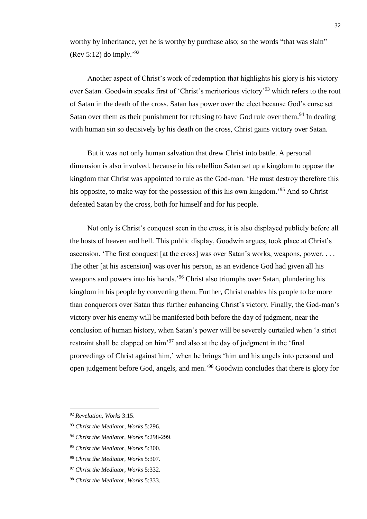worthy by inheritance, yet he is worthy by purchase also; so the words "that was slain" (Rev 5:12) do imply.<sup>'92</sup>

Another aspect of Christ's work of redemption that highlights his glory is his victory over Satan. Goodwin speaks first of 'Christ's meritorious victory'<sup>93</sup> which refers to the rout of Satan in the death of the cross. Satan has power over the elect because God's curse set Satan over them as their punishment for refusing to have God rule over them.<sup>94</sup> In dealing with human sin so decisively by his death on the cross, Christ gains victory over Satan.

But it was not only human salvation that drew Christ into battle. A personal dimension is also involved, because in his rebellion Satan set up a kingdom to oppose the kingdom that Christ was appointed to rule as the God-man. 'He must destroy therefore this his opposite, to make way for the possession of this his own kingdom.'<sup>95</sup> And so Christ defeated Satan by the cross, both for himself and for his people.

Not only is Christ's conquest seen in the cross, it is also displayed publicly before all the hosts of heaven and hell. This public display, Goodwin argues, took place at Christ's ascension. 'The first conquest [at the cross] was over Satan's works, weapons, power. . . . The other [at his ascension] was over his person, as an evidence God had given all his weapons and powers into his hands.<sup>96</sup> Christ also triumphs over Satan, plundering his kingdom in his people by converting them. Further, Christ enables his people to be more than conquerors over Satan thus further enhancing Christ's victory. Finally, the God-man's victory over his enemy will be manifested both before the day of judgment, near the conclusion of human history, when Satan's power will be severely curtailed when 'a strict restraint shall be clapped on him<sup>397</sup> and also at the day of judgment in the 'final proceedings of Christ against him,' when he brings 'him and his angels into personal and open judgement before God, angels, and men.' <sup>98</sup> Goodwin concludes that there is glory for

<sup>92</sup> *Revelation, Works* 3:15.

<sup>93</sup> *Christ the Mediator, Works* 5:296.

<sup>94</sup> *Christ the Mediator, Works* 5:298-299.

<sup>95</sup> *Christ the Mediator, Works* 5:300.

<sup>96</sup> *Christ the Mediator, Works* 5:307.

<sup>97</sup> *Christ the Mediator, Works* 5:332.

<sup>98</sup> *Christ the Mediator, Works* 5:333.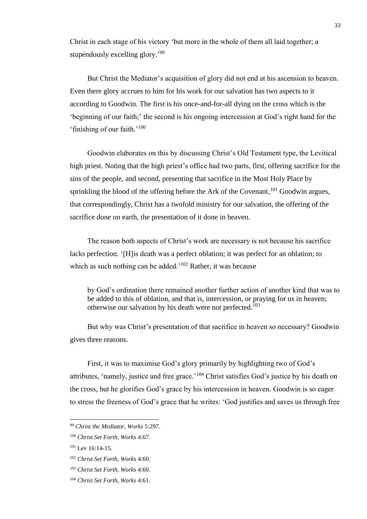Christ in each stage of his victory 'but more in the whole of them all laid together; a stupendously excelling glory.'99

But Christ the Mediator's acquisition of glory did not end at his ascension to heaven. Even there glory accrues to him for his work for our salvation has two aspects to it according to Goodwin. The first is his once-and-for-all dying on the cross which is the 'beginning of our faith;' the second is his ongoing intercession at God's right hand for the 'finishing of our faith.'<sup>100</sup>

Goodwin elaborates on this by discussing Christ's Old Testament type, the Levitical high priest. Noting that the high priest's office had two parts, first, offering sacrifice for the sins of the people, and second, presenting that sacrifice in the Most Holy Place by sprinkling the blood of the offering before the Ark of the Covenant,<sup>101</sup> Goodwin argues, that correspondingly, Christ has a twofold ministry for our salvation, the offering of the sacrifice done on earth, the presentation of it done in heaven.

The reason both aspects of Christ's work are necessary is not because his sacrifice lacks perfection. '[H]is death was a perfect oblation; it was perfect for an oblation; to which as such nothing can be added.<sup>'102</sup> Rather, it was because

by God's ordination there remained another further action of another kind that was to be added to this of oblation, and that is, intercession, or praying for us in heaven; otherwise our salvation by his death were not perfected.<sup> $103$ </sup>

But why was Christ's presentation of that sacrifice in heaven so necessary? Goodwin gives three reasons.

First, it was to maximise God's glory primarily by highlighting two of God's attributes, 'namely, justice and free grace.'<sup>104</sup> Christ satisfies God's justice by his death on the cross, but he glorifies God's grace by his intercession in heaven. Goodwin is so eager to stress the freeness of God's grace that he writes: 'God justifies and saves us through free

<sup>99</sup> *Christ the Mediator, Works* 5:297.

<sup>100</sup> *Christ Set Forth, Works* 4:67.

<sup>&</sup>lt;sup>101</sup> Lev 16:14-15.

<sup>102</sup> *Christ Set Forth, Works* 4:60.

<sup>103</sup> *Christ Set Forth, Works* 4:60.

<sup>104</sup> *Christ Set Forth, Works* 4:61.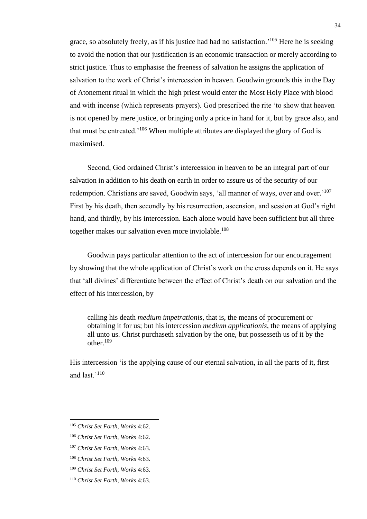grace, so absolutely freely, as if his justice had had no satisfaction.<sup>'105</sup> Here he is seeking to avoid the notion that our justification is an economic transaction or merely according to strict justice. Thus to emphasise the freeness of salvation he assigns the application of salvation to the work of Christ's intercession in heaven. Goodwin grounds this in the Day of Atonement ritual in which the high priest would enter the Most Holy Place with blood and with incense (which represents prayers). God prescribed the rite 'to show that heaven is not opened by mere justice, or bringing only a price in hand for it, but by grace also, and that must be entreated.<sup>'106</sup> When multiple attributes are displayed the glory of God is maximised.

Second, God ordained Christ's intercession in heaven to be an integral part of our salvation in addition to his death on earth in order to assure us of the security of our redemption. Christians are saved, Goodwin says, 'all manner of ways, over and over.'<sup>107</sup> First by his death, then secondly by his resurrection, ascension, and session at God's right hand, and thirdly, by his intercession. Each alone would have been sufficient but all three together makes our salvation even more inviolable.<sup>108</sup>

Goodwin pays particular attention to the act of intercession for our encouragement by showing that the whole application of Christ's work on the cross depends on it. He says that 'all divines' differentiate between the effect of Christ's death on our salvation and the effect of his intercession, by

calling his death *medium impetrationis*, that is, the means of procurement or obtaining it for us; but his intercession *medium applicationis*, the means of applying all unto us. Christ purchaseth salvation by the one, but possesseth us of it by the other $109$ 

His intercession 'is the applying cause of our eternal salvation, in all the parts of it, first and last.'<sup>110</sup>

<sup>105</sup> *Christ Set Forth, Works* 4:62.

<sup>106</sup> *Christ Set Forth, Works* 4:62.

<sup>107</sup> *Christ Set Forth, Works* 4:63.

<sup>108</sup> *Christ Set Forth, Works* 4:63.

<sup>109</sup> *Christ Set Forth, Works* 4:63.

<sup>110</sup> *Christ Set Forth, Works* 4:63.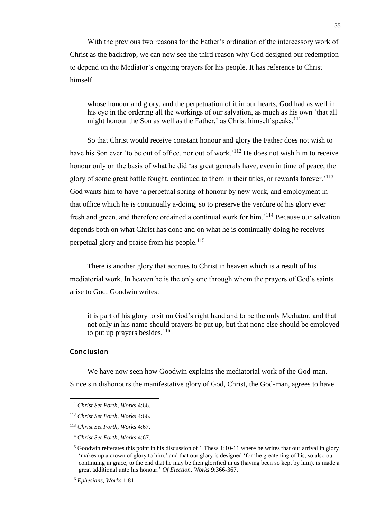With the previous two reasons for the Father's ordination of the intercessory work of Christ as the backdrop, we can now see the third reason why God designed our redemption to depend on the Mediator's ongoing prayers for his people. It has reference to Christ himself

whose honour and glory, and the perpetuation of it in our hearts, God had as well in his eye in the ordering all the workings of our salvation, as much as his own 'that all might honour the Son as well as the Father,' as Christ himself speaks.<sup>111</sup>

So that Christ would receive constant honour and glory the Father does not wish to have his Son ever 'to be out of office, nor out of work.<sup>'112</sup> He does not wish him to receive honour only on the basis of what he did 'as great generals have, even in time of peace, the glory of some great battle fought, continued to them in their titles, or rewards forever.<sup>'113</sup> God wants him to have 'a perpetual spring of honour by new work, and employment in that office which he is continually a-doing, so to preserve the verdure of his glory ever fresh and green, and therefore ordained a continual work for him.'<sup>114</sup> Because our salvation depends both on what Christ has done and on what he is continually doing he receives perpetual glory and praise from his people.<sup>115</sup>

There is another glory that accrues to Christ in heaven which is a result of his mediatorial work. In heaven he is the only one through whom the prayers of God's saints arise to God. Goodwin writes:

it is part of his glory to sit on God's right hand and to be the only Mediator, and that not only in his name should prayers be put up, but that none else should be employed to put up prayers besides. $116$ 

### **Conclusion**

l

We have now seen how Goodwin explains the mediatorial work of the God-man. Since sin dishonours the manifestative glory of God, Christ, the God-man, agrees to have

<sup>111</sup> *Christ Set Forth, Works* 4:66.

<sup>112</sup> *Christ Set Forth, Works* 4:66.

<sup>113</sup> *Christ Set Forth, Works* 4:67.

<sup>114</sup> *Christ Set Forth, Works* 4:67.

<sup>&</sup>lt;sup>115</sup> Goodwin reiterates this point in his discussion of 1 Thess 1:10-11 where he writes that our arrival in glory 'makes up a crown of glory to him,' and that our glory is designed 'for the greatening of his, so also our continuing in grace, to the end that he may be then glorified in us (having been so kept by him), is made a great additional unto his honour.' *Of Election, Works* 9:366-367.

<sup>116</sup> *Ephesians, Works* 1:81.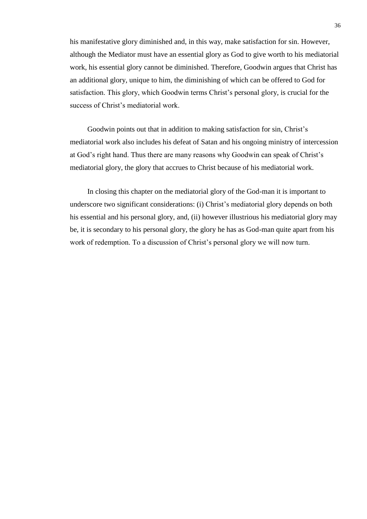his manifestative glory diminished and, in this way, make satisfaction for sin. However, although the Mediator must have an essential glory as God to give worth to his mediatorial work, his essential glory cannot be diminished. Therefore, Goodwin argues that Christ has an additional glory, unique to him, the diminishing of which can be offered to God for satisfaction. This glory, which Goodwin terms Christ's personal glory, is crucial for the success of Christ's mediatorial work.

Goodwin points out that in addition to making satisfaction for sin, Christ's mediatorial work also includes his defeat of Satan and his ongoing ministry of intercession at God's right hand. Thus there are many reasons why Goodwin can speak of Christ's mediatorial glory, the glory that accrues to Christ because of his mediatorial work.

In closing this chapter on the mediatorial glory of the God-man it is important to underscore two significant considerations: (i) Christ's mediatorial glory depends on both his essential and his personal glory, and, (ii) however illustrious his mediatorial glory may be, it is secondary to his personal glory, the glory he has as God-man quite apart from his work of redemption. To a discussion of Christ's personal glory we will now turn.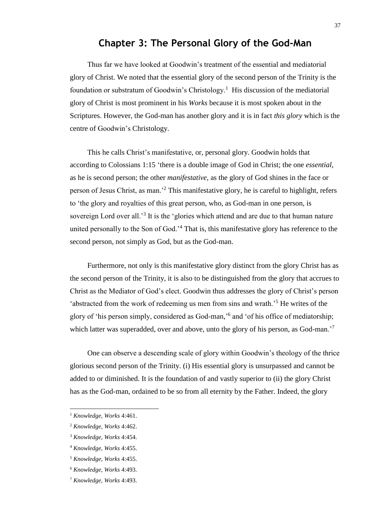# **Chapter 3: The Personal Glory of the God-Man**

Thus far we have looked at Goodwin's treatment of the essential and mediatorial glory of Christ. We noted that the essential glory of the second person of the Trinity is the foundation or substratum of Goodwin's Christology.<sup>1</sup> His discussion of the mediatorial glory of Christ is most prominent in his *Works* because it is most spoken about in the Scriptures. However, the God-man has another glory and it is in fact *this glory* which is the centre of Goodwin's Christology.

This he calls Christ's manifestative, or, personal glory. Goodwin holds that according to Colossians 1:15 'there is a double image of God in Christ; the one *essential*, as he is second person; the other *manifestative*, as the glory of God shines in the face or person of Jesus Christ, as man.'<sup>2</sup> This manifestative glory, he is careful to highlight, refers to 'the glory and royalties of this great person, who, as God-man in one person, is sovereign Lord over all.<sup>3</sup> It is the 'glories which attend and are due to that human nature united personally to the Son of God.<sup>24</sup> That is, this manifestative glory has reference to the second person, not simply as God, but as the God-man.

Furthermore, not only is this manifestative glory distinct from the glory Christ has as the second person of the Trinity, it is also to be distinguished from the glory that accrues to Christ as the Mediator of God's elect. Goodwin thus addresses the glory of Christ's person 'abstracted from the work of redeeming us men from sins and wrath.'<sup>5</sup> He writes of the glory of 'his person simply, considered as God-man,' 6 and 'of his office of mediatorship; which latter was superadded, over and above, unto the glory of his person, as God-man.<sup>'7</sup>

One can observe a descending scale of glory within Goodwin's theology of the thrice glorious second person of the Trinity. (i) His essential glory is unsurpassed and cannot be added to or diminished. It is the foundation of and vastly superior to (ii) the glory Christ has as the God-man, ordained to be so from all eternity by the Father. Indeed, the glory

<sup>1</sup> *Knowledge, Works* 4:461.

<sup>2</sup> *Knowledge, Works* 4:462.

<sup>3</sup> *Knowledge, Works* 4:454.

<sup>4</sup> *Knowledge, Works* 4:455.

<sup>5</sup> *Knowledge, Works* 4:455.

<sup>6</sup> *Knowledge, Works* 4:493.

<sup>7</sup> *Knowledge, Works* 4:493.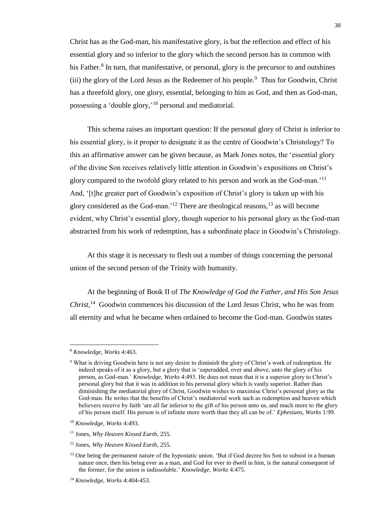Christ has as the God-man, his manifestative glory, is but the reflection and effect of his essential glory and so inferior to the glory which the second person has in common with his Father.<sup>8</sup> In turn, that manifestative, or personal, glory is the precursor to and outshines  $(iii)$  the glory of the Lord Jesus as the Redeemer of his people.<sup>9</sup> Thus for Goodwin, Christ has a threefold glory, one glory, essential, belonging to him as God, and then as God-man, possessing a 'double glory,'<sup>10</sup> personal and mediatorial.

This schema raises an important question: If the personal glory of Christ is inferior to his essential glory, is it proper to designate it as the centre of Goodwin's Christology? To this an affirmative answer can be given because, as Mark Jones notes, the 'essential glory of the divine Son receives relatively little attention in Goodwin's expositions on Christ's glory compared to the twofold glory related to his person and work as the God-man.'<sup>11</sup> And, '[t]he greater part of Goodwin's exposition of Christ's glory is taken up with his glory considered as the God-man.<sup>'12</sup> There are theological reasons, $^{13}$  as will become evident, why Christ's essential glory, though superior to his personal glory as the God-man abstracted from his work of redemption, has a subordinate place in Goodwin's Christology.

At this stage it is necessary to flesh out a number of things concerning the personal union of the second person of the Trinity with humanity.

At the beginning of Book II of *The Knowledge of God the Father, and His Son Jesus Christ*, <sup>14</sup> Goodwin commences his discussion of the Lord Jesus Christ, who he was from all eternity and what he became when ordained to become the God-man. Goodwin states

l

<sup>8</sup> *Knowledge, Works* 4:463.

<sup>9</sup> What is driving Goodwin here is not any desire to diminish the glory of Christ's work of redemption. He indeed speaks of it as a glory, but a glory that is 'superadded, over and above, unto the glory of his person, as God-man.' *Knowledge, Works* 4:493. He does not mean that it is a superior glory to Christ's personal glory but that it was in addition to his personal glory which is vastly superior. Rather than diminishing the mediatorial glory of Christ, Goodwin wishes to maximise Christ's personal glory as the God-man. He writes that the benefits of Christ's mediatorial work such as redemption and heaven which believers receive by faith 'are all far inferior to the gift of his person unto us, and much more to the glory of his person itself. His person is of infinite more worth than they all can be of.' *Ephesians, Works* 1:99.

<sup>10</sup> *Knowledge, Works* 4:493.

<sup>11</sup> Jones, *Why Heaven Kissed Earth,* 255.

<sup>12</sup> Jones, *Why Heaven Kissed Earth*, 255.

<sup>&</sup>lt;sup>13</sup> One being the permanent nature of the hypostatic union. 'But if God decree his Son to subsist in a human nature once, then his being ever as a man, and God for ever to dwell in him, is the natural consequent of the former; for the union is indissoluble.' *Knowledge, Works* 4:475.

<sup>14</sup> *Knowledge, Works* 4:404-453.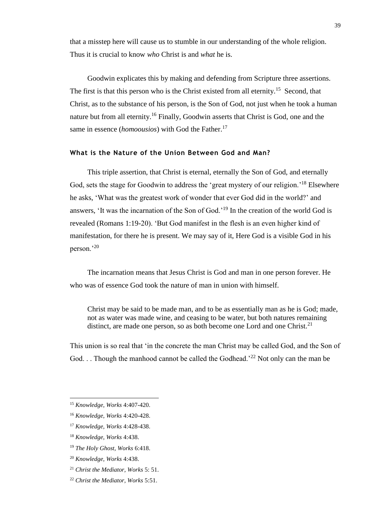that a misstep here will cause us to stumble in our understanding of the whole religion. Thus it is crucial to know *who* Christ is and *what* he is.

Goodwin explicates this by making and defending from Scripture three assertions. The first is that this person who is the Christ existed from all eternity.<sup>15</sup> Second, that Christ, as to the substance of his person, is the Son of God, not just when he took a human nature but from all eternity.<sup>16</sup> Finally, Goodwin asserts that Christ is God, one and the same in essence (*homoousios*) with God the Father. 17

## **What is the Nature of the Union Between God and Man?**

This triple assertion, that Christ is eternal, eternally the Son of God, and eternally God, sets the stage for Goodwin to address the 'great mystery of our religion.'<sup>18</sup> Elsewhere he asks, 'What was the greatest work of wonder that ever God did in the world?' and answers, 'It was the incarnation of the Son of God.'<sup>19</sup> In the creation of the world God is revealed (Romans 1:19-20). 'But God manifest in the flesh is an even higher kind of manifestation, for there he is present. We may say of it, Here God is a visible God in his person.'<sup>20</sup>

The incarnation means that Jesus Christ is God and man in one person forever. He who was of essence God took the nature of man in union with himself.

Christ may be said to be made man, and to be as essentially man as he is God; made, not as water was made wine, and ceasing to be water, but both natures remaining distinct, are made one person, so as both become one Lord and one Christ.<sup>21</sup>

This union is so real that 'in the concrete the man Christ may be called God, and the Son of God. . . Though the manhood cannot be called the Godhead.<sup>22</sup> Not only can the man be

<sup>15</sup> *Knowledge, Works* 4:407-420.

<sup>16</sup> *Knowledge, Works* 4:420-428.

<sup>17</sup> *Knowledge, Works* 4:428-438.

<sup>18</sup> *Knowledge, Works* 4:438.

<sup>19</sup> *The Holy Ghost, Works* 6:418.

<sup>20</sup> *Knowledge, Works* 4:438.

<sup>21</sup> *Christ the Mediator, Works* 5: 51.

<sup>22</sup> *Christ the Mediator, Works* 5:51.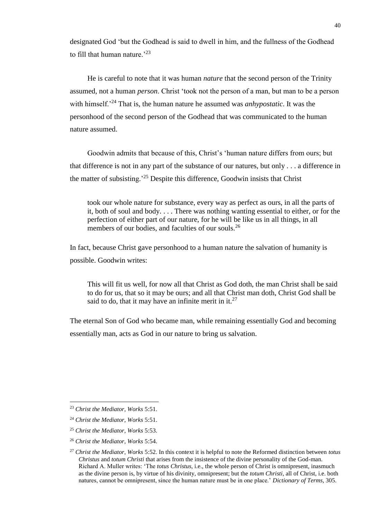designated God 'but the Godhead is said to dwell in him, and the fullness of the Godhead to fill that human nature.<sup> $23$ </sup>

He is careful to note that it was human *nature* that the second person of the Trinity assumed, not a human *person*. Christ 'took not the person of a man, but man to be a person with himself.<sup>24</sup> That is, the human nature he assumed was *anhypostatic*. It was the personhood of the second person of the Godhead that was communicated to the human nature assumed.

Goodwin admits that because of this, Christ's 'human nature differs from ours; but that difference is not in any part of the substance of our natures, but only . . . a difference in the matter of subsisting.'<sup>25</sup> Despite this difference, Goodwin insists that Christ

took our whole nature for substance, every way as perfect as ours, in all the parts of it, both of soul and body. . . . There was nothing wanting essential to either, or for the perfection of either part of our nature, for he will be like us in all things, in all members of our bodies, and faculties of our souls.<sup>26</sup>

In fact, because Christ gave personhood to a human nature the salvation of humanity is possible. Goodwin writes:

This will fit us well, for now all that Christ as God doth, the man Christ shall be said to do for us, that so it may be ours; and all that Christ man doth, Christ God shall be said to do, that it may have an infinite merit in it.<sup>27</sup>

The eternal Son of God who became man, while remaining essentially God and becoming essentially man, acts as God in our nature to bring us salvation.

l

<sup>23</sup> *Christ the Mediator, Works* 5:51.

<sup>24</sup> *Christ the Mediator, Works* 5:51.

<sup>25</sup> *Christ the Mediator, Works* 5:53.

<sup>26</sup> *Christ the Mediator, Works* 5:54.

<sup>27</sup> *Christ the Mediator, Works* 5:52. In this context it is helpful to note the Reformed distinction between *totus Christus* and *totum Christi* that arises from the insistence of the divine personality of the God-man. Richard A. Muller writes: 'The *totus Christus*, i.e., the whole person of Christ is omnipresent, inasmuch as the divine person is, by virtue of his divinity, omnipresent; but the *totum Christi*, all of Christ, i.e. both natures, cannot be omnipresent, since the human nature must be in one place.' *Dictionary of Terms*, 305.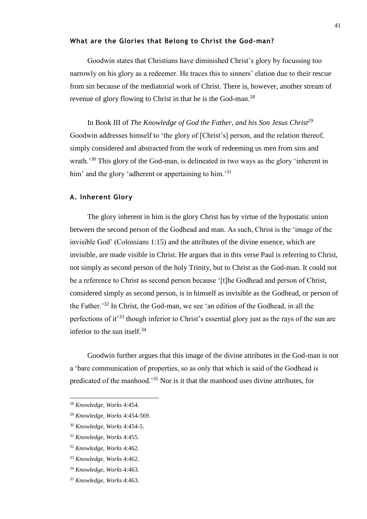# **What are the Glories that Belong to Christ the God-man?**

Goodwin states that Christians have diminished Christ's glory by focussing too narrowly on his glory as a redeemer. He traces this to sinners' elation due to their rescue from sin because of the mediatorial work of Christ. There is, however, another stream of revenue of glory flowing to Christ in that he is the God-man.<sup>28</sup>

In Book III of *The Knowledge of God the Father, and his Son Jesus Christ*<sup>29</sup> Goodwin addresses himself to 'the glory of [Christ's] person, and the relation thereof, simply considered and abstracted from the work of redeeming us men from sins and wrath.<sup>30</sup> This glory of the God-man, is delineated in two ways as the glory 'inherent in him' and the glory 'adherent or appertaining to him.<sup>'31</sup>

### **A. Inherent Glory**

The glory inherent in him is the glory Christ has by virtue of the hypostatic union between the second person of the Godhead and man. As such, Christ is the 'image of the invisible God' (Colossians 1:15) and the attributes of the divine essence, which are invisible, are made visible in Christ. He argues that in this verse Paul is referring to Christ, not simply as second person of the holy Trinity, but to Christ as the God-man. It could not be a reference to Christ as second person because '[t]he Godhead and person of Christ, considered simply as second person, is in himself as invisible as the Godhead, or person of the Father.'<sup>32</sup> In Christ, the God-man, we see 'an edition of the Godhead, in all the perfections of it'<sup>33</sup> though inferior to Christ's essential glory just as the rays of the sun are inferior to the sun itself. $34$ 

Goodwin further argues that this image of the divine attributes in the God-man is not a 'bare communication of properties, so as only that which is said of the Godhead is predicated of the manhood.'<sup>35</sup> Nor is it that the manhood uses divine attributes, for

<sup>28</sup> *Knowledge, Works* 4:454.

<sup>29</sup> *Knowledge, Works* 4:454-569.

<sup>30</sup> *Knowledge, Works* 4:454-5.

<sup>31</sup> *Knowledge, Works* 4:455.

<sup>32</sup> *Knowledge, Works* 4:462.

<sup>33</sup> *Knowledge, Works* 4:462.

<sup>34</sup> *Knowledge, Works* 4:463.

<sup>35</sup> *Knowledge, Works* 4:463.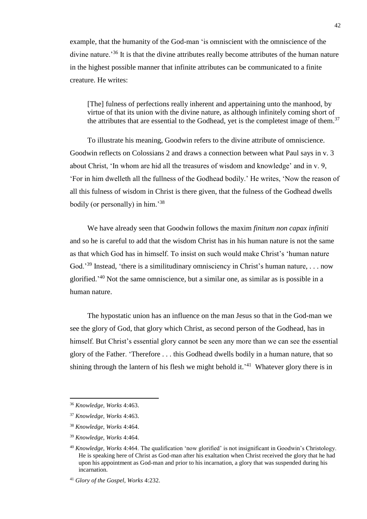example, that the humanity of the God-man 'is omniscient with the omniscience of the divine nature.<sup>36</sup> It is that the divine attributes really become attributes of the human nature in the highest possible manner that infinite attributes can be communicated to a finite creature. He writes:

[The] fulness of perfections really inherent and appertaining unto the manhood, by virtue of that its union with the divine nature, as although infinitely coming short of the attributes that are essential to the Godhead, yet is the completest image of them.<sup>37</sup>

To illustrate his meaning, Goodwin refers to the divine attribute of omniscience. Goodwin reflects on Colossians 2 and draws a connection between what Paul says in v. 3 about Christ, 'In whom are hid all the treasures of wisdom and knowledge' and in v. 9, 'For in him dwelleth all the fullness of the Godhead bodily.' He writes, 'Now the reason of all this fulness of wisdom in Christ is there given, that the fulness of the Godhead dwells bodily (or personally) in him.'<sup>38</sup>

We have already seen that Goodwin follows the maxim *finitum non capax infiniti* and so he is careful to add that the wisdom Christ has in his human nature is not the same as that which God has in himself. To insist on such would make Christ's 'human nature God.<sup>'39</sup> Instead, 'there is a similitudinary omnisciency in Christ's human nature, . . . now glorified.'<sup>40</sup> Not the same omniscience, but a similar one, as similar as is possible in a human nature.

The hypostatic union has an influence on the man Jesus so that in the God-man we see the glory of God, that glory which Christ, as second person of the Godhead, has in himself. But Christ's essential glory cannot be seen any more than we can see the essential glory of the Father. 'Therefore . . . this Godhead dwells bodily in a human nature, that so shining through the lantern of his flesh we might behold it.<sup> $41$ </sup> Whatever glory there is in

l

<sup>36</sup> *Knowledge, Works* 4:463.

<sup>37</sup> *Knowledge, Works* 4:463.

<sup>38</sup> *Knowledge, Works* 4:464.

<sup>39</sup> *Knowledge, Works* 4:464.

<sup>40</sup> *Knowledge, Works* 4:464. The qualification 'now glorified' is not insignificant in Goodwin's Christology. He is speaking here of Christ as God-man after his exaltation when Christ received the glory that he had upon his appointment as God-man and prior to his incarnation, a glory that was suspended during his incarnation.

<sup>41</sup> *Glory of the Gospel, Works* 4:232.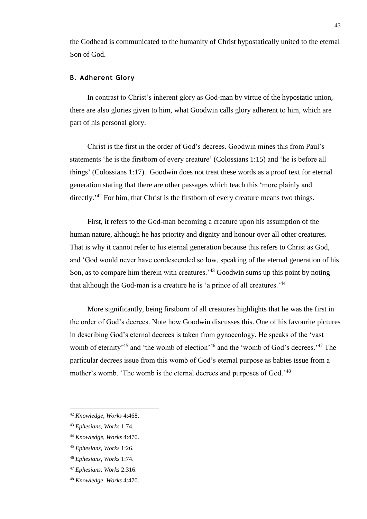the Godhead is communicated to the humanity of Christ hypostatically united to the eternal Son of God.

### **B. Adherent Glory**

In contrast to Christ's inherent glory as God-man by virtue of the hypostatic union, there are also glories given to him, what Goodwin calls glory adherent to him, which are part of his personal glory.

Christ is the first in the order of God's decrees. Goodwin mines this from Paul's statements 'he is the firstborn of every creature' (Colossians 1:15) and 'he is before all things' (Colossians 1:17). Goodwin does not treat these words as a proof text for eternal generation stating that there are other passages which teach this 'more plainly and directly.<sup>'42</sup> For him, that Christ is the firstborn of every creature means two things.

First, it refers to the God-man becoming a creature upon his assumption of the human nature, although he has priority and dignity and honour over all other creatures. That is why it cannot refer to his eternal generation because this refers to Christ as God, and 'God would never have condescended so low, speaking of the eternal generation of his Son, as to compare him therein with creatures.<sup>43</sup> Goodwin sums up this point by noting that although the God-man is a creature he is 'a prince of all creatures.'<sup>44</sup>

More significantly, being firstborn of all creatures highlights that he was the first in the order of God's decrees. Note how Goodwin discusses this. One of his favourite pictures in describing God's eternal decrees is taken from gynaecology. He speaks of the 'vast womb of eternity<sup>45</sup> and 'the womb of election'<sup>46</sup> and the 'womb of God's decrees.<sup>'47</sup> The particular decrees issue from this womb of God's eternal purpose as babies issue from a mother's womb. 'The womb is the eternal decrees and purposes of God.'<sup>48</sup>

<sup>42</sup> *Knowledge, Works* 4:468.

<sup>43</sup> *Ephesians, Works* 1:74.

<sup>44</sup> *Knowledge, Works* 4:470.

<sup>45</sup> *Ephesians, Works* 1:26.

<sup>46</sup> *Ephesians, Works* 1:74.

<sup>47</sup> *Ephesians, Works* 2:316.

<sup>48</sup> *Knowledge, Works* 4:470.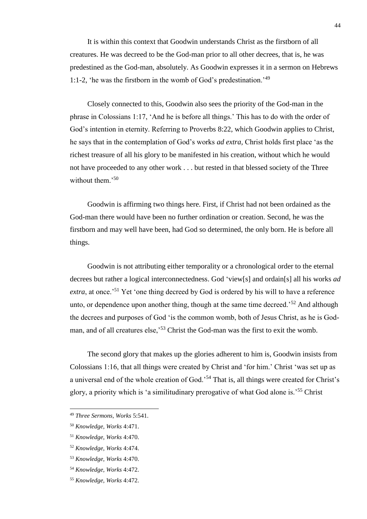It is within this context that Goodwin understands Christ as the firstborn of all creatures. He was decreed to be the God-man prior to all other decrees, that is, he was predestined as the God-man, absolutely. As Goodwin expresses it in a sermon on Hebrews 1:1-2, 'he was the firstborn in the womb of God's predestination.'<sup>49</sup>

Closely connected to this, Goodwin also sees the priority of the God-man in the phrase in Colossians 1:17, 'And he is before all things.' This has to do with the order of God's intention in eternity. Referring to Proverbs 8:22, which Goodwin applies to Christ, he says that in the contemplation of God's works *ad extra,* Christ holds first place 'as the richest treasure of all his glory to be manifested in his creation, without which he would not have proceeded to any other work . . . but rested in that blessed society of the Three without them.<sup>'50</sup>

Goodwin is affirming two things here. First, if Christ had not been ordained as the God-man there would have been no further ordination or creation. Second, he was the firstborn and may well have been, had God so determined, the only born. He is before all things.

Goodwin is not attributing either temporality or a chronological order to the eternal decrees but rather a logical interconnectedness. God 'view[s] and ordain[s] all his works *ad extra*, at once.<sup>51</sup> Yet 'one thing decreed by God is ordered by his will to have a reference unto, or dependence upon another thing, though at the same time decreed.<sup>52</sup> And although the decrees and purposes of God 'is the common womb, both of Jesus Christ, as he is Godman, and of all creatures else,<sup>53</sup> Christ the God-man was the first to exit the womb.

The second glory that makes up the glories adherent to him is, Goodwin insists from Colossians 1:16, that all things were created by Christ and 'for him.' Christ 'was set up as a universal end of the whole creation of God.'<sup>54</sup> That is, all things were created for Christ's glory, a priority which is 'a similitudinary prerogative of what God alone is.'<sup>55</sup> Christ

<sup>49</sup> *Three Sermons, Works* 5:541.

<sup>50</sup> *Knowledge, Works* 4:471.

<sup>51</sup> *Knowledge, Works* 4:470.

<sup>52</sup> *Knowledge, Works* 4:474.

<sup>53</sup> *Knowledge, Works* 4:470.

<sup>54</sup> *Knowledge, Works* 4:472.

<sup>55</sup> *Knowledge, Works* 4:472.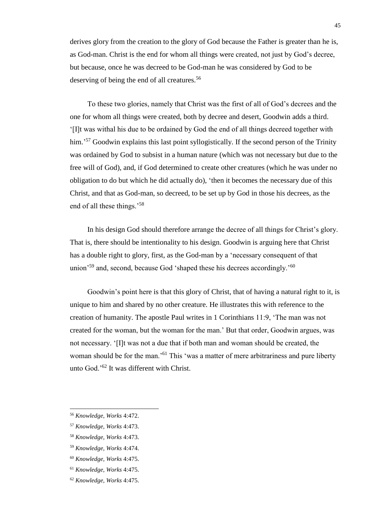derives glory from the creation to the glory of God because the Father is greater than he is, as God-man. Christ is the end for whom all things were created, not just by God's decree, but because, once he was decreed to be God-man he was considered by God to be deserving of being the end of all creatures.<sup>56</sup>

To these two glories, namely that Christ was the first of all of God's decrees and the one for whom all things were created, both by decree and desert, Goodwin adds a third. '[I]t was withal his due to be ordained by God the end of all things decreed together with him.<sup>57</sup> Goodwin explains this last point syllogistically. If the second person of the Trinity was ordained by God to subsist in a human nature (which was not necessary but due to the free will of God), and, if God determined to create other creatures (which he was under no obligation to do but which he did actually do), 'then it becomes the necessary due of this Christ, and that as God-man, so decreed, to be set up by God in those his decrees, as the end of all these things.'<sup>58</sup>

In his design God should therefore arrange the decree of all things for Christ's glory. That is, there should be intentionality to his design. Goodwin is arguing here that Christ has a double right to glory, first, as the God-man by a 'necessary consequent of that union<sup> $59$ </sup> and, second, because God 'shaped these his decrees accordingly.<sup> $50$ </sup>

Goodwin's point here is that this glory of Christ, that of having a natural right to it, is unique to him and shared by no other creature. He illustrates this with reference to the creation of humanity. The apostle Paul writes in 1 Corinthians 11:9, 'The man was not created for the woman, but the woman for the man.' But that order, Goodwin argues, was not necessary. '[I]t was not a due that if both man and woman should be created, the woman should be for the man.<sup>'61</sup> This 'was a matter of mere arbitrariness and pure liberty unto God.'<sup>62</sup> It was different with Christ.

<sup>56</sup> *Knowledge, Works* 4:472.

<sup>57</sup> *Knowledge, Works* 4:473.

<sup>58</sup> *Knowledge, Works* 4:473.

<sup>59</sup> *Knowledge, Works* 4:474.

<sup>60</sup> *Knowledge, Works* 4:475.

<sup>61</sup> *Knowledge, Works* 4:475.

<sup>62</sup> *Knowledge, Works* 4:475.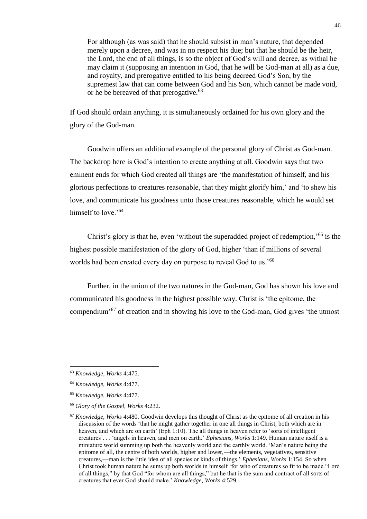For although (as was said) that he should subsist in man's nature, that depended merely upon a decree, and was in no respect his due; but that he should be the heir, the Lord, the end of all things, is so the object of God's will and decree, as withal he may claim it (supposing an intention in God, that he will be God-man at all) as a due, and royalty, and prerogative entitled to his being decreed God's Son, by the supremest law that can come between God and his Son, which cannot be made void, or he be bereaved of that prerogative.<sup>63</sup>

If God should ordain anything, it is simultaneously ordained for his own glory and the glory of the God-man.

Goodwin offers an additional example of the personal glory of Christ as God-man. The backdrop here is God's intention to create anything at all. Goodwin says that two eminent ends for which God created all things are 'the manifestation of himself, and his glorious perfections to creatures reasonable, that they might glorify him,' and 'to shew his love, and communicate his goodness unto those creatures reasonable, which he would set himself to love.'<sup>64</sup>

Christ's glory is that he, even 'without the superadded project of redemption,'<sup>65</sup> is the highest possible manifestation of the glory of God, higher 'than if millions of several worlds had been created every day on purpose to reveal God to us.'<sup>66</sup>

Further, in the union of the two natures in the God-man, God has shown his love and communicated his goodness in the highest possible way. Christ is 'the epitome, the compendium'<sup>67</sup> of creation and in showing his love to the God-man, God gives 'the utmost

<sup>63</sup> *Knowledge, Works* 4:475.

<sup>64</sup> *Knowledge, Works* 4:477.

<sup>65</sup> *Knowledge, Works* 4:477.

<sup>66</sup> *Glory of the Gospel, Works* 4:232.

<sup>67</sup> *Knowledge, Works* 4:480. Goodwin develops this thought of Christ as the epitome of all creation in his discussion of the words 'that he might gather together in one all things in Christ, both which are in heaven, and which are on earth' (Eph 1:10). The all things in heaven refer to 'sorts of intelligent creatures'. . . 'angels in heaven, and men on earth.' *Ephesians, Works* 1:149. Human nature itself is a miniature world summing up both the heavenly world and the earthly world. 'Man's nature being the epitome of all, the centre of both worlds, higher and lower,—the elements, vegetatives, sensitive creatures,—man is the little idea of all species or kinds of things.' *Ephesians, Works* 1:154. So when Christ took human nature he sums up both worlds in himself 'for who of creatures so fit to be made "Lord of all things," by that God "for whom are all things," but he that is the sum and contract of all sorts of creatures that ever God should make.' *Knowledge, Works* 4:529.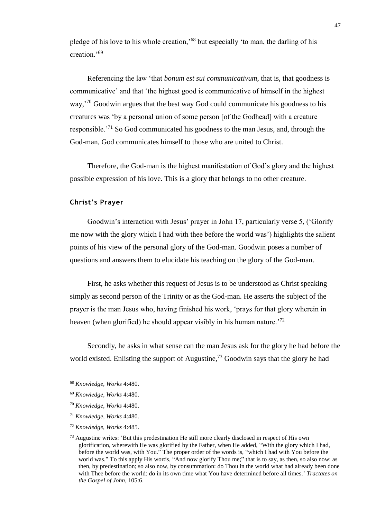pledge of his love to his whole creation,'<sup>68</sup> but especially 'to man, the darling of his creation.'<sup>69</sup>

Referencing the law 'that *bonum est sui communicativum*, that is, that goodness is communicative' and that 'the highest good is communicative of himself in the highest way,<sup>'70</sup> Goodwin argues that the best way God could communicate his goodness to his creatures was 'by a personal union of some person [of the Godhead] with a creature responsible.'<sup>71</sup> So God communicated his goodness to the man Jesus, and, through the God-man, God communicates himself to those who are united to Christ.

Therefore, the God-man is the highest manifestation of God's glory and the highest possible expression of his love. This is a glory that belongs to no other creature.

# **Christ's Prayer**

Goodwin's interaction with Jesus' prayer in John 17, particularly verse 5, ('Glorify me now with the glory which I had with thee before the world was') highlights the salient points of his view of the personal glory of the God-man. Goodwin poses a number of questions and answers them to elucidate his teaching on the glory of the God-man.

First, he asks whether this request of Jesus is to be understood as Christ speaking simply as second person of the Trinity or as the God-man. He asserts the subject of the prayer is the man Jesus who, having finished his work, 'prays for that glory wherein in heaven (when glorified) he should appear visibly in his human nature.<sup>72</sup>

Secondly, he asks in what sense can the man Jesus ask for the glory he had before the world existed. Enlisting the support of Augustine,<sup>73</sup> Goodwin says that the glory he had

l

<sup>68</sup> *Knowledge, Works* 4:480.

<sup>69</sup> *Knowledge, Works* 4:480.

<sup>70</sup> *Knowledge, Works* 4:480.

<sup>71</sup> *Knowledge, Works* 4:480.

<sup>72</sup> *Knowledge, Works* 4:485.

 $<sup>73</sup>$  Augustine writes: 'But this predestination He still more clearly disclosed in respect of His own</sup> glorification, wherewith He was glorified by the Father, when He added, "With the glory which I had, before the world was, with You." The proper order of the words is, "which I had with You before the world was." To this apply His words, "And now glorify Thou me;" that is to say, as then, so also now: as then, by predestination; so also now, by consummation: do Thou in the world what had already been done with Thee before the world: do in its own time what You have determined before all times.' *Tractates on the Gospel of John,* 105:6.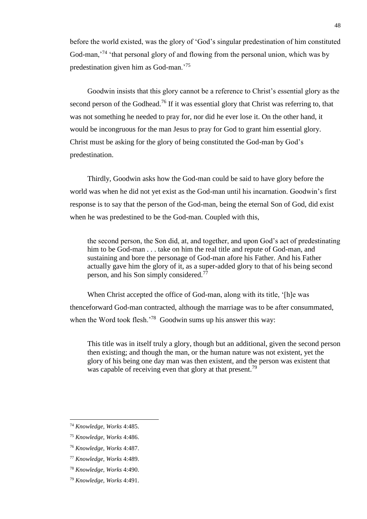before the world existed, was the glory of 'God's singular predestination of him constituted God-man,<sup>74</sup> 'that personal glory of and flowing from the personal union, which was by predestination given him as God-man.'<sup>75</sup>

Goodwin insists that this glory cannot be a reference to Christ's essential glory as the second person of the Godhead.<sup>76</sup> If it was essential glory that Christ was referring to, that was not something he needed to pray for, nor did he ever lose it. On the other hand, it would be incongruous for the man Jesus to pray for God to grant him essential glory. Christ must be asking for the glory of being constituted the God-man by God's predestination.

Thirdly, Goodwin asks how the God-man could be said to have glory before the world was when he did not yet exist as the God-man until his incarnation. Goodwin's first response is to say that the person of the God-man, being the eternal Son of God, did exist when he was predestined to be the God-man. Coupled with this,

the second person, the Son did, at, and together, and upon God's act of predestinating him to be God-man . . . take on him the real title and repute of God-man, and sustaining and bore the personage of God-man afore his Father. And his Father actually gave him the glory of it, as a super-added glory to that of his being second person, and his Son simply considered.<sup>77</sup>

When Christ accepted the office of God-man, along with its title, '[h]e was thenceforward God-man contracted, although the marriage was to be after consummated, when the Word took flesh.<sup>'78</sup> Goodwin sums up his answer this way:

This title was in itself truly a glory, though but an additional, given the second person then existing; and though the man, or the human nature was not existent, yet the glory of his being one day man was then existent, and the person was existent that was capable of receiving even that glory at that present.<sup>79</sup>

<sup>74</sup> *Knowledge, Works* 4:485.

<sup>75</sup> *Knowledge, Works* 4:486.

<sup>76</sup> *Knowledge, Works* 4:487.

<sup>77</sup> *Knowledge, Works* 4:489.

<sup>78</sup> *Knowledge, Works* 4:490.

<sup>79</sup> *Knowledge, Works* 4:491.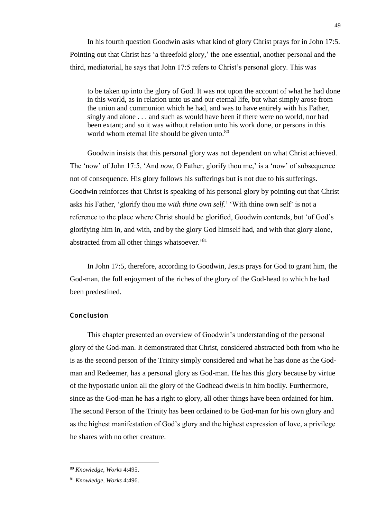In his fourth question Goodwin asks what kind of glory Christ prays for in John 17:5. Pointing out that Christ has 'a threefold glory,' the one essential, another personal and the third, mediatorial, he says that John 17:5 refers to Christ's personal glory. This was

to be taken up into the glory of God. It was not upon the account of what he had done in this world, as in relation unto us and our eternal life, but what simply arose from the union and communion which he had, and was to have entirely with his Father, singly and alone . . . and such as would have been if there were no world, nor had been extant; and so it was without relation unto his work done, or persons in this world whom eternal life should be given unto.<sup>80</sup>

Goodwin insists that this personal glory was not dependent on what Christ achieved. The 'now' of John 17:5, 'And *now*, O Father, glorify thou me,' is a 'now' of subsequence not of consequence. His glory follows his sufferings but is not due to his sufferings. Goodwin reinforces that Christ is speaking of his personal glory by pointing out that Christ asks his Father, 'glorify thou me *with thine own self*.' 'With thine own self' is not a reference to the place where Christ should be glorified, Goodwin contends, but 'of God's glorifying him in, and with, and by the glory God himself had, and with that glory alone, abstracted from all other things whatsoever.'<sup>81</sup>

In John 17:5, therefore, according to Goodwin, Jesus prays for God to grant him, the God-man, the full enjoyment of the riches of the glory of the God-head to which he had been predestined.

### **Conclusion**

This chapter presented an overview of Goodwin's understanding of the personal glory of the God-man. It demonstrated that Christ, considered abstracted both from who he is as the second person of the Trinity simply considered and what he has done as the Godman and Redeemer, has a personal glory as God-man. He has this glory because by virtue of the hypostatic union all the glory of the Godhead dwells in him bodily. Furthermore, since as the God-man he has a right to glory, all other things have been ordained for him. The second Person of the Trinity has been ordained to be God-man for his own glory and as the highest manifestation of God's glory and the highest expression of love, a privilege he shares with no other creature.

<sup>80</sup> *Knowledge, Works* 4:495.

<sup>81</sup> *Knowledge, Works* 4:496.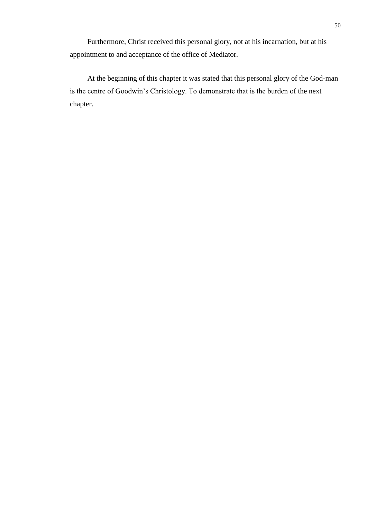Furthermore, Christ received this personal glory, not at his incarnation, but at his appointment to and acceptance of the office of Mediator.

At the beginning of this chapter it was stated that this personal glory of the God-man is the centre of Goodwin's Christology. To demonstrate that is the burden of the next chapter.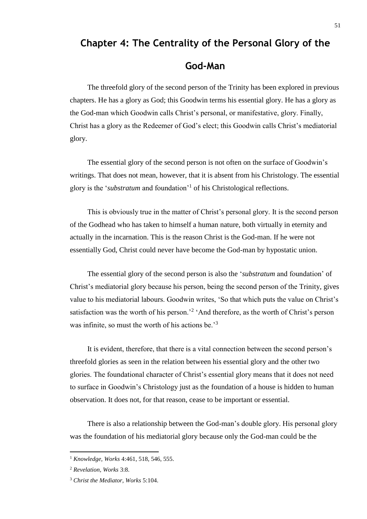# **Chapter 4: The Centrality of the Personal Glory of the**

# **God-Man**

The threefold glory of the second person of the Trinity has been explored in previous chapters. He has a glory as God; this Goodwin terms his essential glory. He has a glory as the God-man which Goodwin calls Christ's personal, or manifestative, glory. Finally, Christ has a glory as the Redeemer of God's elect; this Goodwin calls Christ's mediatorial glory.

The essential glory of the second person is not often on the surface of Goodwin's writings. That does not mean, however, that it is absent from his Christology. The essential glory is the '*substratum* and foundation'<sup>1</sup> of his Christological reflections.

This is obviously true in the matter of Christ's personal glory. It is the second person of the Godhead who has taken to himself a human nature, both virtually in eternity and actually in the incarnation. This is the reason Christ is the God-man. If he were not essentially God, Christ could never have become the God-man by hypostatic union.

The essential glory of the second person is also the '*substratum* and foundation' of Christ's mediatorial glory because his person, being the second person of the Trinity, gives value to his mediatorial labours. Goodwin writes, 'So that which puts the value on Christ's satisfaction was the worth of his person.<sup>2</sup> 'And therefore, as the worth of Christ's person was infinite, so must the worth of his actions be.<sup>3</sup>

It is evident, therefore, that there is a vital connection between the second person's threefold glories as seen in the relation between his essential glory and the other two glories. The foundational character of Christ's essential glory means that it does not need to surface in Goodwin's Christology just as the foundation of a house is hidden to human observation. It does not, for that reason, cease to be important or essential.

There is also a relationship between the God-man's double glory. His personal glory was the foundation of his mediatorial glory because only the God-man could be the

l

<sup>1</sup> *Knowledge, Works* 4:461, 518, 546, 555.

<sup>2</sup> *Revelation, Works* 3:8.

<sup>3</sup> *Christ the Mediator, Works* 5:104.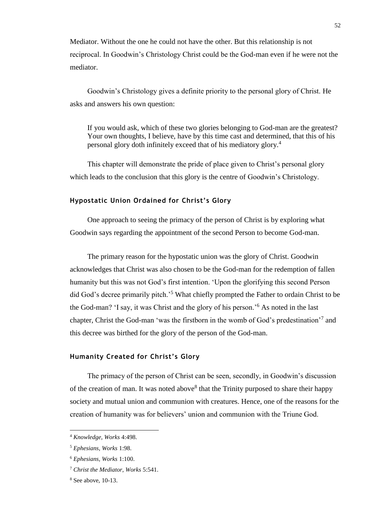Mediator. Without the one he could not have the other. But this relationship is not reciprocal. In Goodwin's Christology Christ could be the God-man even if he were not the mediator.

Goodwin's Christology gives a definite priority to the personal glory of Christ. He asks and answers his own question:

If you would ask, which of these two glories belonging to God-man are the greatest? Your own thoughts, I believe, have by this time cast and determined, that this of his personal glory doth infinitely exceed that of his mediatory glory.<sup>4</sup>

This chapter will demonstrate the pride of place given to Christ's personal glory which leads to the conclusion that this glory is the centre of Goodwin's Christology.

### **Hypostatic Union Ordained for Christ's Glory**

One approach to seeing the primacy of the person of Christ is by exploring what Goodwin says regarding the appointment of the second Person to become God-man.

The primary reason for the hypostatic union was the glory of Christ. Goodwin acknowledges that Christ was also chosen to be the God-man for the redemption of fallen humanity but this was not God's first intention. 'Upon the glorifying this second Person did God's decree primarily pitch.<sup>5</sup> What chiefly prompted the Father to ordain Christ to be the God-man? 'I say, it was Christ and the glory of his person.'<sup>6</sup> As noted in the last chapter, Christ the God-man 'was the firstborn in the womb of God's predestination'<sup>7</sup> and this decree was birthed for the glory of the person of the God-man.

### **Humanity Created for Christ's Glory**

The primacy of the person of Christ can be seen, secondly, in Goodwin's discussion of the creation of man. It was noted above<sup>8</sup> that the Trinity purposed to share their happy society and mutual union and communion with creatures. Hence, one of the reasons for the creation of humanity was for believers' union and communion with the Triune God.

<sup>4</sup> *Knowledge, Works* 4:498.

<sup>5</sup> *Ephesians, Works* 1:98.

<sup>6</sup> *Ephesians, Works* 1:100.

<sup>7</sup> *Christ the Mediator, Works* 5:541.

<sup>8</sup> See above, 10-13.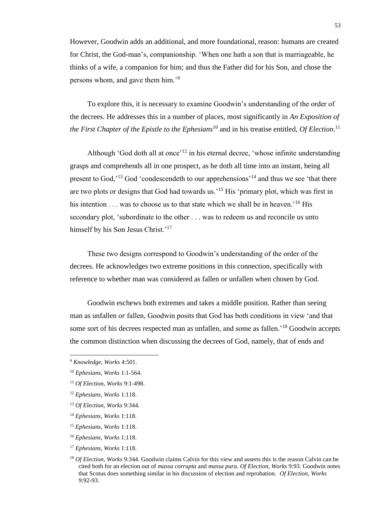However, Goodwin adds an additional, and more foundational, reason: humans are created for Christ, the God-man's, companionship. 'When one hath a son that is marriageable, he thinks of a wife, a companion for him; and thus the Father did for his Son, and chose the persons whom, and gave them him.'<sup>9</sup>

To explore this, it is necessary to examine Goodwin's understanding of the order of the decrees. He addresses this in a number of places, most significantly in *An Exposition of the First Chapter of the Epistle to the Ephesians*<sup>10</sup> and in his treatise entitled, *Of Election*. 11

Although 'God doth all at once<sup> $12$ </sup> in his eternal decree, 'whose infinite understanding grasps and comprehends all in one prospect, as he doth all time into an instant, being all present to God,<sup> $13$ </sup> God 'condescendeth to our apprehensions<sup> $14$ </sup> and thus we see 'that there are two plots or designs that God had towards us.<sup>15</sup> His 'primary plot, which was first in his intention . . . was to choose us to that state which we shall be in heaven.<sup>'16</sup> His secondary plot, 'subordinate to the other . . . was to redeem us and reconcile us unto himself by his Son Jesus Christ.'<sup>17</sup>

These two designs correspond to Goodwin's understanding of the order of the decrees. He acknowledges two extreme positions in this connection, specifically with reference to whether man was considered as fallen or unfallen when chosen by God.

Goodwin eschews both extremes and takes a middle position. Rather than seeing man as unfallen *or* fallen, Goodwin posits that God has both conditions in view 'and that some sort of his decrees respected man as unfallen, and some as fallen.<sup>18</sup> Goodwin accepts the common distinction when discussing the decrees of God, namely, that of ends and

- <sup>12</sup> *Ephesians, Works* 1:118.
- <sup>13</sup> *Of Election, Works* 9:344.
- <sup>14</sup> *Ephesians, Works* 1:118.
- <sup>15</sup> *Ephesians, Works* 1:118.
- <sup>16</sup> *Ephesians, Works* 1:118.
- <sup>17</sup> *Ephesians, Works* 1:118.

<sup>9</sup> *Knowledge, Works* 4:501.

<sup>10</sup> *Ephesians, Works* 1:1-564.

<sup>11</sup> *Of Election, Works* 9:1-498.

<sup>18</sup> *Of Election, Works* 9:344. Goodwin claims Calvin for this view and asserts this is the reason Calvin can be cited both for an election out of *massa corrupta* and *massa pura*. *Of Election, Works* 9:93. Goodwin notes that Scotus does something similar in his discussion of election and reprobation. *Of Election, Works*  9:92-93.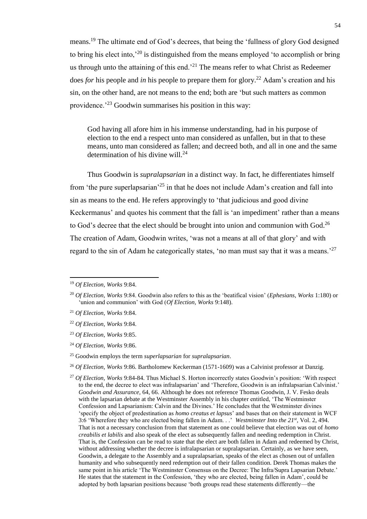means.<sup>19</sup> The ultimate end of God's decrees, that being the 'fullness of glory God designed to bring his elect into,<sup> $20$ </sup> is distinguished from the means employed 'to accomplish or bring us through unto the attaining of this end.<sup> $21$ </sup> The means refer to what Christ as Redeemer does *for* his people and *in* his people to prepare them for glory.<sup>22</sup> Adam's creation and his sin, on the other hand, are not means to the end; both are 'but such matters as common providence.'<sup>23</sup> Goodwin summarises his position in this way:

God having all afore him in his immense understanding, had in his purpose of election to the end a respect unto man considered as unfallen, but in that to these means, unto man considered as fallen; and decreed both, and all in one and the same determination of his divine will.<sup>24</sup>

Thus Goodwin is *supralapsarian* in a distinct way. In fact, he differentiates himself from 'the pure superlapsarian'<sup>25</sup> in that he does not include Adam's creation and fall into sin as means to the end. He refers approvingly to 'that judicious and good divine Keckermanus' and quotes his comment that the fall is 'an impediment' rather than a means to God's decree that the elect should be brought into union and communion with God.<sup>26</sup> The creation of Adam, Goodwin writes, 'was not a means at all of that glory' and with regard to the sin of Adam he categorically states, 'no man must say that it was a means.<sup>27</sup>

<sup>19</sup> *Of Election, Works* 9:84.

<sup>20</sup> *Of Election, Works* 9:84. Goodwin also refers to this as the 'beatifical vision' (*Ephesians, Works* 1:180) or 'union and communion' with God (*Of Election, Works* 9:148).

<sup>21</sup> *Of Election, Works* 9:84.

<sup>22</sup> *Of Election, Works* 9:84.

<sup>23</sup> *Of Election, Works* 9:85.

<sup>24</sup> *Of Election, Works* 9:86.

<sup>25</sup> Goodwin employs the term *superlapsarian* for *supralapsarian*.

<sup>26</sup> *Of Election, Works* 9:86. Bartholomew Keckerman (1571-1609) was a Calvinist professor at Danzig.

<sup>27</sup> *Of Election, Works* 9:84-84. Thus Michael S. Horton incorrectly states Goodwin's position: 'With respect to the end, the decree to elect was infralapsarian' and 'Therefore, Goodwin is an infralapsarian Calvinist.' *Goodwin and Assurance,* 64, 66. Although he does not reference Thomas Goodwin, J. V. Fesko deals with the lapsarian debate at the Westminster Assembly in his chapter entitled, 'The Westminster Confession and Lapsarianism: Calvin and the Divines.' He concludes that the Westminster divines 'specify the object of predestination as *homo creatus et lapsus*' and bases that on their statement in WCF 3:6 'Wherefore they who are elected being fallen in Adam. . .' *Westminster Into the 21st ,* Vol. 2, 494. That is not a necessary conclusion from that statement as one could believe that election was out of *homo creabilis et labilis* and also speak of the elect as subsequently fallen and needing redemption in Christ. That is, the Confession can be read to state that the elect are both fallen in Adam and redeemed by Christ, without addressing whether the decree is infralapsarian or supralapsarian. Certainly, as we have seen, Goodwin, a delegate to the Assembly and a supralapsarian, speaks of the elect as chosen out of unfallen humanity and who subsequently need redemption out of their fallen condition. Derek Thomas makes the same point in his article 'The Westminster Consensus on the Decree: The Infra/Supra Lapsarian Debate.' He states that the statement in the Confession, 'they who are elected, being fallen in Adam', could be adopted by both lapsarian positions because 'both groups read these statements differently—the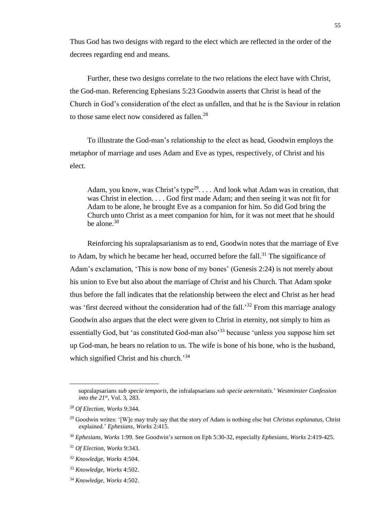Thus God has two designs with regard to the elect which are reflected in the order of the decrees regarding end and means.

Further, these two designs correlate to the two relations the elect have with Christ, the God-man. Referencing Ephesians 5:23 Goodwin asserts that Christ is head of the Church in God's consideration of the elect as unfallen, and that he is the Saviour in relation to those same elect now considered as fallen.<sup>28</sup>

To illustrate the God-man's relationship to the elect as head, Goodwin employs the metaphor of marriage and uses Adam and Eve as types, respectively, of Christ and his elect.

Adam, you know, was Christ's type<sup>29</sup>. . . . And look what Adam was in creation, that was Christ in election. . . . God first made Adam; and then seeing it was not fit for Adam to be alone, he brought Eve as a companion for him. So did God bring the Church unto Christ as a meet companion for him, for it was not meet that he should be alone.<sup>30</sup>

Reinforcing his supralapsarianism as to end, Goodwin notes that the marriage of Eve to Adam, by which he became her head, occurred before the fall.<sup>31</sup> The significance of Adam's exclamation, 'This is now bone of my bones' (Genesis 2:24) is not merely about his union to Eve but also about the marriage of Christ and his Church. That Adam spoke thus before the fall indicates that the relationship between the elect and Christ as her head was 'first decreed without the consideration had of the fall.<sup>32</sup> From this marriage analogy Goodwin also argues that the elect were given to Christ in eternity, not simply to him as essentially God, but 'as constituted God-man also'<sup>33</sup> because 'unless you suppose him set up God-man, he bears no relation to us. The wife is bone of his bone, who is the husband, which signified Christ and his church.<sup>34</sup>

supralapsarians *sub specie temporis*, the infralapsarians *sub specie aeternitatis.*' *Westminster Confession into the 21st*, Vol. 3, 283.

<sup>28</sup> *Of Election, Works* 9:344.

<sup>29</sup> Goodwin writes: '[W]e may truly say that the story of Adam is nothing else but *Christus explanatus*, Christ explained.' *Ephesians, Works* 2:415.

<sup>30</sup> *Ephesians, Works* 1:99. See Goodwin's sermon on Eph 5:30-32, especially *Ephesians, Works* 2:419-425.

<sup>31</sup> *Of Election, Works* 9:343.

<sup>32</sup> *Knowledge, Works* 4:504.

<sup>33</sup> *Knowledge, Works* 4:502.

<sup>34</sup> *Knowledge, Works* 4:502.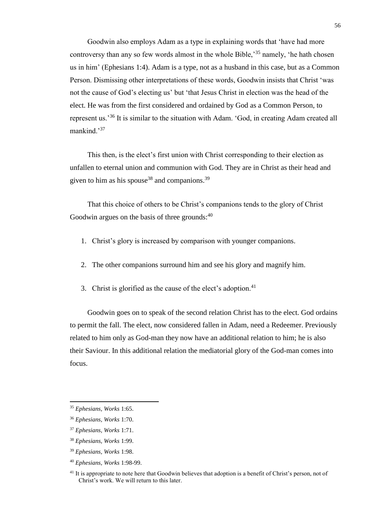Goodwin also employs Adam as a type in explaining words that 'have had more controversy than any so few words almost in the whole Bible,'<sup>35</sup> namely, 'he hath chosen us in him' (Ephesians 1:4). Adam is a type, not as a husband in this case, but as a Common Person. Dismissing other interpretations of these words, Goodwin insists that Christ 'was not the cause of God's electing us' but 'that Jesus Christ in election was the head of the elect. He was from the first considered and ordained by God as a Common Person, to represent us.'<sup>36</sup> It is similar to the situation with Adam. 'God, in creating Adam created all mankind.'<sup>37</sup>

This then, is the elect's first union with Christ corresponding to their election as unfallen to eternal union and communion with God. They are in Christ as their head and given to him as his spouse<sup>38</sup> and companions.<sup>39</sup>

That this choice of others to be Christ's companions tends to the glory of Christ Goodwin argues on the basis of three grounds: $40$ 

- 1. Christ's glory is increased by comparison with younger companions.
- 2. The other companions surround him and see his glory and magnify him.
- 3. Christ is glorified as the cause of the elect's adoption. $41$

Goodwin goes on to speak of the second relation Christ has to the elect. God ordains to permit the fall. The elect, now considered fallen in Adam, need a Redeemer. Previously related to him only as God-man they now have an additional relation to him; he is also their Saviour. In this additional relation the mediatorial glory of the God-man comes into focus.

<sup>35</sup> *Ephesians, Works* 1:65.

<sup>36</sup> *Ephesians, Works* 1:70.

<sup>37</sup> *Ephesians, Works* 1:71.

<sup>38</sup> *Ephesians, Works* 1:99.

<sup>39</sup> *Ephesians, Works* 1:98.

<sup>40</sup> *Ephesians, Works* 1:98-99.

<sup>&</sup>lt;sup>41</sup> It is appropriate to note here that Goodwin believes that adoption is a benefit of Christ's person, not of Christ's work. We will return to this later.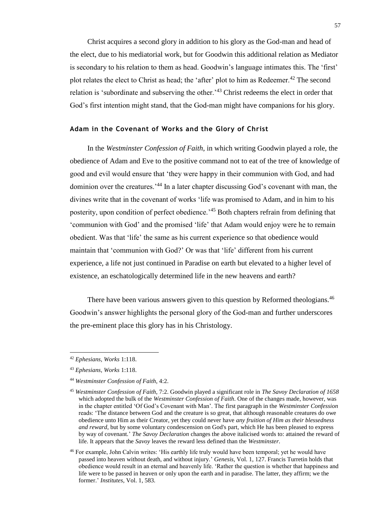Christ acquires a second glory in addition to his glory as the God-man and head of the elect, due to his mediatorial work, but for Goodwin this additional relation as Mediator is secondary to his relation to them as head. Goodwin's language intimates this. The 'first' plot relates the elect to Christ as head; the 'after' plot to him as Redeemer.<sup>42</sup> The second relation is 'subordinate and subserving the other.<sup>143</sup> Christ redeems the elect in order that God's first intention might stand, that the God-man might have companions for his glory.

# **Adam in the Covenant of Works and the Glory of Christ**

In the *Westminster Confession of Faith*, in which writing Goodwin played a role, the obedience of Adam and Eve to the positive command not to eat of the tree of knowledge of good and evil would ensure that 'they were happy in their communion with God, and had dominion over the creatures.<sup>44</sup> In a later chapter discussing God's covenant with man, the divines write that in the covenant of works 'life was promised to Adam, and in him to his posterity, upon condition of perfect obedience.'<sup>45</sup> Both chapters refrain from defining that 'communion with God' and the promised 'life' that Adam would enjoy were he to remain obedient. Was that 'life' the same as his current experience so that obedience would maintain that 'communion with God?' Or was that 'life' different from his current experience, a life not just continued in Paradise on earth but elevated to a higher level of existence, an eschatologically determined life in the new heavens and earth?

There have been various answers given to this question by Reformed theologians.<sup>46</sup> Goodwin's answer highlights the personal glory of the God-man and further underscores the pre-eminent place this glory has in his Christology.

<sup>42</sup> *Ephesians, Works* 1:118.

<sup>43</sup> *Ephesians, Works* 1:118.

<sup>44</sup> *Westminster Confession of Faith*, 4:2.

<sup>45</sup> *Westminster Confession of Faith*, 7:2. Goodwin played a significant role in *The Savoy Declaration of 1658* which adopted the bulk of the *Westminster Confession of Faith*. One of the changes made, however, was in the chapter entitled 'Of God's Covenant with Man'. The first paragraph in the *Westminster Confession* reads: 'The distance between God and the creature is so great, that although reasonable creatures do owe obedience unto Him as their Creator, yet they could never have *any fruition of Him as their blessedness and reward*, but by some voluntary condescension on God's part, which He has been pleased to express by way of covenant.' *The Savoy Declaration* changes the above italicised words to: attained the reward of life. It appears that the *Savoy* leaves the reward less defined than the *Westminster*.

<sup>46</sup> For example, John Calvin writes: 'His earthly life truly would have been temporal; yet he would have passed into heaven without death, and without injury.' *Genesis*, Vol. 1, 127. Francis Turretin holds that obedience would result in an eternal and heavenly life. 'Rather the question is whether that happiness and life were to be passed in heaven or only upon the earth and in paradise. The latter, they affirm; we the former.' *Institutes,* Vol. 1, 583.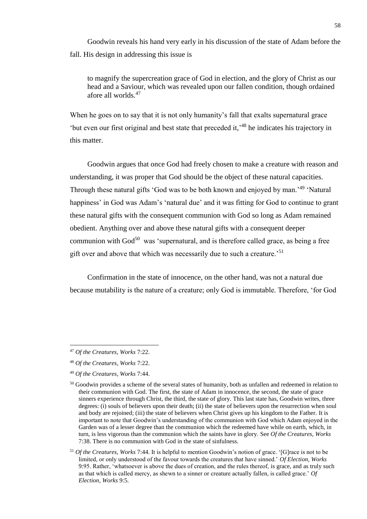Goodwin reveals his hand very early in his discussion of the state of Adam before the fall. His design in addressing this issue is

to magnify the supercreation grace of God in election, and the glory of Christ as our head and a Saviour, which was revealed upon our fallen condition, though ordained afore all worlds.<sup>47</sup>

When he goes on to say that it is not only humanity's fall that exalts supernatural grace 'but even our first original and best state that preceded it,' <sup>48</sup> he indicates his trajectory in this matter.

Goodwin argues that once God had freely chosen to make a creature with reason and understanding, it was proper that God should be the object of these natural capacities. Through these natural gifts 'God was to be both known and enjoyed by man.<sup>149</sup> 'Natural' happiness' in God was Adam's 'natural due' and it was fitting for God to continue to grant these natural gifts with the consequent communion with God so long as Adam remained obedient. Anything over and above these natural gifts with a consequent deeper communion with  $God^{50}$  was 'supernatural, and is therefore called grace, as being a free gift over and above that which was necessarily due to such a creature.'<sup>51</sup>

Confirmation in the state of innocence, on the other hand, was not a natural due because mutability is the nature of a creature; only God is immutable. Therefore, 'for God

<sup>47</sup> *Of the Creatures, Works* 7:22.

<sup>48</sup> *Of the Creatures, Works* 7:22.

<sup>49</sup> *Of the Creatures, Works* 7:44.

<sup>&</sup>lt;sup>50</sup> Goodwin provides a scheme of the several states of humanity, both as unfallen and redeemed in relation to their communion with God. The first, the state of Adam in innocence, the second, the state of grace sinners experience through Christ, the third, the state of glory. This last state has, Goodwin writes, three degrees: (i) souls of believers upon their death; (ii) the state of believers upon the resurrection when soul and body are rejoined; (iii) the state of believers when Christ gives up his kingdom to the Father. It is important to note that Goodwin's understanding of the communion with God which Adam enjoyed in the Garden was of a lesser degree than the communion which the redeemed have while on earth, which, in turn, is less vigorous than the communion which the saints have in glory. See *Of the Creatures, Works*  7:38. There is no communion with God in the state of sinfulness.

<sup>51</sup> *Of the Creatures, Works* 7:44. It is helpful to mention Goodwin's notion of grace. '[G]race is not to be limited, or only understood of the favour towards the creatures that have sinned.' *Of Election, Works*  9:95. Rather, 'whatsoever is above the dues of creation, and the rules thereof, is grace, and as truly such as that which is called mercy, as shewn to a sinner or creature actually fallen, is called grace.' *Of Election, Works* 9:5.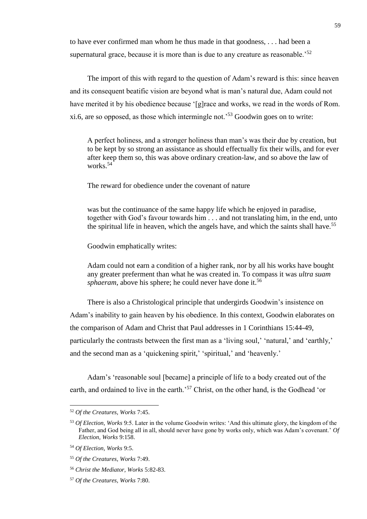to have ever confirmed man whom he thus made in that goodness, . . . had been a supernatural grace, because it is more than is due to any creature as reasonable.<sup>52</sup>

The import of this with regard to the question of Adam's reward is this: since heaven and its consequent beatific vision are beyond what is man's natural due, Adam could not have merited it by his obedience because '[g]race and works, we read in the words of Rom. xi.6, are so opposed, as those which intermingle not.'<sup>53</sup> Goodwin goes on to write:

A perfect holiness, and a stronger holiness than man's was their due by creation, but to be kept by so strong an assistance as should effectually fix their wills, and for ever after keep them so, this was above ordinary creation-law, and so above the law of works.<sup>54</sup>

The reward for obedience under the covenant of nature

was but the continuance of the same happy life which he enjoyed in paradise, together with God's favour towards him . . . and not translating him, in the end, unto the spiritual life in heaven, which the angels have, and which the saints shall have.<sup>55</sup>

Goodwin emphatically writes:

Adam could not earn a condition of a higher rank, nor by all his works have bought any greater preferment than what he was created in. To compass it was *ultra suam sphaeram*, above his sphere; he could never have done it.<sup>56</sup>

There is also a Christological principle that undergirds Goodwin's insistence on Adam's inability to gain heaven by his obedience. In this context, Goodwin elaborates on the comparison of Adam and Christ that Paul addresses in 1 Corinthians 15:44-49, particularly the contrasts between the first man as a 'living soul,' 'natural,' and 'earthly,' and the second man as a 'quickening spirit,' 'spiritual,' and 'heavenly.'

Adam's 'reasonable soul [became] a principle of life to a body created out of the earth, and ordained to live in the earth.'<sup>57</sup> Christ, on the other hand, is the Godhead 'or

<sup>52</sup> *Of the Creatures, Works* 7:45.

<sup>53</sup> *Of Election, Works* 9:5. Later in the volume Goodwin writes: 'And this ultimate glory, the kingdom of the Father, and God being all in all, should never have gone by works only, which was Adam's covenant.' *Of Election, Works* 9:158.

<sup>54</sup> *Of Election, Works* 9:5.

<sup>55</sup> *Of the Creatures, Works* 7:49.

<sup>56</sup> *Christ the Mediator, Works* 5:82-83.

<sup>57</sup> *Of the Creatures, Works* 7:80.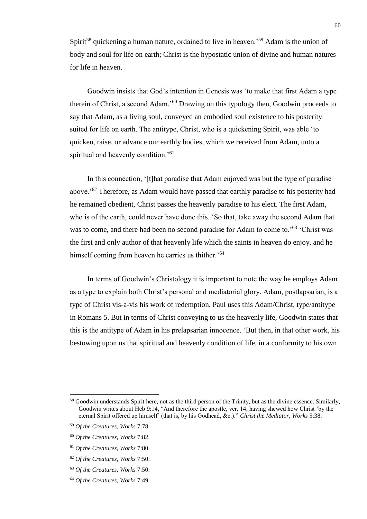Spirit<sup>58</sup> quickening a human nature, ordained to live in heaven.<sup>59</sup> Adam is the union of body and soul for life on earth; Christ is the hypostatic union of divine and human natures for life in heaven.

Goodwin insists that God's intention in Genesis was 'to make that first Adam a type therein of Christ, a second Adam.'<sup>60</sup> Drawing on this typology then, Goodwin proceeds to say that Adam, as a living soul, conveyed an embodied soul existence to his posterity suited for life on earth. The antitype, Christ, who is a quickening Spirit, was able 'to quicken, raise, or advance our earthly bodies, which we received from Adam, unto a spiritual and heavenly condition.<sup>'61</sup>

In this connection, '[t]hat paradise that Adam enjoyed was but the type of paradise above.'<sup>62</sup> Therefore, as Adam would have passed that earthly paradise to his posterity had he remained obedient, Christ passes the heavenly paradise to his elect. The first Adam, who is of the earth, could never have done this. 'So that, take away the second Adam that was to come, and there had been no second paradise for Adam to come to.<sup>563</sup> 'Christ was the first and only author of that heavenly life which the saints in heaven do enjoy, and he himself coming from heaven he carries us thither.<sup>'64</sup>

In terms of Goodwin's Christology it is important to note the way he employs Adam as a type to explain both Christ's personal and mediatorial glory. Adam, postlapsarian, is a type of Christ vis-a-vis his work of redemption. Paul uses this Adam/Christ, type/antitype in Romans 5. But in terms of Christ conveying to us the heavenly life, Goodwin states that this is the antitype of Adam in his prelapsarian innocence. 'But then, in that other work, his bestowing upon us that spiritual and heavenly condition of life, in a conformity to his own

<sup>&</sup>lt;sup>58</sup> Goodwin understands Spirit here, not as the third person of the Trinity, but as the divine essence. Similarly, Goodwin writes about Heb 9:14, "And therefore the apostle, ver. 14, having shewed how Christ 'by the eternal Spirit offered up himself' (that is, by his Godhead, &c.)." *Christ the Mediator, Works* 5:38.

<sup>59</sup> *Of the Creatures, Works* 7:78.

<sup>60</sup> *Of the Creatures, Works* 7:82.

<sup>61</sup> *Of the Creatures, Works* 7:80.

<sup>62</sup> *Of the Creatures, Works* 7:50.

<sup>63</sup> *Of the Creatures, Works* 7:50.

<sup>64</sup> *Of the Creatures, Works* 7:49.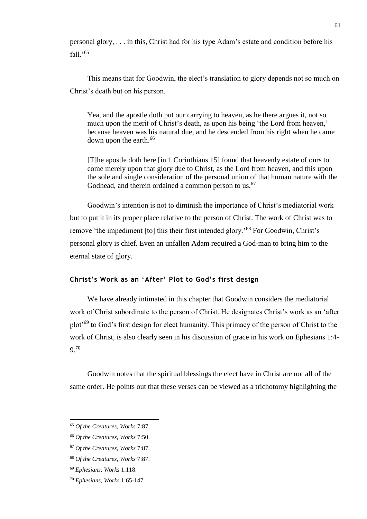personal glory, . . . in this, Christ had for his type Adam's estate and condition before his fall.'<sup>65</sup>

This means that for Goodwin, the elect's translation to glory depends not so much on Christ's death but on his person.

Yea, and the apostle doth put our carrying to heaven, as he there argues it, not so much upon the merit of Christ's death, as upon his being 'the Lord from heaven,' because heaven was his natural due, and he descended from his right when he came down upon the earth.<sup>66</sup>

[T]he apostle doth here [in 1 Corinthians 15] found that heavenly estate of ours to come merely upon that glory due to Christ, as the Lord from heaven, and this upon the sole and single consideration of the personal union of that human nature with the Godhead, and therein ordained a common person to us.<sup>67</sup>

Goodwin's intention is not to diminish the importance of Christ's mediatorial work but to put it in its proper place relative to the person of Christ. The work of Christ was to remove 'the impediment [to] this their first intended glory.'<sup>68</sup> For Goodwin, Christ's personal glory is chief. Even an unfallen Adam required a God-man to bring him to the eternal state of glory.

# **Christ's Work as an 'After' Plot to God's first design**

We have already intimated in this chapter that Goodwin considers the mediatorial work of Christ subordinate to the person of Christ. He designates Christ's work as an 'after plot'<sup>69</sup> to God's first design for elect humanity. This primacy of the person of Christ to the work of Christ, is also clearly seen in his discussion of grace in his work on Ephesians 1:4- 9.<sup>70</sup>

Goodwin notes that the spiritual blessings the elect have in Christ are not all of the same order. He points out that these verses can be viewed as a trichotomy highlighting the

<sup>65</sup> *Of the Creatures, Works* 7:87.

<sup>66</sup> *Of the Creatures, Works* 7:50.

<sup>67</sup> *Of the Creatures, Works* 7:87.

<sup>68</sup> *Of the Creatures, Works* 7:87.

<sup>69</sup> *Ephesians, Works* 1:118.

<sup>70</sup> *Ephesians, Works* 1:65-147.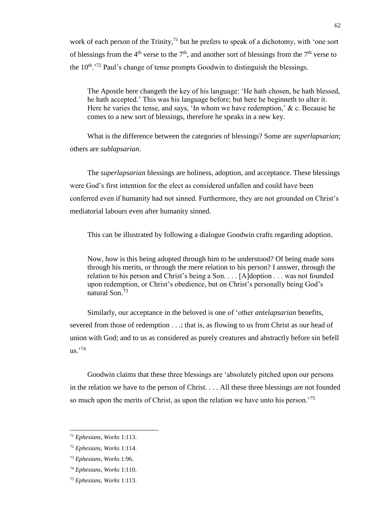work of each person of the Trinity,<sup>71</sup> but he prefers to speak of a dichotomy, with 'one sort of blessings from the 4<sup>th</sup> verse to the 7<sup>th</sup>, and another sort of blessings from the 7<sup>th</sup> verse to the  $10^{th}$ .<sup>72</sup> Paul's change of tense prompts Goodwin to distinguish the blessings.

The Apostle here changeth the key of his language: 'He hath chosen, he hath blessed, he hath accepted.' This was his language before; but here he beginneth to alter it. Here he varies the tense, and says, 'In whom we have redemption,' & c. Because he comes to a new sort of blessings, therefore he speaks in a new key.

What is the difference between the categories of blessings? Some are *superlapsarian*; others are *sublapsarian*.

The *superlapsarian* blessings are holiness, adoption, and acceptance. These blessings were God's first intention for the elect as considered unfallen and could have been conferred even if humanity had not sinned. Furthermore, they are not grounded on Christ's mediatorial labours even after humanity sinned.

This can be illustrated by following a dialogue Goodwin crafts regarding adoption.

Now, how is this being adopted through him to be understood? Of being made sons through his merits, or through the mere relation to his person? I answer, through the relation to his person and Christ's being a Son. . . . [A]doption . . . was not founded upon redemption, or Christ's obedience, but on Christ's personally being God's natural Son.<sup>73</sup>

Similarly, our acceptance in the beloved is one of 'other *antelapsarian* benefits, severed from those of redemption . . .; that is, as flowing to us from Christ as our head of union with God; and to us as considered as purely creatures and abstractly before sin befell  $us.$ <sup>74</sup>

Goodwin claims that these three blessings are 'absolutely pitched upon our persons in the relation we have to the person of Christ. . . . All these three blessings are not founded so much upon the merits of Christ, as upon the relation we have unto his person.'<sup>75</sup>

<sup>71</sup> *Ephesians, Works* 1:113.

<sup>72</sup> *Ephesians, Works* 1:114.

<sup>73</sup> *Ephesians, Works* 1:96.

<sup>74</sup> *Ephesians, Works* 1:110.

<sup>75</sup> *Ephesians, Works* 1:113.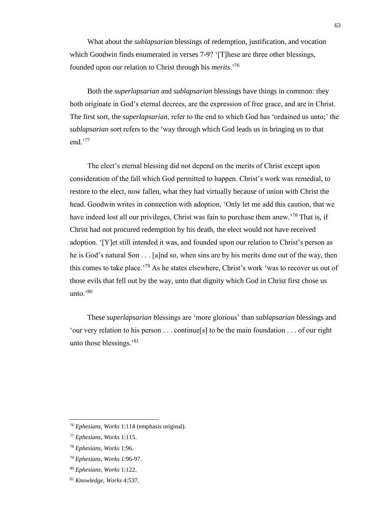What about the *sublapsarian* blessings of redemption, justification, and vocation which Goodwin finds enumerated in verses 7-9? '[T]hese are three other blessings, founded upon our relation to Christ through his *merits*.'<sup>76</sup>

Both the *superlapsarian* and *sublapsarian* blessings have things in common: they both originate in God's eternal decrees, are the expression of free grace, and are in Christ. The first sort, the *superlapsarian*, refer to the end to which God has 'ordained us unto;' the *sublapsarian* sort refers to the 'way through which God leads us in bringing us to that end.'<sup>77</sup>

The elect's eternal blessing did not depend on the merits of Christ except upon consideration of the fall which God permitted to happen. Christ's work was remedial, to restore to the elect, now fallen, what they had virtually because of union with Christ the head. Goodwin writes in connection with adoption, 'Only let me add this caution, that we have indeed lost all our privileges, Christ was fain to purchase them anew.<sup>78</sup> That is, if Christ had not procured redemption by his death, the elect would not have received adoption. '[Y]et still intended it was, and founded upon our relation to Christ's person as he is God's natural Son . . . [a]nd so, when sins are by his merits done out of the way, then this comes to take place.<sup> $79$ </sup> As he states elsewhere, Christ's work 'was to recover us out of those evils that fell out by the way, unto that dignity which God in Christ first chose us unto.'<sup>80</sup>

These *superlapsarian* blessings are 'more glorious' than *sublapsarian* blessings and 'our very relation to his person . . . continue[s] to be the main foundation . . . of our right unto those blessings.'<sup>81</sup>

<sup>76</sup> *Ephesians, Works* 1:114 (emphasis original).

<sup>77</sup> *Ephesians, Works* 1:115.

<sup>78</sup> *Ephesians, Works* 1:96.

<sup>79</sup> *Ephesians, Works* 1:96-97.

<sup>80</sup> *Ephesians, Works* 1:122.

<sup>81</sup> *Knowledge, Works* 4:537.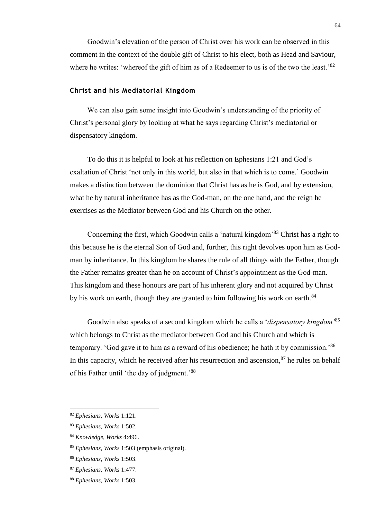Goodwin's elevation of the person of Christ over his work can be observed in this comment in the context of the double gift of Christ to his elect, both as Head and Saviour, where he writes: 'whereof the gift of him as of a Redeemer to us is of the two the least.'<sup>82</sup>

### **Christ and his Mediatorial Kingdom**

We can also gain some insight into Goodwin's understanding of the priority of Christ's personal glory by looking at what he says regarding Christ's mediatorial or dispensatory kingdom.

To do this it is helpful to look at his reflection on Ephesians 1:21 and God's exaltation of Christ 'not only in this world, but also in that which is to come.' Goodwin makes a distinction between the dominion that Christ has as he is God, and by extension, what he by natural inheritance has as the God-man, on the one hand, and the reign he exercises as the Mediator between God and his Church on the other.

Concerning the first, which Goodwin calls a 'natural kingdom'<sup>83</sup> Christ has a right to this because he is the eternal Son of God and, further, this right devolves upon him as Godman by inheritance. In this kingdom he shares the rule of all things with the Father, though the Father remains greater than he on account of Christ's appointment as the God-man. This kingdom and these honours are part of his inherent glory and not acquired by Christ by his work on earth, though they are granted to him following his work on earth.<sup>84</sup>

Goodwin also speaks of a second kingdom which he calls a '*dispensatory kingdom'*<sup>85</sup> which belongs to Christ as the mediator between God and his Church and which is temporary. 'God gave it to him as a reward of his obedience; he hath it by commission.'<sup>86</sup> In this capacity, which he received after his resurrection and ascension, $87$  he rules on behalf of his Father until 'the day of judgment.'88

<sup>82</sup> *Ephesians, Works* 1:121.

<sup>83</sup> *Ephesians, Works* 1:502.

<sup>84</sup> *Knowledge, Works* 4:496.

<sup>85</sup> *Ephesians, Works* 1:503 (emphasis original).

<sup>86</sup> *Ephesians, Works* 1:503.

<sup>87</sup> *Ephesians, Works* 1:477.

<sup>88</sup> *Ephesians, Works* 1:503.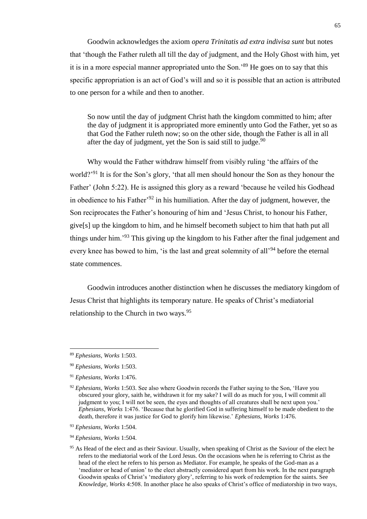Goodwin acknowledges the axiom *opera Trinitatis ad extra indivisa sunt* but notes that 'though the Father ruleth all till the day of judgment, and the Holy Ghost with him, yet it is in a more especial manner appropriated unto the Son.'<sup>89</sup> He goes on to say that this specific appropriation is an act of God's will and so it is possible that an action is attributed to one person for a while and then to another.

So now until the day of judgment Christ hath the kingdom committed to him; after the day of judgment it is appropriated more eminently unto God the Father, yet so as that God the Father ruleth now; so on the other side, though the Father is all in all after the day of judgment, yet the Son is said still to judge. $90$ 

Why would the Father withdraw himself from visibly ruling 'the affairs of the world?<sup>'91</sup> It is for the Son's glory, 'that all men should honour the Son as they honour the Father' (John 5:22). He is assigned this glory as a reward 'because he veiled his Godhead in obedience to his Father'<sup>92</sup> in his humiliation. After the day of judgment, however, the Son reciprocates the Father's honouring of him and 'Jesus Christ, to honour his Father, give[s] up the kingdom to him, and he himself becometh subject to him that hath put all things under him.'<sup>93</sup> This giving up the kingdom to his Father after the final judgement and every knee has bowed to him, 'is the last and great solemnity of all<sup>94</sup> before the eternal state commences.

Goodwin introduces another distinction when he discusses the mediatory kingdom of Jesus Christ that highlights its temporary nature. He speaks of Christ's mediatorial relationship to the Church in two ways.<sup>95</sup>

<sup>89</sup> *Ephesians, Works* 1:503.

<sup>90</sup> *Ephesians, Works* 1:503.

<sup>91</sup> *Ephesians, Works* 1:476.

<sup>92</sup> *Ephesians, Works* 1:503. See also where Goodwin records the Father saying to the Son, 'Have you obscured your glory, saith he, withdrawn it for my sake? I will do as much for you, I will commit all judgment to you; I will not be seen, the eyes and thoughts of all creatures shall be next upon you.' *Ephesians, Works* 1:476. 'Because that he glorified God in suffering himself to be made obedient to the death, therefore it was justice for God to glorify him likewise.' *Ephesians, Works* 1:476.

<sup>93</sup> *Ephesians, Works* 1:504.

<sup>94</sup> *Ephesians, Works* 1:504.

<sup>&</sup>lt;sup>95</sup> As Head of the elect and as their Saviour. Usually, when speaking of Christ as the Saviour of the elect he refers to the mediatorial work of the Lord Jesus. On the occasions when he is referring to Christ as the head of the elect he refers to his person as Mediator. For example, he speaks of the God-man as a 'mediator or head of union' to the elect abstractly considered apart from his work. In the next paragraph Goodwin speaks of Christ's 'mediatory glory', referring to his work of redemption for the saints. See *Knowledge, Works* 4:508. In another place he also speaks of Christ's office of mediatorship in two ways,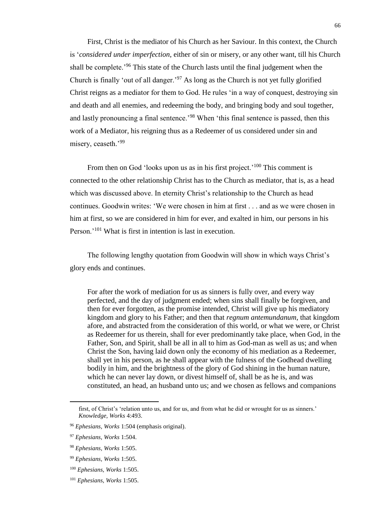First, Christ is the mediator of his Church as her Saviour. In this context, the Church is '*considered under imperfection*, either of sin or misery, or any other want, till his Church shall be complete.'<sup>96</sup> This state of the Church lasts until the final judgement when the Church is finally 'out of all danger.'<sup>97</sup> As long as the Church is not yet fully glorified Christ reigns as a mediator for them to God. He rules 'in a way of conquest, destroying sin and death and all enemies, and redeeming the body, and bringing body and soul together, and lastly pronouncing a final sentence.<sup>'98</sup> When 'this final sentence is passed, then this work of a Mediator, his reigning thus as a Redeemer of us considered under sin and misery, ceaseth.'<sup>99</sup>

From then on God 'looks upon us as in his first project.'<sup>100</sup> This comment is connected to the other relationship Christ has to the Church as mediator, that is, as a head which was discussed above. In eternity Christ's relationship to the Church as head continues. Goodwin writes: 'We were chosen in him at first . . . and as we were chosen in him at first, so we are considered in him for ever, and exalted in him, our persons in his Person.'<sup>101</sup> What is first in intention is last in execution.

The following lengthy quotation from Goodwin will show in which ways Christ's glory ends and continues.

For after the work of mediation for us as sinners is fully over, and every way perfected, and the day of judgment ended; when sins shall finally be forgiven, and then for ever forgotten, as the promise intended, Christ will give up his mediatory kingdom and glory to his Father; and then that *regnum antemundanum*, that kingdom afore, and abstracted from the consideration of this world, or what we were, or Christ as Redeemer for us therein, shall for ever predominantly take place, when God, in the Father, Son, and Spirit, shall be all in all to him as God-man as well as us; and when Christ the Son, having laid down only the economy of his mediation as a Redeemer, shall yet in his person, as he shall appear with the fulness of the Godhead dwelling bodily in him, and the brightness of the glory of God shining in the human nature, which he can never lay down, or divest himself of, shall be as he is, and was constituted, an head, an husband unto us; and we chosen as fellows and companions

first, of Christ's 'relation unto us, and for us, and from what he did or wrought for us as sinners.' *Knowledge, Works* 4:493.

<sup>96</sup> *Ephesians, Works* 1:504 (emphasis original).

<sup>97</sup> *Ephesians, Works* 1:504.

<sup>98</sup> *Ephesians, Works* 1:505.

<sup>99</sup> *Ephesians, Works* 1:505.

<sup>100</sup> *Ephesians, Works* 1:505.

<sup>101</sup> *Ephesians, Works* 1:505.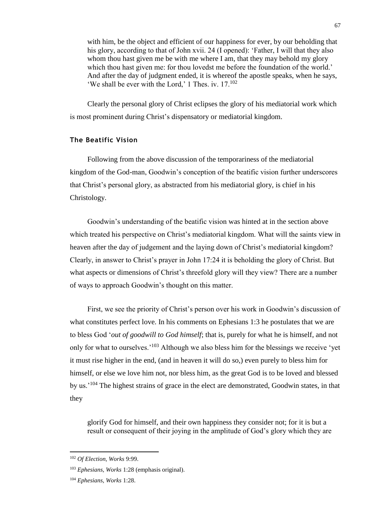with him, be the object and efficient of our happiness for ever, by our beholding that his glory, according to that of John xvii. 24 (I opened): 'Father, I will that they also whom thou hast given me be with me where I am, that they may behold my glory which thou hast given me: for thou lovedst me before the foundation of the world.' And after the day of judgment ended, it is whereof the apostle speaks, when he says, 'We shall be ever with the Lord,' 1 Thes. iv. 17.<sup>102</sup>

Clearly the personal glory of Christ eclipses the glory of his mediatorial work which is most prominent during Christ's dispensatory or mediatorial kingdom.

### **The Beatific Vision**

Following from the above discussion of the temporariness of the mediatorial kingdom of the God-man, Goodwin's conception of the beatific vision further underscores that Christ's personal glory, as abstracted from his mediatorial glory, is chief in his Christology.

Goodwin's understanding of the beatific vision was hinted at in the section above which treated his perspective on Christ's mediatorial kingdom. What will the saints view in heaven after the day of judgement and the laying down of Christ's mediatorial kingdom? Clearly, in answer to Christ's prayer in John 17:24 it is beholding the glory of Christ. But what aspects or dimensions of Christ's threefold glory will they view? There are a number of ways to approach Goodwin's thought on this matter.

First, we see the priority of Christ's person over his work in Goodwin's discussion of what constitutes perfect love. In his comments on Ephesians 1:3 he postulates that we are to bless God '*out of goodwill to God himself*; that is, purely for what he is himself, and not only for what to ourselves.<sup>'103</sup> Although we also bless him for the blessings we receive 'yet it must rise higher in the end, (and in heaven it will do so,) even purely to bless him for himself, or else we love him not, nor bless him, as the great God is to be loved and blessed by us.'<sup>104</sup> The highest strains of grace in the elect are demonstrated, Goodwin states, in that they

glorify God for himself, and their own happiness they consider not; for it is but a result or consequent of their joying in the amplitude of God's glory which they are

l

<sup>102</sup> *Of Election, Works* 9:99.

<sup>103</sup> *Ephesians, Works* 1:28 (emphasis original).

<sup>104</sup> *Ephesians, Works* 1:28.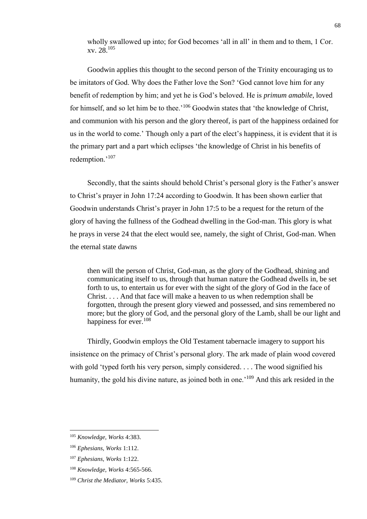wholly swallowed up into; for God becomes 'all in all' in them and to them, 1 Cor. xv. 28.<sup>105</sup>

Goodwin applies this thought to the second person of the Trinity encouraging us to be imitators of God. Why does the Father love the Son? 'God cannot love him for any benefit of redemption by him; and yet he is God's beloved. He is *primum amabile*, loved for himself, and so let him be to thee.<sup>'106</sup> Goodwin states that 'the knowledge of Christ, and communion with his person and the glory thereof, is part of the happiness ordained for us in the world to come.' Though only a part of the elect's happiness, it is evident that it is the primary part and a part which eclipses 'the knowledge of Christ in his benefits of redemption.'<sup>107</sup>

Secondly, that the saints should behold Christ's personal glory is the Father's answer to Christ's prayer in John 17:24 according to Goodwin. It has been shown earlier that Goodwin understands Christ's prayer in John 17:5 to be a request for the return of the glory of having the fullness of the Godhead dwelling in the God-man. This glory is what he prays in verse 24 that the elect would see, namely, the sight of Christ, God-man. When the eternal state dawns

then will the person of Christ, God-man, as the glory of the Godhead, shining and communicating itself to us, through that human nature the Godhead dwells in, be set forth to us, to entertain us for ever with the sight of the glory of God in the face of Christ. . . . And that face will make a heaven to us when redemption shall be forgotten, through the present glory viewed and possessed, and sins remembered no more; but the glory of God, and the personal glory of the Lamb, shall be our light and happiness for ever.<sup>108</sup>

Thirdly, Goodwin employs the Old Testament tabernacle imagery to support his insistence on the primacy of Christ's personal glory. The ark made of plain wood covered with gold 'typed forth his very person, simply considered. . . . The wood signified his humanity, the gold his divine nature, as joined both in one.<sup>'109</sup> And this ark resided in the

<sup>105</sup> *Knowledge, Works* 4:383.

<sup>106</sup> *Ephesians, Works* 1:112.

<sup>107</sup> *Ephesians, Works* 1:122.

<sup>108</sup> *Knowledge, Works* 4:565-566.

<sup>109</sup> *Christ the Mediator, Works* 5:435.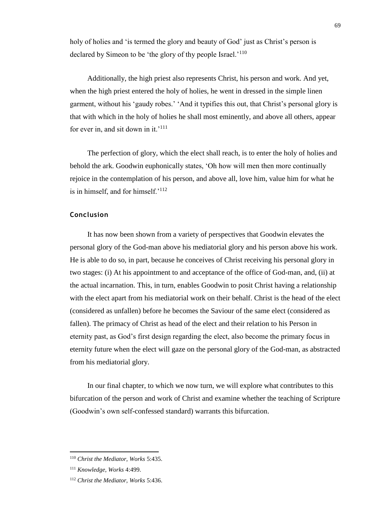holy of holies and 'is termed the glory and beauty of God' just as Christ's person is declared by Simeon to be 'the glory of thy people Israel.'<sup>110</sup>

Additionally, the high priest also represents Christ, his person and work. And yet, when the high priest entered the holy of holies, he went in dressed in the simple linen garment, without his 'gaudy robes.' 'And it typifies this out, that Christ's personal glory is that with which in the holy of holies he shall most eminently, and above all others, appear for ever in, and sit down in it.'<sup>111</sup>

The perfection of glory, which the elect shall reach, is to enter the holy of holies and behold the ark. Goodwin euphonically states, 'Oh how will men then more continually rejoice in the contemplation of his person, and above all, love him, value him for what he is in himself, and for himself.'<sup>112</sup>

#### **Conclusion**

It has now been shown from a variety of perspectives that Goodwin elevates the personal glory of the God-man above his mediatorial glory and his person above his work. He is able to do so, in part, because he conceives of Christ receiving his personal glory in two stages: (i) At his appointment to and acceptance of the office of God-man, and, (ii) at the actual incarnation. This, in turn, enables Goodwin to posit Christ having a relationship with the elect apart from his mediatorial work on their behalf. Christ is the head of the elect (considered as unfallen) before he becomes the Saviour of the same elect (considered as fallen). The primacy of Christ as head of the elect and their relation to his Person in eternity past, as God's first design regarding the elect, also become the primary focus in eternity future when the elect will gaze on the personal glory of the God-man, as abstracted from his mediatorial glory.

In our final chapter, to which we now turn, we will explore what contributes to this bifurcation of the person and work of Christ and examine whether the teaching of Scripture (Goodwin's own self-confessed standard) warrants this bifurcation.

l

<sup>110</sup> *Christ the Mediator, Works* 5:435.

<sup>111</sup> *Knowledge, Works* 4:499.

<sup>112</sup> *Christ the Mediator, Works* 5:436.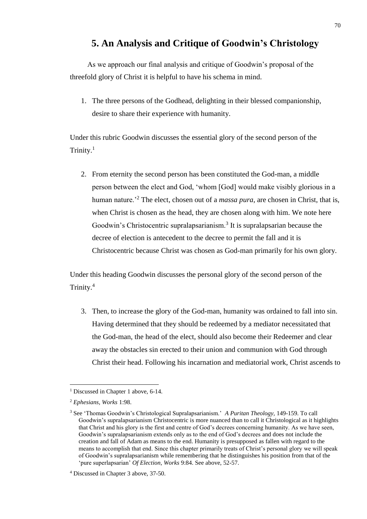## **5. An Analysis and Critique of Goodwin's Christology**

As we approach our final analysis and critique of Goodwin's proposal of the threefold glory of Christ it is helpful to have his schema in mind.

1. The three persons of the Godhead, delighting in their blessed companionship, desire to share their experience with humanity.

Under this rubric Goodwin discusses the essential glory of the second person of the Trinity.<sup>1</sup>

2. From eternity the second person has been constituted the God-man, a middle person between the elect and God, 'whom [God] would make visibly glorious in a human nature.'<sup>2</sup> The elect, chosen out of a *massa pura*, are chosen in Christ, that is, when Christ is chosen as the head, they are chosen along with him. We note here Goodwin's Christocentric supralapsarianism.<sup>3</sup> It is supralapsarian because the decree of election is antecedent to the decree to permit the fall and it is Christocentric because Christ was chosen as God-man primarily for his own glory.

Under this heading Goodwin discusses the personal glory of the second person of the Trinity.<sup>4</sup>

3. Then, to increase the glory of the God-man, humanity was ordained to fall into sin. Having determined that they should be redeemed by a mediator necessitated that the God-man, the head of the elect, should also become their Redeemer and clear away the obstacles sin erected to their union and communion with God through Christ their head. Following his incarnation and mediatorial work, Christ ascends to

<sup>&</sup>lt;sup>1</sup> Discussed in Chapter 1 above, 6-14.

<sup>2</sup> *Ephesians, Works* 1:98.

<sup>3</sup> See 'Thomas Goodwin's Christological Supralapsarianism.' *A Puritan Theology,* 149-159. To call Goodwin's supralapsarianism Christocentric is more nuanced than to call it Christological as it highlights that Christ and his glory is the first and centre of God's decrees concerning humanity. As we have seen, Goodwin's supralapsarianism extends only as to the end of God's decrees and does not include the creation and fall of Adam as means to the end. Humanity is presupposed as fallen with regard to the means to accomplish that end. Since this chapter primarily treats of Christ's personal glory we will speak of Goodwin's supralapsarianism while remembering that he distinguishes his position from that of the 'pure superlapsarian' *Of Election, Works* 9:84. See above, 52-57.

<sup>4</sup> Discussed in Chapter 3 above, 37-50.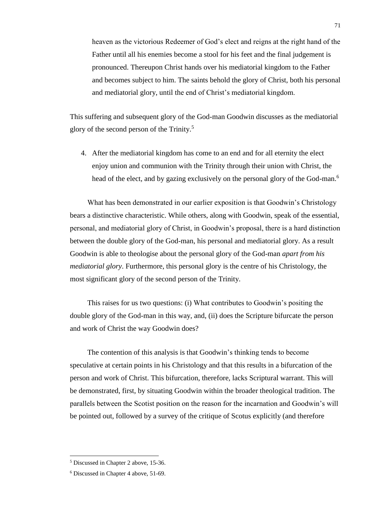heaven as the victorious Redeemer of God's elect and reigns at the right hand of the Father until all his enemies become a stool for his feet and the final judgement is pronounced. Thereupon Christ hands over his mediatorial kingdom to the Father and becomes subject to him. The saints behold the glory of Christ, both his personal and mediatorial glory, until the end of Christ's mediatorial kingdom.

This suffering and subsequent glory of the God-man Goodwin discusses as the mediatorial glory of the second person of the Trinity.<sup>5</sup>

4. After the mediatorial kingdom has come to an end and for all eternity the elect enjoy union and communion with the Trinity through their union with Christ, the head of the elect, and by gazing exclusively on the personal glory of the God-man.<sup>6</sup>

What has been demonstrated in our earlier exposition is that Goodwin's Christology bears a distinctive characteristic. While others, along with Goodwin, speak of the essential, personal, and mediatorial glory of Christ, in Goodwin's proposal, there is a hard distinction between the double glory of the God-man, his personal and mediatorial glory. As a result Goodwin is able to theologise about the personal glory of the God-man *apart from his mediatorial glory*. Furthermore, this personal glory is the centre of his Christology, the most significant glory of the second person of the Trinity.

This raises for us two questions: (i) What contributes to Goodwin's positing the double glory of the God-man in this way, and, (ii) does the Scripture bifurcate the person and work of Christ the way Goodwin does?

The contention of this analysis is that Goodwin's thinking tends to become speculative at certain points in his Christology and that this results in a bifurcation of the person and work of Christ. This bifurcation, therefore, lacks Scriptural warrant. This will be demonstrated, first, by situating Goodwin within the broader theological tradition. The parallels between the Scotist position on the reason for the incarnation and Goodwin's will be pointed out, followed by a survey of the critique of Scotus explicitly (and therefore

<sup>5</sup> Discussed in Chapter 2 above, 15-36.

<sup>6</sup> Discussed in Chapter 4 above, 51-69.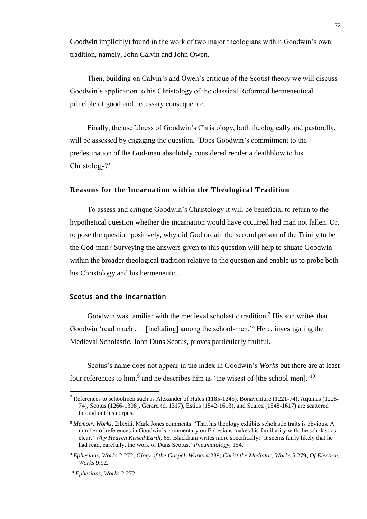Goodwin implicitly) found in the work of two major theologians within Goodwin's own tradition, namely, John Calvin and John Owen.

Then, building on Calvin's and Owen's critique of the Scotist theory we will discuss Goodwin's application to his Christology of the classical Reformed hermeneutical principle of good and necessary consequence.

Finally, the usefulness of Goodwin's Christology, both theologically and pastorally, will be assessed by engaging the question, 'Does Goodwin's commitment to the predestination of the God-man absolutely considered render a deathblow to his Christology?'

#### **Reasons for the Incarnation within the Theological Tradition**

To assess and critique Goodwin's Christology it will be beneficial to return to the hypothetical question whether the incarnation would have occurred had man not fallen. Or, to pose the question positively, why did God ordain the second person of the Trinity to be the God-man? Surveying the answers given to this question will help to situate Goodwin within the broader theological tradition relative to the question and enable us to probe both his Christology and his hermeneutic.

#### **Scotus and the Incarnation**

Goodwin was familiar with the medieval scholastic tradition.<sup>7</sup> His son writes that Goodwin 'read much . . . [including] among the school-men.'<sup>8</sup> Here, investigating the Medieval Scholastic, John Duns Scotus, proves particularly fruitful.

Scotus's name does not appear in the index in Goodwin's *Works* but there are at least four references to him,<sup>9</sup> and he describes him as 'the wisest of [the school-men].'<sup>10</sup>

<sup>7</sup> References to schoolmen such as Alexander of Hales (1185-1245), Bonaventure (1221-74), Aquinas (1225- 74), Scotus (1266-1308), Gerard (d. 1317), Estius (1542-1613), and Suarez (1548-1617) are scattered throughout his corpus.

<sup>8</sup> *Memoir, Works,* 2:lxxiii. Mark Jones comments: 'That his theology exhibits scholastic traits is obvious. A number of references in Goodwin's commentary on Ephesians makes his familiarity with the scholastics clear.' *Why Heaven Kissed Earth,* 65. Blackham writes more specifically: 'It seems fairly likely that he had read, carefully, the work of Duns Scotus.' *Pneumatology,* 154.

<sup>9</sup> *Ephesians, Works* 2:272; *Glory of the Gospel, Works* 4:239; *Christ the Mediator, Works* 5:279; *Of Election, Works* 9:92.

<sup>10</sup> *Ephesians, Works* 2:272.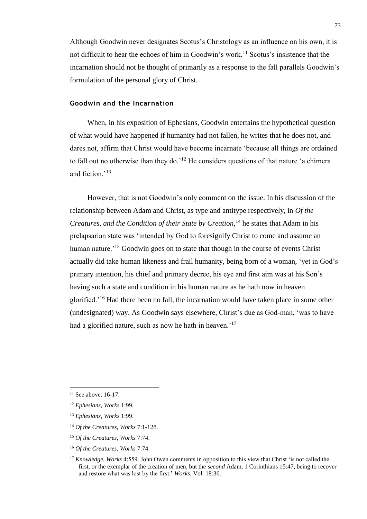Although Goodwin never designates Scotus's Christology as an influence on his own, it is not difficult to hear the echoes of him in Goodwin's work.<sup>11</sup> Scotus's insistence that the incarnation should not be thought of primarily as a response to the fall parallels Goodwin's formulation of the personal glory of Christ.

#### **Goodwin and the Incarnation**

When, in his exposition of Ephesians, Goodwin entertains the hypothetical question of what would have happened if humanity had not fallen, he writes that he does not, and dares not, affirm that Christ would have become incarnate 'because all things are ordained to fall out no otherwise than they do.<sup>'12</sup> He considers questions of that nature 'a chimera and fiction<sup>,13</sup>

However, that is not Goodwin's only comment on the issue. In his discussion of the relationship between Adam and Christ, as type and antitype respectively, in *Of the Creatures, and the Condition of their State by Creation,*<sup>14</sup> he states that Adam in his prelapsarian state was 'intended by God to foresignify Christ to come and assume an human nature.<sup>'15</sup> Goodwin goes on to state that though in the course of events Christ actually did take human likeness and frail humanity, being born of a woman, 'yet in God's primary intention, his chief and primary decree, his eye and first aim was at his Son's having such a state and condition in his human nature as he hath now in heaven glorified.'<sup>16</sup> Had there been no fall, the incarnation would have taken place in some other (undesignated) way. As Goodwin says elsewhere, Christ's due as God-man, 'was to have had a glorified nature, such as now he hath in heaven.<sup>'17</sup>

 $11$  See above, 16-17.

<sup>12</sup> *Ephesians, Works* 1:99.

<sup>13</sup> *Ephesians, Works* 1:99.

<sup>14</sup> *Of the Creatures, Works* 7:1-128.

<sup>15</sup> *Of the Creatures, Works* 7:74.

<sup>16</sup> *Of the Creatures, Works* 7:74.

<sup>&</sup>lt;sup>17</sup> *Knowledge, Works* 4:559. John Owen comments in opposition to this view that Christ 'is not called the first, or the exemplar of the creation of men, but the *second* Adam, 1 Corinthians 15:47, being to recover and restore what was lost by the first.' *Works,* Vol. 18:36.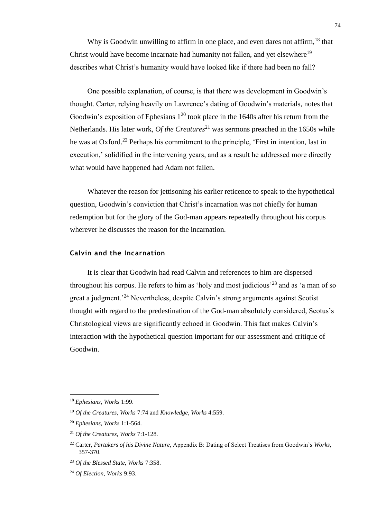Why is Goodwin unwilling to affirm in one place, and even dares not affirm.<sup>18</sup> that Christ would have become incarnate had humanity not fallen, and yet elsewhere<sup>19</sup> describes what Christ's humanity would have looked like if there had been no fall?

One possible explanation, of course, is that there was development in Goodwin's thought. Carter, relying heavily on Lawrence's dating of Goodwin's materials, notes that Goodwin's exposition of Ephesians  $1^{20}$  took place in the 1640s after his return from the Netherlands. His later work, *Of the Creatures*<sup>21</sup> was sermons preached in the 1650s while he was at Oxford.<sup>22</sup> Perhaps his commitment to the principle, 'First in intention, last in execution,' solidified in the intervening years, and as a result he addressed more directly what would have happened had Adam not fallen.

Whatever the reason for jettisoning his earlier reticence to speak to the hypothetical question, Goodwin's conviction that Christ's incarnation was not chiefly for human redemption but for the glory of the God-man appears repeatedly throughout his corpus wherever he discusses the reason for the incarnation.

#### **Calvin and the Incarnation**

It is clear that Goodwin had read Calvin and references to him are dispersed throughout his corpus. He refers to him as 'holy and most judicious'<sup>23</sup> and as 'a man of so great a judgment.'<sup>24</sup> Nevertheless, despite Calvin's strong arguments against Scotist thought with regard to the predestination of the God-man absolutely considered, Scotus's Christological views are significantly echoed in Goodwin. This fact makes Calvin's interaction with the hypothetical question important for our assessment and critique of Goodwin.

<sup>18</sup> *Ephesians, Works* 1:99.

<sup>19</sup> *Of the Creatures, Works* 7:74 and *Knowledge, Works* 4:559.

<sup>20</sup> *Ephesians, Works* 1:1-564.

<sup>21</sup> *Of the Creatures, Works* 7:1-128.

<sup>22</sup> Carter, *Partakers of his Divine Nature,* Appendix B: Dating of Select Treatises from Goodwin's *Works,*  357-370.

<sup>23</sup> *Of the Blessed State, Works* 7:358.

<sup>24</sup> *Of Election, Works* 9:93.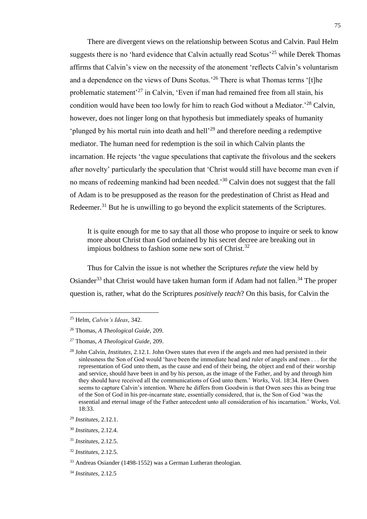There are divergent views on the relationship between Scotus and Calvin. Paul Helm suggests there is no 'hard evidence that Calvin actually read Scotus'<sup>25</sup> while Derek Thomas affirms that Calvin's view on the necessity of the atonement 'reflects Calvin's voluntarism and a dependence on the views of Duns Scotus.<sup>26</sup> There is what Thomas terms '[t]he problematic statement<sup>27</sup> in Calvin, 'Even if man had remained free from all stain, his condition would have been too lowly for him to reach God without a Mediator.<sup>228</sup> Calvin, however, does not linger long on that hypothesis but immediately speaks of humanity 'plunged by his mortal ruin into death and hell'<sup>29</sup> and therefore needing a redemptive mediator. The human need for redemption is the soil in which Calvin plants the incarnation. He rejects 'the vague speculations that captivate the frivolous and the seekers after novelty' particularly the speculation that 'Christ would still have become man even if no means of redeeming mankind had been needed.<sup>30</sup> Calvin does not suggest that the fall of Adam is to be presupposed as the reason for the predestination of Christ as Head and Redeemer.<sup>31</sup> But he is unwilling to go beyond the explicit statements of the Scriptures.

It is quite enough for me to say that all those who propose to inquire or seek to know more about Christ than God ordained by his secret decree are breaking out in impious boldness to fashion some new sort of Christ.<sup>32</sup>

Thus for Calvin the issue is not whether the Scriptures *refute* the view held by Osiander<sup>33</sup> that Christ would have taken human form if Adam had not fallen.<sup>34</sup> The proper question is, rather, what do the Scriptures *positively teach*? On this basis, for Calvin the

<sup>25</sup> Helm, *Calvin's Ideas*, 342.

<sup>26</sup> Thomas, *A Theological Guide*, 209.

<sup>27</sup> Thomas, *A Theological Guide*, 209.

<sup>28</sup> John Calvin, *Institutes*, 2.12.1. John Owen states that even if the angels and men had persisted in their sinlessness the Son of God would 'have been the immediate head and ruler of angels and men . . . for the representation of God unto them, as the cause and end of their being, the object and end of their worship and service, should have been in and by his person, as the image of the Father, and by and through him they should have received all the communications of God unto them.' *Works,* Vol. 18:34. Here Owen seems to capture Calvin's intention. Where he differs from Goodwin is that Owen sees this as being true of the Son of God in his pre-incarnate state, essentially considered, that is, the Son of God 'was the essential and eternal image of the Father antecedent unto all consideration of his incarnation.' *Works*, Vol. 18:33.

<sup>29</sup> *Institutes*, 2.12.1.

<sup>30</sup> *Institutes*, 2.12.4.

<sup>31</sup> *Institutes*, 2.12.5.

<sup>32</sup> *Institutes*, 2.12.5.

<sup>33</sup> Andreas Osiander (1498-1552) was a German Lutheran theologian.

<sup>34</sup> *Institutes*, 2.12.5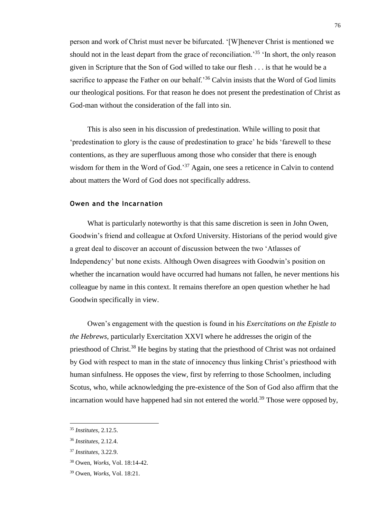person and work of Christ must never be bifurcated. '[W]henever Christ is mentioned we should not in the least depart from the grace of reconciliation.<sup>35</sup> 'In short, the only reason given in Scripture that the Son of God willed to take our flesh . . . is that he would be a sacrifice to appease the Father on our behalf.<sup>36</sup> Calvin insists that the Word of God limits our theological positions. For that reason he does not present the predestination of Christ as God-man without the consideration of the fall into sin.

This is also seen in his discussion of predestination. While willing to posit that 'predestination to glory is the cause of predestination to grace' he bids 'farewell to these contentions, as they are superfluous among those who consider that there is enough wisdom for them in the Word of God.<sup>37</sup> Again, one sees a reticence in Calvin to contend about matters the Word of God does not specifically address.

#### **Owen and the Incarnation**

What is particularly noteworthy is that this same discretion is seen in John Owen, Goodwin's friend and colleague at Oxford University. Historians of the period would give a great deal to discover an account of discussion between the two 'Atlasses of Independency' but none exists. Although Owen disagrees with Goodwin's position on whether the incarnation would have occurred had humans not fallen, he never mentions his colleague by name in this context. It remains therefore an open question whether he had Goodwin specifically in view.

Owen's engagement with the question is found in his *Exercitations on the Epistle to the Hebrews,* particularly Exercitation XXVI where he addresses the origin of the priesthood of Christ.<sup>38</sup> He begins by stating that the priesthood of Christ was not ordained by God with respect to man in the state of innocency thus linking Christ's priesthood with human sinfulness. He opposes the view, first by referring to those Schoolmen, including Scotus, who, while acknowledging the pre-existence of the Son of God also affirm that the incarnation would have happened had sin not entered the world.<sup>39</sup> Those were opposed by,

<sup>35</sup> *Institutes*, 2.12.5.

<sup>36</sup> *Institutes*, 2.12.4.

<sup>37</sup> *Institutes*, 3.22.9.

<sup>38</sup> Owen, *Works*, Vol. 18:14-42.

<sup>39</sup> Owen, *Works*, Vol. 18:21.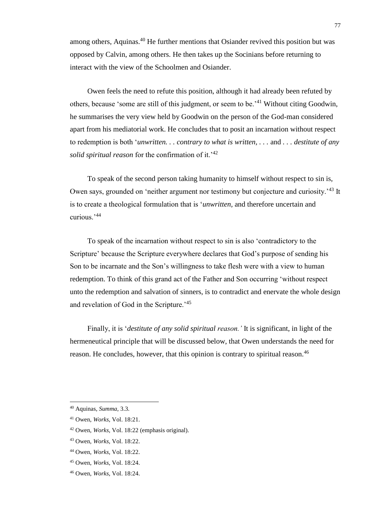among others, Aquinas.<sup>40</sup> He further mentions that Osiander revived this position but was opposed by Calvin, among others. He then takes up the Socinians before returning to interact with the view of the Schoolmen and Osiander.

Owen feels the need to refute this position, although it had already been refuted by others, because 'some are still of this judgment, or seem to be.'<sup>41</sup> Without citing Goodwin, he summarises the very view held by Goodwin on the person of the God-man considered apart from his mediatorial work. He concludes that to posit an incarnation without respect to redemption is both '*unwritten. . . contrary to what is written, . . .* and *. . . destitute of any solid spiritual reason* for the confirmation of it.'<sup>42</sup>

To speak of the second person taking humanity to himself without respect to sin is, Owen says, grounded on 'neither argument nor testimony but conjecture and curiosity.<sup>'43</sup> It is to create a theological formulation that is '*unwritten,* and therefore uncertain and curious.'<sup>44</sup>

To speak of the incarnation without respect to sin is also 'contradictory to the Scripture' because the Scripture everywhere declares that God's purpose of sending his Son to be incarnate and the Son's willingness to take flesh were with a view to human redemption. To think of this grand act of the Father and Son occurring 'without respect unto the redemption and salvation of sinners, is to contradict and enervate the whole design and revelation of God in the Scripture.'<sup>45</sup>

Finally, it is '*destitute of any solid spiritual reason.'* It is significant, in light of the hermeneutical principle that will be discussed below, that Owen understands the need for reason. He concludes, however, that this opinion is contrary to spiritual reason.<sup>46</sup>

<sup>40</sup> Aquinas, *Summa*, 3.3.

<sup>41</sup> Owen, *Works*, Vol. 18:21.

<sup>42</sup> Owen, *Works*, Vol. 18:22 (emphasis original).

<sup>43</sup> Owen, *Works*, Vol. 18:22.

<sup>44</sup> Owen, *Works*, Vol. 18:22.

<sup>45</sup> Owen, *Works*, Vol. 18:24.

<sup>46</sup> Owen, *Works*, Vol. 18:24.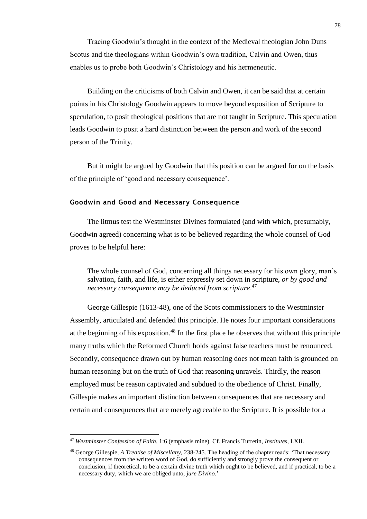Tracing Goodwin's thought in the context of the Medieval theologian John Duns Scotus and the theologians within Goodwin's own tradition, Calvin and Owen, thus enables us to probe both Goodwin's Christology and his hermeneutic.

Building on the criticisms of both Calvin and Owen, it can be said that at certain points in his Christology Goodwin appears to move beyond exposition of Scripture to speculation, to posit theological positions that are not taught in Scripture. This speculation leads Goodwin to posit a hard distinction between the person and work of the second person of the Trinity.

But it might be argued by Goodwin that this position can be argued for on the basis of the principle of 'good and necessary consequence'.

#### **Goodwin and Good and Necessary Consequence**

The litmus test the Westminster Divines formulated (and with which, presumably, Goodwin agreed) concerning what is to be believed regarding the whole counsel of God proves to be helpful here:

The whole counsel of God, concerning all things necessary for his own glory, man's salvation, faith, and life, is either expressly set down in scripture, *or by good and necessary consequence may be deduced from scripture*. 47

George Gillespie (1613-48), one of the Scots commissioners to the Westminster Assembly, articulated and defended this principle. He notes four important considerations at the beginning of his exposition.<sup>48</sup> In the first place he observes that without this principle many truths which the Reformed Church holds against false teachers must be renounced. Secondly, consequence drawn out by human reasoning does not mean faith is grounded on human reasoning but on the truth of God that reasoning unravels. Thirdly, the reason employed must be reason captivated and subdued to the obedience of Christ. Finally, Gillespie makes an important distinction between consequences that are necessary and certain and consequences that are merely agreeable to the Scripture. It is possible for a

<sup>47</sup> *Westminster Confession of Faith*, 1:6 (emphasis mine). Cf. Francis Turretin, *Institutes*, I.XII.

<sup>48</sup> George Gillespie, *A Treatise of Miscellany,* 238-245. The heading of the chapter reads: 'That necessary consequences from the written word of God, do sufficiently and strongly prove the consequent or conclusion, if theoretical, to be a certain divine truth which ought to be believed, and if practical, to be a necessary duty, which we are obliged unto, *jure Divino.*'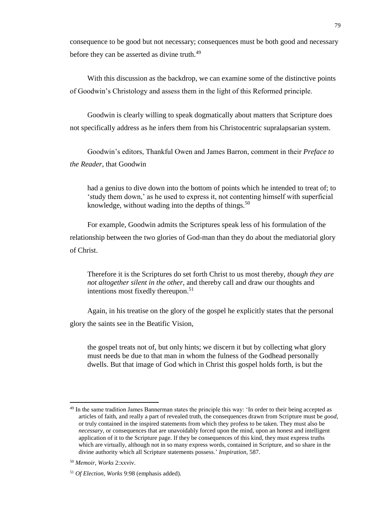consequence to be good but not necessary; consequences must be both good and necessary before they can be asserted as divine truth.<sup>49</sup>

With this discussion as the backdrop, we can examine some of the distinctive points of Goodwin's Christology and assess them in the light of this Reformed principle.

Goodwin is clearly willing to speak dogmatically about matters that Scripture does not specifically address as he infers them from his Christocentric supralapsarian system.

Goodwin's editors, Thankful Owen and James Barron, comment in their *Preface to the Reader*, that Goodwin

had a genius to dive down into the bottom of points which he intended to treat of; to 'study them down,' as he used to express it, not contenting himself with superficial knowledge, without wading into the depths of things.<sup>50</sup>

For example, Goodwin admits the Scriptures speak less of his formulation of the relationship between the two glories of God-man than they do about the mediatorial glory of Christ.

Therefore it is the Scriptures do set forth Christ to us most thereby, *though they are not altogether silent in the other*, and thereby call and draw our thoughts and intentions most fixedly thereupon.<sup>51</sup>

Again, in his treatise on the glory of the gospel he explicitly states that the personal glory the saints see in the Beatific Vision,

the gospel treats not of, but only hints; we discern it but by collecting what glory must needs be due to that man in whom the fulness of the Godhead personally dwells. But that image of God which in Christ this gospel holds forth, is but the

<sup>&</sup>lt;sup>49</sup> In the same tradition James Bannerman states the principle this way: 'In order to their being accepted as articles of faith, and really a part of revealed truth, the consequences drawn from Scripture must be *good*, or truly contained in the inspired statements from which they profess to be taken. They must also be *necessary*, or consequences that are unavoidably forced upon the mind, upon an honest and intelligent application of it to the Scripture page. If they be consequences of this kind, they must express truths which are virtually, although not in so many express words, contained in Scripture, and so share in the divine authority which all Scripture statements possess.' *Inspiration,* 587.

<sup>50</sup> *Memoir, Works* 2:xxviv.

<sup>51</sup> *Of Election, Works* 9:98 (emphasis added).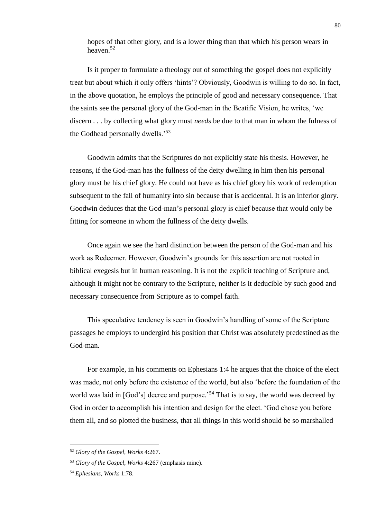hopes of that other glory, and is a lower thing than that which his person wears in heaven.<sup>52</sup>

Is it proper to formulate a theology out of something the gospel does not explicitly treat but about which it only offers 'hints'? Obviously, Goodwin is willing to do so. In fact, in the above quotation, he employs the principle of good and necessary consequence. That the saints see the personal glory of the God-man in the Beatific Vision, he writes, 'we discern . . . by collecting what glory must *needs* be due to that man in whom the fulness of the Godhead personally dwells.'<sup>53</sup>

Goodwin admits that the Scriptures do not explicitly state his thesis. However, he reasons, if the God-man has the fullness of the deity dwelling in him then his personal glory must be his chief glory. He could not have as his chief glory his work of redemption subsequent to the fall of humanity into sin because that is accidental. It is an inferior glory. Goodwin deduces that the God-man's personal glory is chief because that would only be fitting for someone in whom the fullness of the deity dwells.

Once again we see the hard distinction between the person of the God-man and his work as Redeemer. However, Goodwin's grounds for this assertion are not rooted in biblical exegesis but in human reasoning. It is not the explicit teaching of Scripture and, although it might not be contrary to the Scripture, neither is it deducible by such good and necessary consequence from Scripture as to compel faith.

This speculative tendency is seen in Goodwin's handling of some of the Scripture passages he employs to undergird his position that Christ was absolutely predestined as the God-man.

For example, in his comments on Ephesians 1:4 he argues that the choice of the elect was made, not only before the existence of the world, but also 'before the foundation of the world was laid in [God's] decree and purpose.<sup>54</sup> That is to say, the world was decreed by God in order to accomplish his intention and design for the elect. 'God chose you before them all, and so plotted the business, that all things in this world should be so marshalled

l

<sup>52</sup> *Glory of the Gospel, Works* 4:267.

<sup>53</sup> *Glory of the Gospel, Works* 4:267 (emphasis mine).

<sup>54</sup> *Ephesians, Works* 1:78.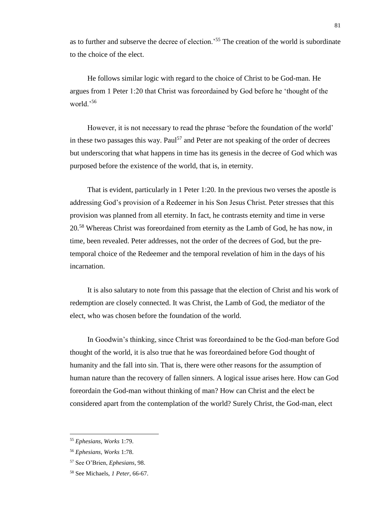as to further and subserve the decree of election.'<sup>55</sup> The creation of the world is subordinate to the choice of the elect.

He follows similar logic with regard to the choice of Christ to be God-man. He argues from 1 Peter 1:20 that Christ was foreordained by God before he 'thought of the world.'<sup>56</sup>

However, it is not necessary to read the phrase 'before the foundation of the world' in these two passages this way. Paul<sup>57</sup> and Peter are not speaking of the order of decrees but underscoring that what happens in time has its genesis in the decree of God which was purposed before the existence of the world, that is, in eternity.

That is evident, particularly in 1 Peter 1:20. In the previous two verses the apostle is addressing God's provision of a Redeemer in his Son Jesus Christ. Peter stresses that this provision was planned from all eternity. In fact, he contrasts eternity and time in verse 20.<sup>58</sup> Whereas Christ was foreordained from eternity as the Lamb of God, he has now, in time, been revealed. Peter addresses, not the order of the decrees of God, but the pretemporal choice of the Redeemer and the temporal revelation of him in the days of his incarnation.

It is also salutary to note from this passage that the election of Christ and his work of redemption are closely connected. It was Christ, the Lamb of God, the mediator of the elect, who was chosen before the foundation of the world.

In Goodwin's thinking, since Christ was foreordained to be the God-man before God thought of the world, it is also true that he was foreordained before God thought of humanity and the fall into sin. That is, there were other reasons for the assumption of human nature than the recovery of fallen sinners. A logical issue arises here. How can God foreordain the God-man without thinking of man? How can Christ and the elect be considered apart from the contemplation of the world? Surely Christ, the God-man, elect

<sup>55</sup> *Ephesians, Works* 1:79.

<sup>56</sup> *Ephesians, Works* 1:78.

<sup>57</sup> See O'Brien, *Ephesians*, 98.

<sup>58</sup> See Michaels, *1 Peter*, 66-67.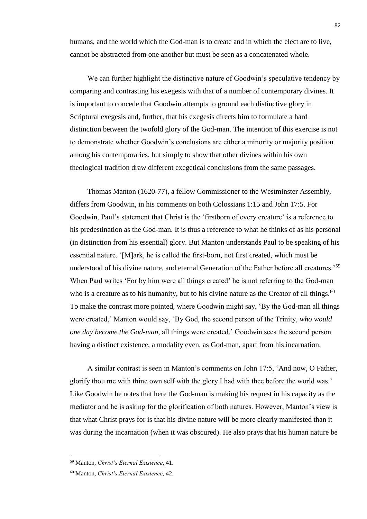humans, and the world which the God-man is to create and in which the elect are to live, cannot be abstracted from one another but must be seen as a concatenated whole.

We can further highlight the distinctive nature of Goodwin's speculative tendency by comparing and contrasting his exegesis with that of a number of contemporary divines. It is important to concede that Goodwin attempts to ground each distinctive glory in Scriptural exegesis and, further, that his exegesis directs him to formulate a hard distinction between the twofold glory of the God-man. The intention of this exercise is not to demonstrate whether Goodwin's conclusions are either a minority or majority position among his contemporaries, but simply to show that other divines within his own theological tradition draw different exegetical conclusions from the same passages.

Thomas Manton (1620-77), a fellow Commissioner to the Westminster Assembly, differs from Goodwin, in his comments on both Colossians 1:15 and John 17:5. For Goodwin, Paul's statement that Christ is the 'firstborn of every creature' is a reference to his predestination as the God-man. It is thus a reference to what he thinks of as his personal (in distinction from his essential) glory. But Manton understands Paul to be speaking of his essential nature. '[M]ark, he is called the first-born, not first created, which must be understood of his divine nature, and eternal Generation of the Father before all creatures.<sup>59</sup> When Paul writes 'For by him were all things created' he is not referring to the God-man who is a creature as to his humanity, but to his divine nature as the Creator of all things.<sup>60</sup> To make the contrast more pointed, where Goodwin might say, 'By the God-man all things were created,' Manton would say, 'By God, the second person of the Trinity, *who would one day become the God-man*, all things were created.' Goodwin sees the second person having a distinct existence, a modality even, as God-man, apart from his incarnation.

A similar contrast is seen in Manton's comments on John 17:5, 'And now, O Father, glorify thou me with thine own self with the glory I had with thee before the world was.' Like Goodwin he notes that here the God-man is making his request in his capacity as the mediator and he is asking for the glorification of both natures. However, Manton's view is that what Christ prays for is that his divine nature will be more clearly manifested than it was during the incarnation (when it was obscured). He also prays that his human nature be

<sup>59</sup> Manton, *Christ's Eternal Existence*, 41.

<sup>60</sup> Manton, *Christ's Eternal Existence*, 42.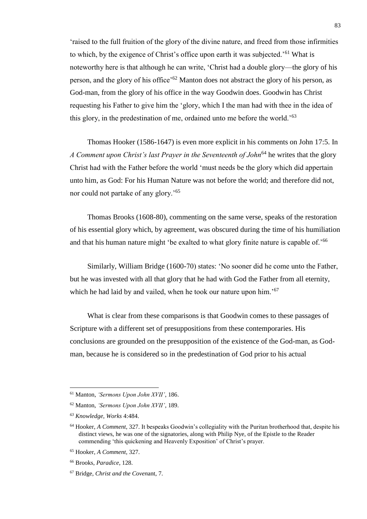'raised to the full fruition of the glory of the divine nature, and freed from those infirmities to which, by the exigence of Christ's office upon earth it was subjected.'<sup>61</sup> What is noteworthy here is that although he can write, 'Christ had a double glory—the glory of his person, and the glory of his office'<sup>62</sup> Manton does not abstract the glory of his person, as God-man, from the glory of his office in the way Goodwin does. Goodwin has Christ requesting his Father to give him the 'glory, which I the man had with thee in the idea of this glory, in the predestination of me, ordained unto me before the world.'<sup>63</sup>

Thomas Hooker (1586-1647) is even more explicit in his comments on John 17:5. In *A Comment upon Christ's last Prayer in the Seventeenth of John*<sup>64</sup> he writes that the glory Christ had with the Father before the world 'must needs be the glory which did appertain unto him, as God: For his Human Nature was not before the world; and therefore did not, nor could not partake of any glory.'<sup>65</sup>

Thomas Brooks (1608-80), commenting on the same verse, speaks of the restoration of his essential glory which, by agreement, was obscured during the time of his humiliation and that his human nature might 'be exalted to what glory finite nature is capable of.'<sup>66</sup>

Similarly, William Bridge (1600-70) states: 'No sooner did he come unto the Father, but he was invested with all that glory that he had with God the Father from all eternity, which he had laid by and vailed, when he took our nature upon him.'<sup>67</sup>

What is clear from these comparisons is that Goodwin comes to these passages of Scripture with a different set of presuppositions from these contemporaries. His conclusions are grounded on the presupposition of the existence of the God-man, as Godman, because he is considered so in the predestination of God prior to his actual

<sup>61</sup> Manton, *'Sermons Upon John XVII'*, 186.

<sup>62</sup> Manton, *'Sermons Upon John XVII'*, 189.

*<sup>63</sup> Knowledge, Works* 4:484.

<sup>64</sup> Hooker, *A Comment*, 327. It bespeaks Goodwin's collegiality with the Puritan brotherhood that, despite his distinct views, he was one of the signatories, along with Philip Nye, of the Epistle to the Reader commending 'this quickening and Heavenly Exposition' of Christ's prayer.

<sup>65</sup> Hooker, *A Comment*, 327.

<sup>66</sup> Brooks, *Paradice*, 128.

<sup>67</sup> Bridge, *Christ and the Coven*ant, 7.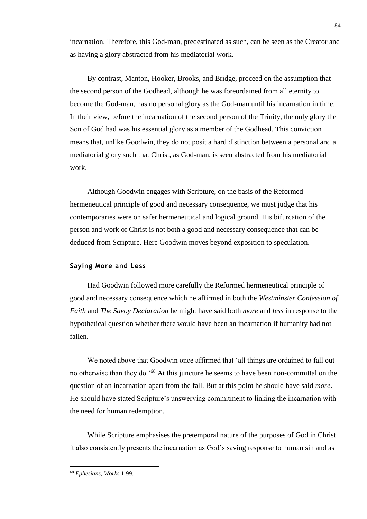incarnation. Therefore, this God-man, predestinated as such, can be seen as the Creator and as having a glory abstracted from his mediatorial work.

By contrast, Manton, Hooker, Brooks, and Bridge, proceed on the assumption that the second person of the Godhead, although he was foreordained from all eternity to become the God-man, has no personal glory as the God-man until his incarnation in time. In their view, before the incarnation of the second person of the Trinity, the only glory the Son of God had was his essential glory as a member of the Godhead. This conviction means that, unlike Goodwin, they do not posit a hard distinction between a personal and a mediatorial glory such that Christ, as God-man, is seen abstracted from his mediatorial work.

Although Goodwin engages with Scripture, on the basis of the Reformed hermeneutical principle of good and necessary consequence, we must judge that his contemporaries were on safer hermeneutical and logical ground. His bifurcation of the person and work of Christ is not both a good and necessary consequence that can be deduced from Scripture. Here Goodwin moves beyond exposition to speculation.

#### **Saying More and Less**

Had Goodwin followed more carefully the Reformed hermeneutical principle of good and necessary consequence which he affirmed in both the *Westminster Confession of Faith* and *The Savoy Declaration* he might have said both *more* and *less* in response to the hypothetical question whether there would have been an incarnation if humanity had not fallen.

We noted above that Goodwin once affirmed that 'all things are ordained to fall out no otherwise than they do.'<sup>68</sup> At this juncture he seems to have been non-committal on the question of an incarnation apart from the fall. But at this point he should have said *more*. He should have stated Scripture's unswerving commitment to linking the incarnation with the need for human redemption.

While Scripture emphasises the pretemporal nature of the purposes of God in Christ it also consistently presents the incarnation as God's saving response to human sin and as

<sup>68</sup> *Ephesians, Works* 1:99.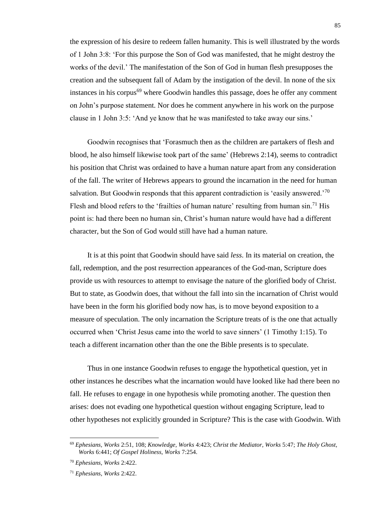the expression of his desire to redeem fallen humanity. This is well illustrated by the words of 1 John 3:8: 'For this purpose the Son of God was manifested, that he might destroy the works of the devil.' The manifestation of the Son of God in human flesh presupposes the creation and the subsequent fall of Adam by the instigation of the devil. In none of the six instances in his corpus<sup>69</sup> where Goodwin handles this passage, does he offer any comment on John's purpose statement. Nor does he comment anywhere in his work on the purpose clause in 1 John 3:5: 'And ye know that he was manifested to take away our sins.'

Goodwin recognises that 'Forasmuch then as the children are partakers of flesh and blood, he also himself likewise took part of the same' (Hebrews 2:14), seems to contradict his position that Christ was ordained to have a human nature apart from any consideration of the fall. The writer of Hebrews appears to ground the incarnation in the need for human salvation. But Goodwin responds that this apparent contradiction is 'easily answered.<sup>'70</sup> Flesh and blood refers to the 'frailties of human nature' resulting from human  $\sin$ <sup>71</sup> His point is: had there been no human sin, Christ's human nature would have had a different character, but the Son of God would still have had a human nature.

It is at this point that Goodwin should have said *less*. In its material on creation, the fall, redemption, and the post resurrection appearances of the God-man, Scripture does provide us with resources to attempt to envisage the nature of the glorified body of Christ. But to state, as Goodwin does, that without the fall into sin the incarnation of Christ would have been in the form his glorified body now has, is to move beyond exposition to a measure of speculation. The only incarnation the Scripture treats of is the one that actually occurred when 'Christ Jesus came into the world to save sinners' (1 Timothy 1:15). To teach a different incarnation other than the one the Bible presents is to speculate.

Thus in one instance Goodwin refuses to engage the hypothetical question, yet in other instances he describes what the incarnation would have looked like had there been no fall. He refuses to engage in one hypothesis while promoting another. The question then arises: does not evading one hypothetical question without engaging Scripture, lead to other hypotheses not explicitly grounded in Scripture? This is the case with Goodwin. With

<sup>69</sup> *Ephesians, Works* 2:51, 108; *Knowledge, Works* 4:423; *Christ the Mediator, Works* 5:47; *The Holy Ghost, Works* 6:441; *Of Gospel Holiness, Works* 7:254.

<sup>70</sup> *Ephesians, Works* 2:422.

<sup>71</sup> *Ephesians, Works* 2:422.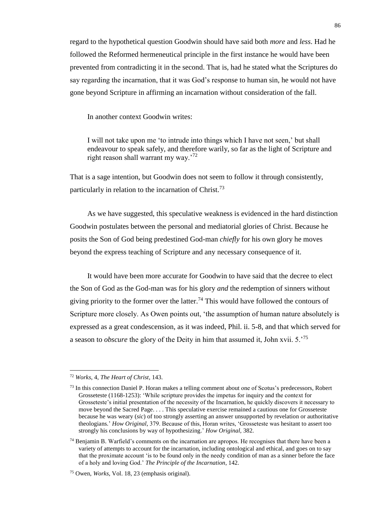regard to the hypothetical question Goodwin should have said both *more* and *less*. Had he followed the Reformed hermeneutical principle in the first instance he would have been prevented from contradicting it in the second. That is, had he stated what the Scriptures do say regarding the incarnation, that it was God's response to human sin, he would not have gone beyond Scripture in affirming an incarnation without consideration of the fall.

In another context Goodwin writes:

I will not take upon me 'to intrude into things which I have not seen,' but shall endeavour to speak safely, and therefore warily, so far as the light of Scripture and right reason shall warrant my way.'<sup>72</sup>

That is a sage intention, but Goodwin does not seem to follow it through consistently, particularly in relation to the incarnation of Christ.<sup>73</sup>

As we have suggested, this speculative weakness is evidenced in the hard distinction Goodwin postulates between the personal and mediatorial glories of Christ. Because he posits the Son of God being predestined God-man *chiefly* for his own glory he moves beyond the express teaching of Scripture and any necessary consequence of it.

It would have been more accurate for Goodwin to have said that the decree to elect the Son of God as the God-man was for his glory *and* the redemption of sinners without giving priority to the former over the latter.<sup>74</sup> This would have followed the contours of Scripture more closely. As Owen points out, 'the assumption of human nature absolutely is expressed as a great condescension, as it was indeed, Phil. ii. 5-8, and that which served for a season to *obscure* the glory of the Deity in him that assumed it, John xvii. 5.'<sup>75</sup>

<sup>72</sup> *Works*, 4, *The Heart of Christ*, 143.

<sup>73</sup> In this connection Daniel P. Horan makes a telling comment about one of Scotus's predecessors, Robert Grosseteste (1168-1253): 'While scripture provides the impetus for inquiry and the context for Grosseteste's initial presentation of the necessity of the Incarnation, he quickly discovers it necessary to move beyond the Sacred Page. . . . This speculative exercise remained a cautious one for Grosseteste because he was weary (*sic*) of too strongly asserting an answer unsupported by revelation or authoritative theologians.' *How Original*, 379. Because of this, Horan writes, 'Grosseteste was hesitant to assert too strongly his conclusions by way of hypothesizing.' *How Original,* 382.

<sup>&</sup>lt;sup>74</sup> Benjamin B. Warfield's comments on the incarnation are apropos. He recognises that there have been a variety of attempts to account for the incarnation, including ontological and ethical, and goes on to say that the proximate account 'is to be found only in the needy condition of man as a sinner before the face of a holy and loving God.' *The Principle of the Incarnation*, 142.

<sup>75</sup> Owen, *Works*, Vol. 18, 23 (emphasis original).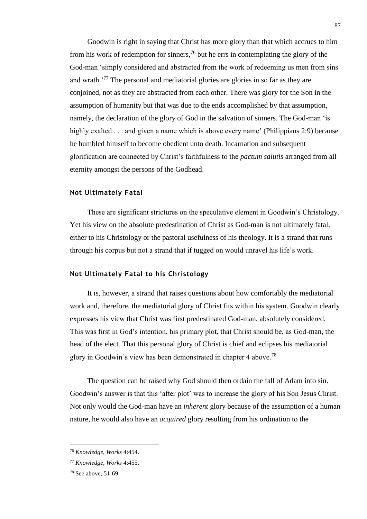Goodwin is right in saying that Christ has more glory than that which accrues to him from his work of redemption for sinners,  $^{76}$  but he errs in contemplating the glory of the God-man 'simply considered and abstracted from the work of redeeming us men from sins and wrath.'<sup>77</sup> The personal and mediatorial glories are glories in so far as they are conjoined, not as they are abstracted from each other. There was glory for the Son in the assumption of humanity but that was due to the ends accomplished by that assumption, namely, the declaration of the glory of God in the salvation of sinners. The God-man 'is highly exalted . . . and given a name which is above every name' (Philippians 2:9) because he humbled himself to become obedient unto death. Incarnation and subsequent glorification are connected by Christ's faithfulness to the *pactum salutis* arranged from all eternity amongst the persons of the Godhead.

#### **Not Ultimately Fatal**

These are significant strictures on the speculative element in Goodwin's Christology. Yet his view on the absolute predestination of Christ as God-man is not ultimately fatal, either to his Christology or the pastoral usefulness of his theology. It is a strand that runs through his corpus but not a strand that if tugged on would unravel his life's work.

#### **Not Ultimately Fatal to his Christology**

It is, however, a strand that raises questions about how comfortably the mediatorial work and, therefore, the mediatorial glory of Christ fits within his system. Goodwin clearly expresses his view that Christ was first predestinated God-man, absolutely considered. This was first in God's intention, his primary plot, that Christ should be, as God-man, the head of the elect. That this personal glory of Christ is chief and eclipses his mediatorial glory in Goodwin's view has been demonstrated in chapter 4 above.<sup>78</sup>

The question can be raised why God should then ordain the fall of Adam into sin. Goodwin's answer is that this 'after plot' was to increase the glory of his Son Jesus Christ. Not only would the God-man have an *inherent* glory because of the assumption of a human nature, he would also have an *acquired* glory resulting from his ordination to the

l

<sup>76</sup> *Knowledge, Works* 4:454.

<sup>77</sup> *Knowledge, Works* 4:455.

<sup>78</sup> See above, 51-69.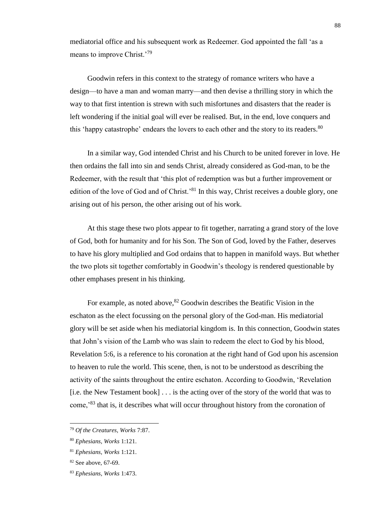mediatorial office and his subsequent work as Redeemer. God appointed the fall 'as a means to improve Christ.<sup>'79</sup>

Goodwin refers in this context to the strategy of romance writers who have a design—to have a man and woman marry—and then devise a thrilling story in which the way to that first intention is strewn with such misfortunes and disasters that the reader is left wondering if the initial goal will ever be realised. But, in the end, love conquers and this 'happy catastrophe' endears the lovers to each other and the story to its readers.<sup>80</sup>

In a similar way, God intended Christ and his Church to be united forever in love. He then ordains the fall into sin and sends Christ, already considered as God-man, to be the Redeemer, with the result that 'this plot of redemption was but a further improvement or edition of the love of God and of Christ.<sup>81</sup> In this way, Christ receives a double glory, one arising out of his person, the other arising out of his work.

At this stage these two plots appear to fit together, narrating a grand story of the love of God, both for humanity and for his Son. The Son of God, loved by the Father, deserves to have his glory multiplied and God ordains that to happen in manifold ways. But whether the two plots sit together comfortably in Goodwin's theology is rendered questionable by other emphases present in his thinking.

For example, as noted above,  $82$  Goodwin describes the Beatific Vision in the eschaton as the elect focussing on the personal glory of the God-man. His mediatorial glory will be set aside when his mediatorial kingdom is. In this connection, Goodwin states that John's vision of the Lamb who was slain to redeem the elect to God by his blood, Revelation 5:6, is a reference to his coronation at the right hand of God upon his ascension to heaven to rule the world. This scene, then, is not to be understood as describing the activity of the saints throughout the entire eschaton. According to Goodwin, 'Revelation [i.e. the New Testament book] . . . is the acting over of the story of the world that was to come,'<sup>83</sup> that is, it describes what will occur throughout history from the coronation of

<sup>79</sup> *Of the Creatures, Works* 7:87.

<sup>80</sup> *Ephesians, Works* 1:121.

<sup>81</sup> *Ephesians, Works* 1:121.

<sup>82</sup> See above, 67-69.

<sup>83</sup> *Ephesians, Works* 1:473.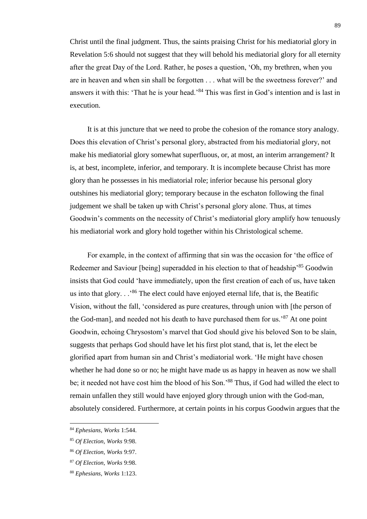Christ until the final judgment. Thus, the saints praising Christ for his mediatorial glory in Revelation 5:6 should not suggest that they will behold his mediatorial glory for all eternity after the great Day of the Lord. Rather, he poses a question, 'Oh, my brethren, when you are in heaven and when sin shall be forgotten . . . what will be the sweetness forever?' and answers it with this: 'That he is your head.'<sup>84</sup> This was first in God's intention and is last in execution.

It is at this juncture that we need to probe the cohesion of the romance story analogy. Does this elevation of Christ's personal glory, abstracted from his mediatorial glory, not make his mediatorial glory somewhat superfluous, or, at most, an interim arrangement? It is, at best, incomplete, inferior, and temporary. It is incomplete because Christ has more glory than he possesses in his mediatorial role; inferior because his personal glory outshines his mediatorial glory; temporary because in the eschaton following the final judgement we shall be taken up with Christ's personal glory alone. Thus, at times Goodwin's comments on the necessity of Christ's mediatorial glory amplify how tenuously his mediatorial work and glory hold together within his Christological scheme.

For example, in the context of affirming that sin was the occasion for 'the office of Redeemer and Saviour [being] superadded in his election to that of headship<sup>85</sup> Goodwin insists that God could 'have immediately, upon the first creation of each of us, have taken us into that glory.  $\cdot$ <sup>86</sup> The elect could have enjoyed eternal life, that is, the Beatific Vision, without the fall, 'considered as pure creatures, through union with [the person of the God-man], and needed not his death to have purchased them for us.<sup>87</sup> At one point Goodwin, echoing Chrysostom's marvel that God should give his beloved Son to be slain, suggests that perhaps God should have let his first plot stand, that is, let the elect be glorified apart from human sin and Christ's mediatorial work. 'He might have chosen whether he had done so or no; he might have made us as happy in heaven as now we shall be; it needed not have cost him the blood of his Son.'<sup>88</sup> Thus, if God had willed the elect to remain unfallen they still would have enjoyed glory through union with the God-man, absolutely considered. Furthermore, at certain points in his corpus Goodwin argues that the

<sup>84</sup> *Ephesians, Works* 1:544.

<sup>85</sup> *Of Election, Works* 9:98.

<sup>86</sup> *Of Election, Works* 9:97.

<sup>87</sup> *Of Election, Works* 9:98.

<sup>88</sup> *Ephesians, Works* 1:123.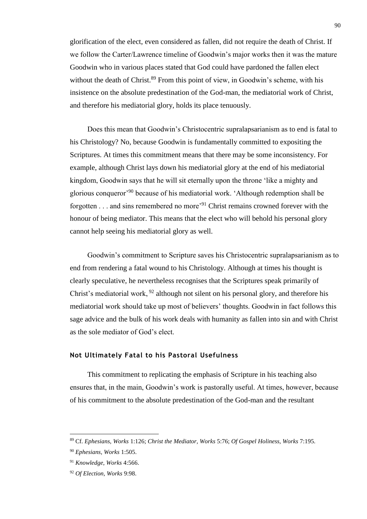glorification of the elect, even considered as fallen, did not require the death of Christ. If we follow the Carter/Lawrence timeline of Goodwin's major works then it was the mature Goodwin who in various places stated that God could have pardoned the fallen elect without the death of Christ. $89$  From this point of view, in Goodwin's scheme, with his insistence on the absolute predestination of the God-man, the mediatorial work of Christ, and therefore his mediatorial glory, holds its place tenuously.

Does this mean that Goodwin's Christocentric supralapsarianism as to end is fatal to his Christology? No, because Goodwin is fundamentally committed to expositing the Scriptures. At times this commitment means that there may be some inconsistency. For example, although Christ lays down his mediatorial glory at the end of his mediatorial kingdom, Goodwin says that he will sit eternally upon the throne 'like a mighty and glorious conqueror'<sup>90</sup> because of his mediatorial work. 'Although redemption shall be forgotten  $\ldots$  and sins remembered no more<sup>91</sup> Christ remains crowned forever with the honour of being mediator. This means that the elect who will behold his personal glory cannot help seeing his mediatorial glory as well.

Goodwin's commitment to Scripture saves his Christocentric supralapsarianism as to end from rendering a fatal wound to his Christology. Although at times his thought is clearly speculative, he nevertheless recognises that the Scriptures speak primarily of Christ's mediatorial work, <sup>92</sup> although not silent on his personal glory, and therefore his mediatorial work should take up most of believers' thoughts. Goodwin in fact follows this sage advice and the bulk of his work deals with humanity as fallen into sin and with Christ as the sole mediator of God's elect.

#### **Not Ultimately Fatal to his Pastoral Usefulness**

This commitment to replicating the emphasis of Scripture in his teaching also ensures that, in the main, Goodwin's work is pastorally useful. At times, however, because of his commitment to the absolute predestination of the God-man and the resultant

<sup>89</sup> Cf. *Ephesians, Works* 1:126; *Christ the Mediator, Works* 5:76; *Of Gospel Holiness, Works* 7:195.

<sup>90</sup> *Ephesians, Works* 1:505.

<sup>91</sup> *Knowledge, Works* 4:566.

<sup>92</sup> *Of Election, Works* 9:98.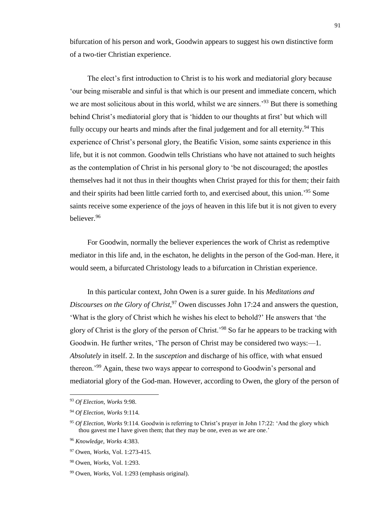bifurcation of his person and work, Goodwin appears to suggest his own distinctive form of a two-tier Christian experience.

The elect's first introduction to Christ is to his work and mediatorial glory because 'our being miserable and sinful is that which is our present and immediate concern, which we are most solicitous about in this world, whilst we are sinners.<sup>'93</sup> But there is something behind Christ's mediatorial glory that is 'hidden to our thoughts at first' but which will fully occupy our hearts and minds after the final judgement and for all eternity.<sup>94</sup> This experience of Christ's personal glory, the Beatific Vision, some saints experience in this life, but it is not common. Goodwin tells Christians who have not attained to such heights as the contemplation of Christ in his personal glory to 'be not discouraged; the apostles themselves had it not thus in their thoughts when Christ prayed for this for them; their faith and their spirits had been little carried forth to, and exercised about, this union.'<sup>95</sup> Some saints receive some experience of the joys of heaven in this life but it is not given to every believer<sup>96</sup>

For Goodwin, normally the believer experiences the work of Christ as redemptive mediator in this life and, in the eschaton, he delights in the person of the God-man. Here, it would seem, a bifurcated Christology leads to a bifurcation in Christian experience.

In this particular context, John Owen is a surer guide. In his *Meditations and Discourses on the Glory of Christ*,<sup>97</sup> Owen discusses John 17:24 and answers the question, 'What is the glory of Christ which he wishes his elect to behold?' He answers that 'the glory of Christ is the glory of the person of Christ.'<sup>98</sup> So far he appears to be tracking with Goodwin. He further writes, 'The person of Christ may be considered two ways:—1. *Absolutely* in itself. 2. In the *susception* and discharge of his office, with what ensued thereon.'<sup>99</sup> Again, these two ways appear to correspond to Goodwin's personal and mediatorial glory of the God-man. However, according to Owen, the glory of the person of

<sup>93</sup> *Of Election, Works* 9:98.

<sup>94</sup> *Of Election, Works* 9:114.

<sup>95</sup> *Of Election, Works* 9:114. Goodwin is referring to Christ's prayer in John 17:22: 'And the glory which thou gavest me I have given them; that they may be one, even as we are one.'

<sup>96</sup> *Knowledge, Works* 4:383.

<sup>97</sup> Owen, *Works,* Vol. 1:273-415.

<sup>98</sup> Owen, *Works,* Vol. 1:293.

<sup>99</sup> Owen, *Works,* Vol. 1:293 (emphasis original).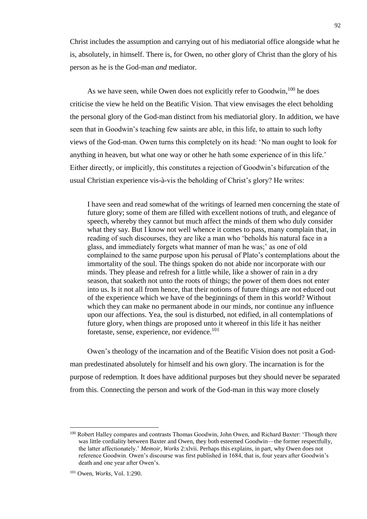Christ includes the assumption and carrying out of his mediatorial office alongside what he is, absolutely, in himself. There is, for Owen, no other glory of Christ than the glory of his person as he is the God-man *and* mediator.

As we have seen, while Owen does not explicitly refer to Goodwin, <sup>100</sup> he does criticise the view he held on the Beatific Vision. That view envisages the elect beholding the personal glory of the God-man distinct from his mediatorial glory. In addition, we have seen that in Goodwin's teaching few saints are able, in this life, to attain to such lofty views of the God-man. Owen turns this completely on its head: 'No man ought to look for anything in heaven, but what one way or other he hath some experience of in this life.' Either directly, or implicitly, this constitutes a rejection of Goodwin's bifurcation of the usual Christian experience vis-à-vis the beholding of Christ's glory? He writes:

I have seen and read somewhat of the writings of learned men concerning the state of future glory; some of them are filled with excellent notions of truth, and elegance of speech, whereby they cannot but much affect the minds of them who duly consider what they say. But I know not well whence it comes to pass, many complain that, in reading of such discourses, they are like a man who 'beholds his natural face in a glass, and immediately forgets what manner of man he was;' as one of old complained to the same purpose upon his perusal of Plato's contemplations about the immortality of the soul. The things spoken do not abide nor incorporate with our minds. They please and refresh for a little while, like a shower of rain in a dry season, that soaketh not unto the roots of things; the power of them does not enter into us. Is it not all from hence, that their notions of future things are not educed out of the experience which we have of the beginnings of them in this world? Without which they can make no permanent abode in our minds, nor continue any influence upon our affections. Yea, the soul is disturbed, not edified, in all contemplations of future glory, when things are proposed unto it whereof in this life it has neither foretaste, sense, experience, nor evidence.<sup>101</sup>

Owen's theology of the incarnation and of the Beatific Vision does not posit a Godman predestinated absolutely for himself and his own glory. The incarnation is for the purpose of redemption. It does have additional purposes but they should never be separated from this. Connecting the person and work of the God-man in this way more closely

l

<sup>&</sup>lt;sup>100</sup> Robert Halley compares and contrasts Thomas Goodwin, John Owen, and Richard Baxter: 'Though there was little cordiality between Baxter and Owen, they both esteemed Goodwin—the former respectfully, the latter affectionately.' *Memoir, Works* 2:xlvii. Perhaps this explains, in part, why Owen does not reference Goodwin. Owen's discourse was first published in 1684, that is, four years after Goodwin's death and one year after Owen's.

<sup>101</sup> Owen, *Works*, Vol. 1:290.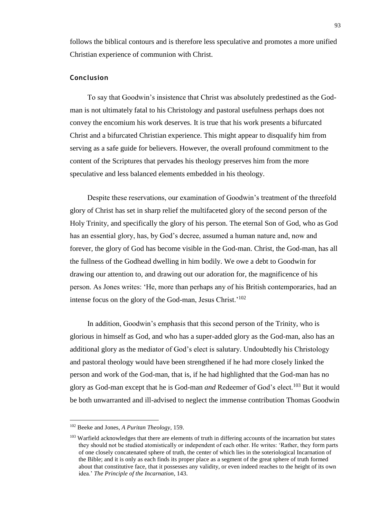follows the biblical contours and is therefore less speculative and promotes a more unified Christian experience of communion with Christ.

#### **Conclusion**

To say that Goodwin's insistence that Christ was absolutely predestined as the Godman is not ultimately fatal to his Christology and pastoral usefulness perhaps does not convey the encomium his work deserves. It is true that his work presents a bifurcated Christ and a bifurcated Christian experience. This might appear to disqualify him from serving as a safe guide for believers. However, the overall profound commitment to the content of the Scriptures that pervades his theology preserves him from the more speculative and less balanced elements embedded in his theology.

Despite these reservations, our examination of Goodwin's treatment of the threefold glory of Christ has set in sharp relief the multifaceted glory of the second person of the Holy Trinity, and specifically the glory of his person. The eternal Son of God, who as God has an essential glory, has, by God's decree, assumed a human nature and, now and forever, the glory of God has become visible in the God-man. Christ, the God-man, has all the fullness of the Godhead dwelling in him bodily. We owe a debt to Goodwin for drawing our attention to, and drawing out our adoration for, the magnificence of his person. As Jones writes: 'He, more than perhaps any of his British contemporaries, had an intense focus on the glory of the God-man, Jesus Christ.'<sup>102</sup>

In addition, Goodwin's emphasis that this second person of the Trinity, who is glorious in himself as God, and who has a super-added glory as the God-man, also has an additional glory as the mediator of God's elect is salutary. Undoubtedly his Christology and pastoral theology would have been strengthened if he had more closely linked the person and work of the God-man, that is, if he had highlighted that the God-man has no glory as God-man except that he is God-man *and* Redeemer of God's elect.<sup>103</sup> But it would be both unwarranted and ill-advised to neglect the immense contribution Thomas Goodwin

<sup>102</sup> Beeke and Jones, *A Puritan Theology*, 159.

<sup>&</sup>lt;sup>103</sup> Warfield acknowledges that there are elements of truth in differing accounts of the incarnation but states they should not be studied atomistically or independent of each other. He writes: 'Rather, they form parts of one closely concatenated sphere of truth, the center of which lies in the soteriological Incarnation of the Bible; and it is only as each finds its proper place as a segment of the great sphere of truth formed about that constitutive face, that it possesses any validity, or even indeed reaches to the height of its own idea.' *The Principle of the Incarnation*, 143.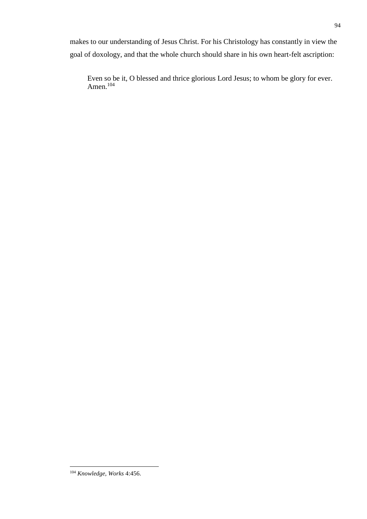makes to our understanding of Jesus Christ. For his Christology has constantly in view the goal of doxology, and that the whole church should share in his own heart-felt ascription:

Even so be it, O blessed and thrice glorious Lord Jesus; to whom be glory for ever. Amen.<sup>104</sup>

<sup>104</sup> *Knowledge, Works* 4:456.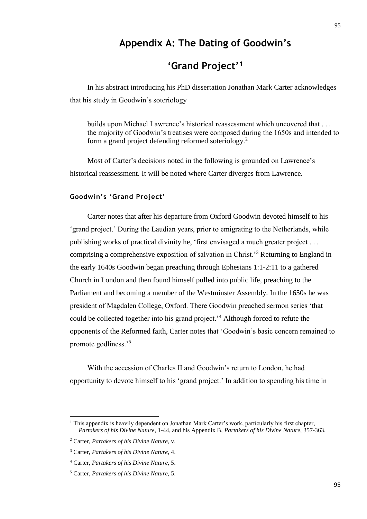# **Appendix A: The Dating of Goodwin's**

# **'Grand Project'<sup>1</sup>**

In his abstract introducing his PhD dissertation Jonathan Mark Carter acknowledges that his study in Goodwin's soteriology

builds upon Michael Lawrence's historical reassessment which uncovered that . . . the majority of Goodwin's treatises were composed during the 1650s and intended to form a grand project defending reformed soteriology.<sup>2</sup>

Most of Carter's decisions noted in the following is grounded on Lawrence's historical reassessment. It will be noted where Carter diverges from Lawrence.

#### **Goodwin's 'Grand Project'**

Carter notes that after his departure from Oxford Goodwin devoted himself to his 'grand project.' During the Laudian years, prior to emigrating to the Netherlands, while publishing works of practical divinity he, 'first envisaged a much greater project . . . comprising a comprehensive exposition of salvation in Christ.'<sup>3</sup> Returning to England in the early 1640s Goodwin began preaching through Ephesians 1:1-2:11 to a gathered Church in London and then found himself pulled into public life, preaching to the Parliament and becoming a member of the Westminster Assembly. In the 1650s he was president of Magdalen College, Oxford. There Goodwin preached sermon series 'that could be collected together into his grand project.'<sup>4</sup> Although forced to refute the opponents of the Reformed faith, Carter notes that 'Goodwin's basic concern remained to promote godliness.'<sup>5</sup>

With the accession of Charles II and Goodwin's return to London, he had opportunity to devote himself to his 'grand project.' In addition to spending his time in

l

 $<sup>1</sup>$  This appendix is heavily dependent on Jonathan Mark Carter's work, particularly his first chapter,</sup> *Partakers of his Divine Nature,* 1-44, and his Appendix B, *Partakers of his Divine Nature,* 357-363.

<sup>2</sup> Carter, *Partakers of his Divine Nature*, v.

<sup>3</sup> Carter, *Partakers of his Divine Nature,* 4.

<sup>4</sup> Carter, *Partakers of his Divine Nature,* 5.

<sup>5</sup> Carter, *Partakers of his Divine Nature,* 5.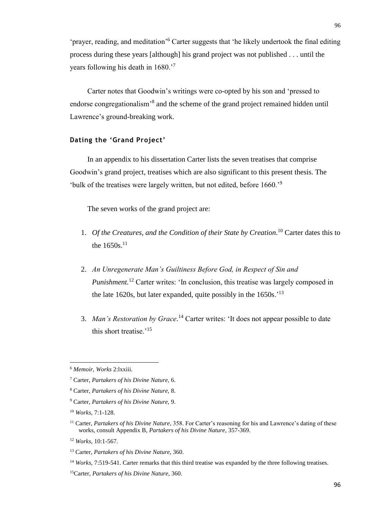'prayer, reading, and meditation'<sup>6</sup> Carter suggests that 'he likely undertook the final editing process during these years [although] his grand project was not published . . . until the years following his death in 1680.'<sup>7</sup>

Carter notes that Goodwin's writings were co-opted by his son and 'pressed to endorse congregationalism<sup>3</sup> and the scheme of the grand project remained hidden until Lawrence's ground-breaking work.

### **Dating the 'Grand Project'**

In an appendix to his dissertation Carter lists the seven treatises that comprise Goodwin's grand project, treatises which are also significant to this present thesis. The 'bulk of the treatises were largely written, but not edited, before 1660.'<sup>9</sup>

The seven works of the grand project are:

- 1. Of the Creatures, and the Condition of their State by Creation.<sup>10</sup> Carter dates this to the  $1650s$ <sup>11</sup>
- 2. *An Unregenerate Man's Guiltiness Before God, in Respect of Sin and Punishment.*<sup>12</sup> Carter writes: 'In conclusion, this treatise was largely composed in the late 1620s, but later expanded, quite possibly in the  $1650s$ .<sup>'13</sup>
- 3. *Man's Restoration by Grace*. <sup>14</sup> Carter writes: 'It does not appear possible to date this short treatise.'<sup>15</sup>

<sup>6</sup> *Memoir, Works* 2:lxxiii.

<sup>7</sup> Carter, *Partakers of his Divine Nature,* 6.

<sup>8</sup> Carter, *Partakers of his Divine Nature,* 8.

<sup>9</sup> Carter, *Partakers of his Divine Nature,* 9.

<sup>10</sup> *Works*, 7:1-128.

<sup>&</sup>lt;sup>11</sup> Carter, *Partakers of his Divine Nature*, 358. For Carter's reasoning for his and Lawrence's dating of these works, consult Appendix B, *Partakers of his Divine Nature,* 357-369.

<sup>12</sup> *Works*, 10:1-567.

<sup>13</sup> Carter, *Partakers of his Divine Nature*, 360.

<sup>&</sup>lt;sup>14</sup> *Works*, 7:519-541. Carter remarks that this third treatise was expanded by the three following treatises.

<sup>15</sup>Carter, *Partakers of his Divine Nature*, 360.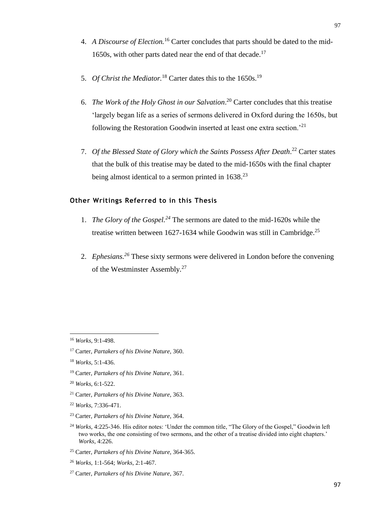- 4. *A Discourse of Election.*<sup>16</sup> Carter concludes that parts should be dated to the mid-1650s, with other parts dated near the end of that decade.<sup>17</sup>
- 5. *Of Christ the Mediator*.<sup>18</sup> Carter dates this to the 1650s.<sup>19</sup>
- 6. *The Work of the Holy Ghost in our Salvation*. <sup>20</sup> Carter concludes that this treatise 'largely began life as a series of sermons delivered in Oxford during the 1650s, but following the Restoration Goodwin inserted at least one extra section.'<sup>21</sup>
- 7. *Of the Blessed State of Glory which the Saints Possess After Death*. <sup>22</sup> Carter states that the bulk of this treatise may be dated to the mid-1650s with the final chapter being almost identical to a sermon printed in  $1638<sup>23</sup>$

## **Other Writings Referred to in this Thesis**

- 1. *The Glory of the Gospel.<sup>24</sup>* The sermons are dated to the mid-1620s while the treatise written between 1627-1634 while Goodwin was still in Cambridge.<sup>25</sup>
- 2. *Ephesians.<sup>26</sup>* These sixty sermons were delivered in London before the convening of the Westminster Assembly.<sup>27</sup>

<sup>16</sup> *Works*, 9:1-498.

<sup>17</sup> Carter, *Partakers of his Divine Nature*, 360.

<sup>18</sup> *Works*, 5:1-436.

<sup>19</sup> Carter, *Partakers of his Divine Nature*, 361.

<sup>20</sup> *Works*, 6:1-522.

<sup>21</sup> Carter, *Partakers of his Divine Nature*, 363.

<sup>22</sup> *Works*, 7:336-471.

<sup>23</sup> Carter, *Partakers of his Divine Nature*, 364.

<sup>&</sup>lt;sup>24</sup> *Works*, 4:225-346. His editor notes: 'Under the common title, "The Glory of the Gospel," Goodwin left two works, the one consisting of two sermons, and the other of a treatise divided into eight chapters.' *Works,* 4:226.

<sup>25</sup> Carter, *Partakers of his Divine Nature*, 364-365.

<sup>26</sup> *Works,* 1:1-564; *Works,* 2:1-467.

<sup>27</sup> Carter, *Partakers of his Divine Nature*, 367.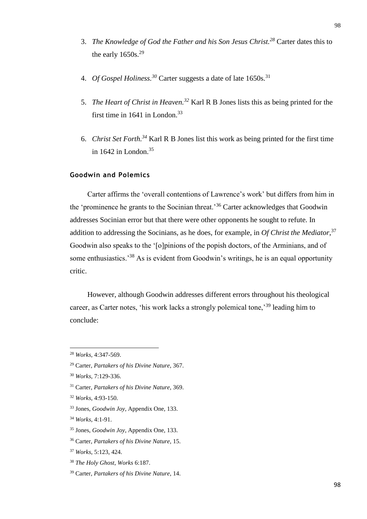- 3. *The Knowledge of God the Father and his Son Jesus Christ.<sup>28</sup>* Carter dates this to the early  $1650s.<sup>29</sup>$
- 4. *Of Gospel Holiness. <sup>30</sup>* Carter suggests a date of late 1650s.<sup>31</sup>
- 5. *The Heart of Christ in Heaven.<sup>32</sup>* Karl R B Jones lists this as being printed for the first time in 1641 in London.<sup>33</sup>
- 6. *Christ Set Forth.<sup>34</sup>* Karl R B Jones list this work as being printed for the first time in 1642 in London. 35

## **Goodwin and Polemics**

Carter affirms the 'overall contentions of Lawrence's work' but differs from him in the 'prominence he grants to the Socinian threat.'<sup>36</sup> Carter acknowledges that Goodwin addresses Socinian error but that there were other opponents he sought to refute. In addition to addressing the Socinians, as he does, for example, in *Of Christ the Mediator,*<sup>37</sup> Goodwin also speaks to the '[o]pinions of the popish doctors, of the Arminians, and of some enthusiastics.<sup>38</sup> As is evident from Goodwin's writings, he is an equal opportunity critic.

However, although Goodwin addresses different errors throughout his theological career, as Carter notes, 'his work lacks a strongly polemical tone,'<sup>39</sup> leading him to conclude:

 $\overline{a}$ 

- <sup>31</sup> Carter, *Partakers of his Divine Nature*, 369.
- <sup>32</sup> *Works,* 4:93-150.
- <sup>33</sup> Jones, *Goodwin Joy*, Appendix One, 133.
- <sup>34</sup> *Works,* 4:1-91.
- <sup>35</sup> Jones, *Goodwin Joy*, Appendix One, 133.

<sup>38</sup> *The Holy Ghost, Works* 6:187.

<sup>28</sup> *Works,* 4:347-569.

<sup>29</sup> Carter, *Partakers of his Divine Nature*, 367.

<sup>30</sup> *Works,* 7:129-336.

<sup>36</sup> Carter, *Partakers of his Divine Nature*, 15.

<sup>37</sup> *Works*, 5:123, 424.

<sup>39</sup> Carter, *Partakers of his Divine Nature*, 14.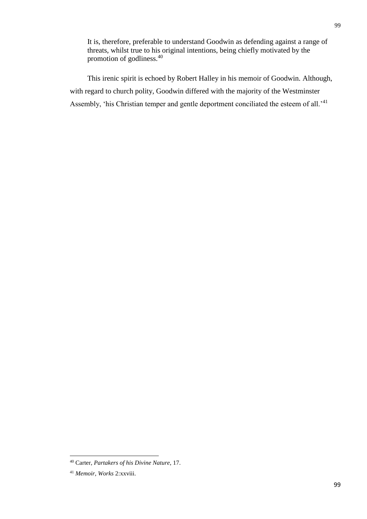It is, therefore, preferable to understand Goodwin as defending against a range of threats, whilst true to his original intentions, being chiefly motivated by the promotion of godliness.<sup>40</sup>

This irenic spirit is echoed by Robert Halley in his memoir of Goodwin. Although, with regard to church polity, Goodwin differed with the majority of the Westminster Assembly, 'his Christian temper and gentle deportment conciliated the esteem of all.'<sup>41</sup>

<sup>40</sup> Carter, *Partakers of his Divine Nature*, 17.

<sup>41</sup> *Memoir, Works* 2:xxviii.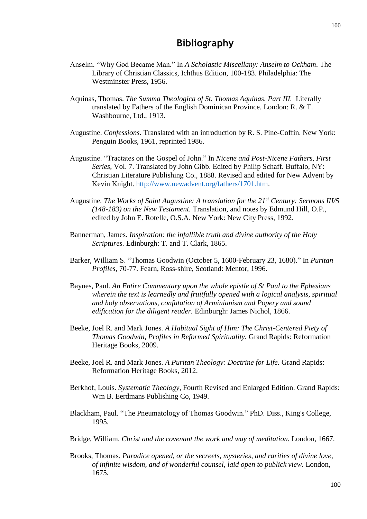## **Bibliography**

- Anselm. "Why God Became Man." In *A Scholastic Miscellany: Anselm to Ockham*. The Library of Christian Classics, Ichthus Edition, 100-183. Philadelphia: The Westminster Press, 1956.
- Aquinas, Thomas. *The Summa Theologica of St. Thomas Aquinas. Part III.* Literally translated by Fathers of the English Dominican Province. London: R. & T. Washbourne, Ltd., 1913.
- Augustine. *Confessions.* Translated with an introduction by R. S. Pine-Coffin. New York: Penguin Books, 1961, reprinted 1986.
- Augustine. "Tractates on the Gospel of John." In *Nicene and Post-Nicene Fathers, First Series*, Vol. 7. Translated by John Gibb. Edited by Philip Schaff. Buffalo, NY: Christian Literature Publishing Co., 1888. Revised and edited for New Advent by Kevin Knight. [http://www.newadvent.org/fathers/1701.htm.](http://www.newadvent.org/fathers/1701.htm)
- Augustine*. The Works of Saint Augustine: A translation for the 21st Century: Sermons III/5 (148-183) on the New Testament.* Translation, and notes by Edmund Hill, O.P., edited by John E. Rotelle, O.S.A. New York: New City Press, 1992.
- Bannerman, James. *Inspiration: the infallible truth and divine authority of the Holy Scriptures.* Edinburgh: T. and T. Clark, 1865.
- Barker, William S. "Thomas Goodwin (October 5, 1600-February 23, 1680)." In *Puritan Profiles,* 70-77*.* Fearn, Ross-shire, Scotland: Mentor, 1996.
- Baynes, Paul. *An Entire Commentary upon the whole epistle of St Paul to the Ephesians wherein the text is learnedly and fruitfully opened with a logical analysis, spiritual and holy observations, confutation of Arminianism and Popery and sound edification for the diligent reader.* Edinburgh: James Nichol, 1866.
- Beeke, Joel R. and Mark Jones. *A Habitual Sight of Him: The Christ-Centered Piety of Thomas Goodwin, Profiles in Reformed Spirituality.* Grand Rapids: Reformation Heritage Books, 2009.
- Beeke, Joel R. and Mark Jones. *A Puritan Theology: Doctrine for Life.* Grand Rapids: Reformation Heritage Books, 2012.
- Berkhof, Louis. *Systematic Theology,* Fourth Revised and Enlarged Edition. Grand Rapids: Wm B. Eerdmans Publishing Co, 1949.
- Blackham, Paul. "The Pneumatology of Thomas Goodwin." PhD. Diss., King's College, 1995.
- Bridge, William. *Christ and the covenant the work and way of meditation.* London, 1667.
- Brooks, Thomas. *Paradice opened, or the secreets, mysteries, and rarities of divine love, of infinite wisdom, and of wonderful counsel, laid open to publick view.* London, 1675.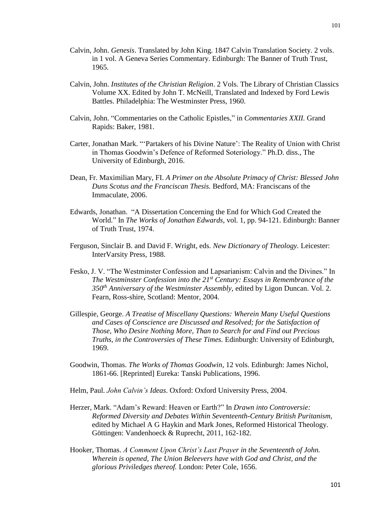- Calvin, John. *Genesis*. Translated by John King. 1847 Calvin Translation Society. 2 vols. in 1 vol. A Geneva Series Commentary. Edinburgh: The Banner of Truth Trust, 1965.
- Calvin, John. *Institutes of the Christian Religion*. 2 Vols. The Library of Christian Classics Volume XX. Edited by John T. McNeill, Translated and Indexed by Ford Lewis Battles. Philadelphia: The Westminster Press, 1960.
- Calvin, John. "Commentaries on the Catholic Epistles," in *Commentaries XXII.* Grand Rapids: Baker, 1981.
- Carter, Jonathan Mark. "'Partakers of his Divine Nature': The Reality of Union with Christ in Thomas Goodwin's Defence of Reformed Soteriology." Ph.D. diss., The University of Edinburgh, 2016.
- Dean, Fr. Maximilian Mary, FI. *A Primer on the Absolute Primacy of Christ: Blessed John Duns Scotus and the Franciscan Thesis.* Bedford, MA: Franciscans of the Immaculate, 2006.
- Edwards, Jonathan. "A Dissertation Concerning the End for Which God Created the World." In *The Works of Jonathan Edwards*, vol. 1, pp. 94-121. Edinburgh: Banner of Truth Trust, 1974.
- Ferguson, Sinclair B. and David F. Wright, eds. *New Dictionary of Theology.* Leicester: InterVarsity Press, 1988.
- Fesko, J. V. "The Westminster Confession and Lapsarianism: Calvin and the Divines." In *The Westminster Confession into the 21st Century: Essays in Remembrance of the 350th Anniversary of the Westminster Assembly*, edited by Ligon Duncan. Vol. 2. Fearn, Ross-shire, Scotland: Mentor, 2004.
- Gillespie, George. *A Treatise of Miscellany Questions: Wherein Many Useful Questions and Cases of Conscience are Discussed and Resolved; for the Satisfaction of Those, Who Desire Nothing More, Than to Search for and Find out Precious Truths, in the Controversies of These Times.* Edinburgh: University of Edinburgh, 1969.
- Goodwin, Thomas. *The Works of Thomas Goodwin*, 12 vols. Edinburgh: James Nichol, 1861-66. [Reprinted] Eureka: Tanski Publications, 1996.
- Helm, Paul. *John Calvin's Ideas*. Oxford: Oxford University Press, 2004.
- Herzer, Mark. "Adam's Reward: Heaven or Earth?" In *Drawn into Controversie: Reformed Diversity and Debates Within Seventeenth-Century British Puritanism,*  edited by Michael A G Haykin and Mark Jones, Reformed Historical Theology. Göttingen: Vandenhoeck & Ruprecht, 2011, 162-182.
- Hooker, Thomas. *A Comment Upon Christ's Last Prayer in the Seventeenth of John. Wherein is opened, The Union Beleevers have with God and Christ, and the glorious Priviledges thereof.* London: Peter Cole, 1656.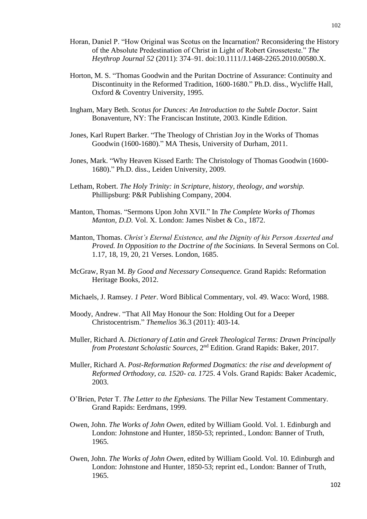- Horan, Daniel P. "How Original was Scotus on the Incarnation? Reconsidering the History of the Absolute Predestination of Christ in Light of Robert Grosseteste." *The Heythrop Journal 52* (2011): 374–91. doi:10.1111/J.1468-2265.2010.00580.X.
- Horton, M. S. "Thomas Goodwin and the Puritan Doctrine of Assurance: Continuity and Discontinuity in the Reformed Tradition, 1600-1680." Ph.D. diss., Wycliffe Hall, Oxford & Coventry University, 1995.
- Ingham, Mary Beth. *Scotus for Dunces: An Introduction to the Subtle Doctor*. Saint Bonaventure, NY: The Franciscan Institute, 2003. Kindle Edition.
- Jones, Karl Rupert Barker. "The Theology of Christian Joy in the Works of Thomas Goodwin (1600-1680)." MA Thesis, University of Durham, 2011.
- Jones, Mark. "Why Heaven Kissed Earth: The Christology of Thomas Goodwin (1600- 1680)." Ph.D. diss., Leiden University, 2009.
- Letham, Robert. *The Holy Trinity: in Scripture, history, theology, and worship.*  Phillipsburg: P&R Publishing Company, 2004.
- Manton, Thomas. "Sermons Upon John XVII." In *The Complete Works of Thomas Manton, D.D.* Vol. X. London: James Nisbet & Co., 1872.
- Manton, Thomas. *Christ's Eternal Existence, and the Dignity of his Person Asserted and Proved. In Opposition to the Doctrine of the Socinians.* In Several Sermons on Col. 1.17, 18, 19, 20, 21 Verses. London, 1685.
- McGraw, Ryan M. *By Good and Necessary Consequence.* Grand Rapids: Reformation Heritage Books, 2012.
- Michaels, J. Ramsey. *1 Peter*. Word Biblical Commentary, vol. 49. Waco: Word, 1988.
- Moody, Andrew. "That All May Honour the Son: Holding Out for a Deeper Christocentrism." *Themelios* 36.3 (2011): 403-14.
- Muller, Richard A. *Dictionary of Latin and Greek Theological Terms: Drawn Principally from Protestant Scholastic Sources*, 2nd Edition. Grand Rapids: Baker, 2017.
- Muller, Richard A. *Post-Reformation Reformed Dogmatics: the rise and development of Reformed Orthodoxy, ca. 1520- ca. 1725*. 4 Vols. Grand Rapids: Baker Academic, 2003.
- O'Brien, Peter T. *The Letter to the Ephesians.* The Pillar New Testament Commentary. Grand Rapids: Eerdmans, 1999.
- Owen, John. *The Works of John Owen*, edited by William Goold. Vol. 1. Edinburgh and London: Johnstone and Hunter, 1850-53; reprinted., London: Banner of Truth, 1965.
- Owen, John. *The Works of John Owen*, edited by William Goold. Vol. 10. Edinburgh and London: Johnstone and Hunter, 1850-53; reprint ed., London: Banner of Truth, 1965.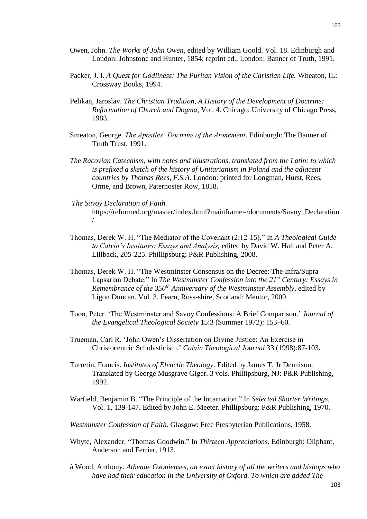- Owen, John. *The Works of John Owen*, edited by William Goold. Vol. 18. Edinburgh and London: Johnstone and Hunter, 1854; reprint ed., London: Banner of Truth, 1991.
- Packer, J. I. *A Quest for Godliness: The Puritan Vision of the Christian Life.* Wheaton, IL: Crossway Books, 1994.
- Pelikan, Jaroslav. *The Christian Tradition, A History of the Development of Doctrine: Reformation of Church and Dogma*, Vol. 4. Chicago: University of Chicago Press, 1983.
- Smeaton, George. *The Apostles' Doctrine of the Atonement*. Edinburgh: The Banner of Truth Trust, 1991.
- *The Racovian Catechism, with notes and illustrations, translated from the Latin: to which is prefixed a sketch of the history of Unitarianism in Poland and the adjacent countries by Thomas Rees, F.S.A.* London: printed for Longman, Hurst, Rees, Orme, and Brown, Paternoster Row, 1818.
- *The Savoy Declaration of Faith.* https://reformed.org/master/index.html?mainframe=/documents/Savoy\_Declaration /
- Thomas, Derek W. H. "The Mediator of the Covenant (2:12-15)." In *A Theological Guide to Calvin's Institutes: Essays and Analysis,* edited by David W. Hall and Peter A. Lillback, 205-225. Phillipsburg: P&R Publishing, 2008.
- Thomas, Derek W. H. "The Westminster Consensus on the Decree: The Infra/Supra Lapsarian Debate." In *The Westminster Confession into the 21st Century: Essays in Remembrance of the 350th Anniversary of the Westminster Assembly*, edited by Ligon Duncan. Vol. 3. Fearn, Ross-shire, Scotland: Mentor, 2009.
- Toon, Peter. 'The Westminster and Savoy Confessions: A Brief Comparison.' *Journal of the Evangelical Theological Society* 15:3 (Summer 1972): 153–60.
- Trueman, Carl R. 'John Owen's Dissertation on Divine Justice: An Exercise in Christocentric Scholasticism.' *Calvin Theological Journal* 33 (1998):87-103.
- Turretin, Francis. *Institutes of Elenctic Theology*. Edited by James T. Jr Dennison. Translated by George Musgrave Giger. 3 vols. Phillipsburg, NJ: P&R Publishing, 1992.
- Warfield, Benjamin B. "The Principle of the Incarnation." In *Selected Shorter Writings*, Vol. 1, 139-147. Edited by John E. Meeter. Phillipsburg: P&R Publishing, 1970.
- *Westminster Confession of Faith.* Glasgow: Free Presbyterian Publications, 1958.
- Whyte, Alexander. "Thomas Goodwin." In *Thirteen Appreciations*. Edinburgh: Oliphant, Anderson and Ferrier, 1913.
- à Wood, Anthony. *Athenae Oxonienses, an exact history of all the writers and bishops who have had their education in the University of Oxford. To which are added The*